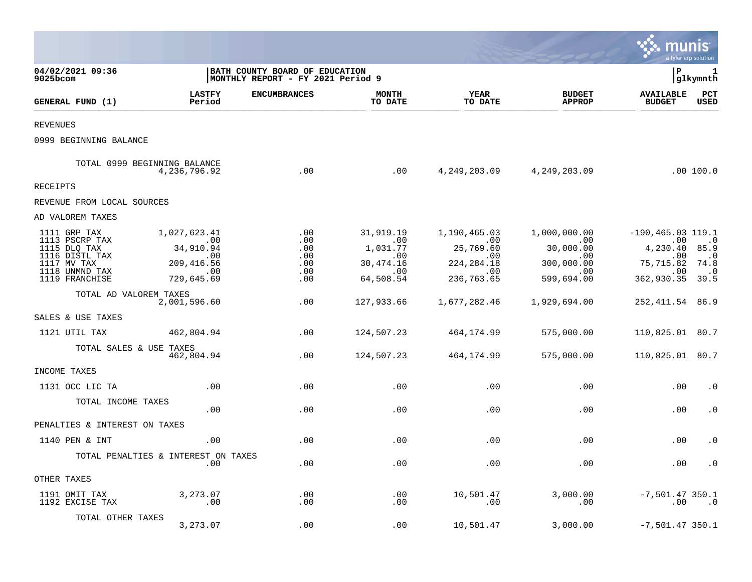|                                                                                                                     |                                                                                               |                                                                      |                                                                                  |                                                                                          |                                                                                              | munis                                                                                           | a tyler erp solution                                           |
|---------------------------------------------------------------------------------------------------------------------|-----------------------------------------------------------------------------------------------|----------------------------------------------------------------------|----------------------------------------------------------------------------------|------------------------------------------------------------------------------------------|----------------------------------------------------------------------------------------------|-------------------------------------------------------------------------------------------------|----------------------------------------------------------------|
| 04/02/2021 09:36<br>9025bcom                                                                                        |                                                                                               | BATH COUNTY BOARD OF EDUCATION<br> MONTHLY REPORT - FY 2021 Period 9 |                                                                                  |                                                                                          |                                                                                              | l P                                                                                             | 1<br> glkymnth                                                 |
| GENERAL FUND (1)                                                                                                    | <b>LASTFY</b><br>Period                                                                       | <b>ENCUMBRANCES</b>                                                  | <b>MONTH</b><br>TO DATE                                                          | <b>YEAR</b><br>TO DATE                                                                   | <b>BUDGET</b><br><b>APPROP</b>                                                               | <b>AVAILABLE</b><br><b>BUDGET</b>                                                               | PCT<br><b>USED</b>                                             |
| <b>REVENUES</b>                                                                                                     |                                                                                               |                                                                      |                                                                                  |                                                                                          |                                                                                              |                                                                                                 |                                                                |
| 0999 BEGINNING BALANCE                                                                                              |                                                                                               |                                                                      |                                                                                  |                                                                                          |                                                                                              |                                                                                                 |                                                                |
|                                                                                                                     | TOTAL 0999 BEGINNING BALANCE<br>4,236,796.92                                                  | .00                                                                  | .00                                                                              |                                                                                          | 4, 249, 203.09 4, 249, 203.09                                                                |                                                                                                 | .00 100.0                                                      |
| RECEIPTS                                                                                                            |                                                                                               |                                                                      |                                                                                  |                                                                                          |                                                                                              |                                                                                                 |                                                                |
| REVENUE FROM LOCAL SOURCES                                                                                          |                                                                                               |                                                                      |                                                                                  |                                                                                          |                                                                                              |                                                                                                 |                                                                |
| AD VALOREM TAXES                                                                                                    |                                                                                               |                                                                      |                                                                                  |                                                                                          |                                                                                              |                                                                                                 |                                                                |
| 1111 GRP TAX<br>1113 PSCRP TAX<br>1115 DLQ TAX<br>1116 DISTL TAX<br>1117 MV TAX<br>1118 UNMND TAX<br>1119 FRANCHISE | 1,027,623.41<br>$\sim$ 00<br>34,910.94<br>$\sim 00$<br>209, 416.56<br>$\sim 00$<br>729,645.69 | .00<br>.00<br>.00<br>.00<br>.00<br>.00<br>.00                        | 31,919.19<br>$\sim 00$<br>1,031.77<br>.00<br>30,474.16<br>$\sim 00$<br>64,508.54 | 1,190,465.03<br>$\sim 00$<br>25,769.60<br>.00<br>224, 284. 18<br>$\sim 00$<br>236,763.65 | 1,000,000.00<br>$\overline{00}$<br>30,000.00<br>.00<br>300,000.00<br>$\sim$ 00<br>599,694.00 | $-190, 465.03$ 119.1<br>.00<br>4,230.40 85.9<br>$.00 \,$<br>75,715.82<br>.00<br>362,930.35 39.5 | $\cdot$ 0<br>$\overline{\phantom{0}}$ .0<br>74.8<br>$\cdot$ .0 |
| TOTAL AD VALOREM TAXES                                                                                              | 2,001,596.60                                                                                  | .00                                                                  | 127,933.66                                                                       | 1,677,282.46                                                                             | 1,929,694.00                                                                                 | 252, 411.54 86.9                                                                                |                                                                |
| SALES & USE TAXES                                                                                                   |                                                                                               |                                                                      |                                                                                  |                                                                                          |                                                                                              |                                                                                                 |                                                                |
| 1121 UTIL TAX                                                                                                       | 462,804.94                                                                                    | .00                                                                  | 124,507.23                                                                       | 464,174.99                                                                               | 575,000.00                                                                                   | 110,825.01 80.7                                                                                 |                                                                |
| TOTAL SALES & USE TAXES                                                                                             | 462,804.94                                                                                    | .00                                                                  | 124,507.23                                                                       | 464,174.99                                                                               | 575,000.00                                                                                   | 110,825.01 80.7                                                                                 |                                                                |
| INCOME TAXES                                                                                                        |                                                                                               |                                                                      |                                                                                  |                                                                                          |                                                                                              |                                                                                                 |                                                                |
| 1131 OCC LIC TA                                                                                                     | .00                                                                                           | .00                                                                  | .00                                                                              | .00                                                                                      | .00                                                                                          | .00                                                                                             | $\cdot$ 0                                                      |
| TOTAL INCOME TAXES                                                                                                  | .00                                                                                           | .00                                                                  | .00                                                                              | .00                                                                                      | .00                                                                                          | .00                                                                                             | $\cdot$ 0                                                      |
| PENALTIES & INTEREST ON TAXES                                                                                       |                                                                                               |                                                                      |                                                                                  |                                                                                          |                                                                                              |                                                                                                 |                                                                |
| 1140 PEN & INT                                                                                                      | .00                                                                                           | .00                                                                  | .00                                                                              | .00                                                                                      | .00                                                                                          | .00                                                                                             | $\cdot$ 0                                                      |
|                                                                                                                     | TOTAL PENALTIES & INTEREST ON TAXES<br>.00                                                    | .00                                                                  | .00                                                                              | .00                                                                                      | .00                                                                                          | .00                                                                                             | $\cdot$ 0                                                      |
| OTHER TAXES                                                                                                         |                                                                                               |                                                                      |                                                                                  |                                                                                          |                                                                                              |                                                                                                 |                                                                |
| 1191 OMIT TAX<br>1192 EXCISE TAX                                                                                    | 3,273.07<br>$\cdot$ 00                                                                        | .00<br>$.00 \,$                                                      | .00<br>.00                                                                       | 10,501.47<br>.00                                                                         | 3,000.00<br>.00                                                                              | $-7,501.47$ 350.1<br>.00                                                                        | $\cdot$ .0                                                     |
| TOTAL OTHER TAXES                                                                                                   | 3,273.07                                                                                      | .00                                                                  | .00                                                                              | 10,501.47                                                                                | 3,000.00                                                                                     | $-7,501.47$ 350.1                                                                               |                                                                |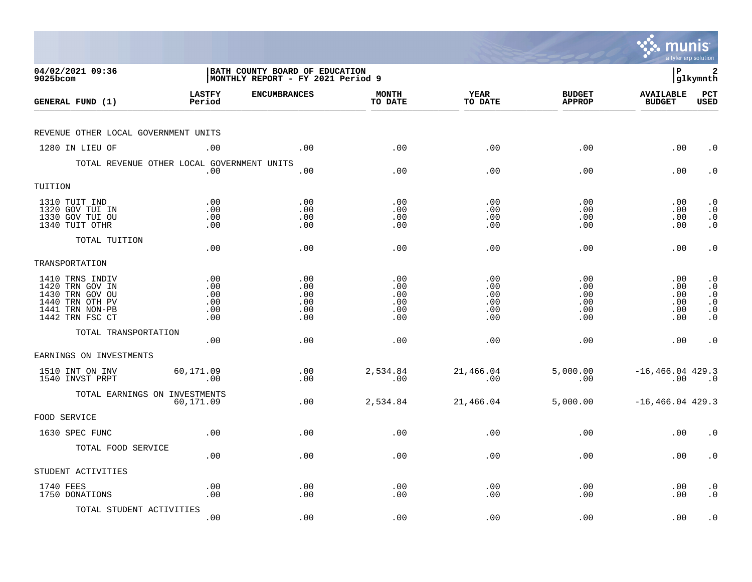|                                                                                                                |                                        |                                                                             |                                        |                                        |                                        | munis                                   | a tyler erp solution                                                                    |
|----------------------------------------------------------------------------------------------------------------|----------------------------------------|-----------------------------------------------------------------------------|----------------------------------------|----------------------------------------|----------------------------------------|-----------------------------------------|-----------------------------------------------------------------------------------------|
| 04/02/2021 09:36<br>9025bcom                                                                                   |                                        | <b>BATH COUNTY BOARD OF EDUCATION</b><br> MONTHLY REPORT - FY 2021 Period 9 |                                        |                                        |                                        | l P                                     | 2<br> glkymnth                                                                          |
| GENERAL FUND (1)                                                                                               | <b>LASTFY</b><br>Period                | <b>ENCUMBRANCES</b>                                                         | <b>MONTH</b><br>TO DATE                | <b>YEAR</b><br>TO DATE                 | <b>BUDGET</b><br><b>APPROP</b>         | <b>AVAILABLE</b><br><b>BUDGET</b>       | PCT<br><b>USED</b>                                                                      |
| REVENUE OTHER LOCAL GOVERNMENT UNITS                                                                           |                                        |                                                                             |                                        |                                        |                                        |                                         |                                                                                         |
| 1280 IN LIEU OF                                                                                                | .00                                    | .00                                                                         | .00                                    | .00                                    | .00                                    | .00                                     | $\cdot$ 0                                                                               |
| TOTAL REVENUE OTHER LOCAL GOVERNMENT UNITS                                                                     | .00                                    | .00                                                                         | .00                                    | .00                                    | .00                                    | .00                                     | $\cdot$ 0                                                                               |
| TUITION                                                                                                        |                                        |                                                                             |                                        |                                        |                                        |                                         |                                                                                         |
| 1310 TUIT IND<br>1320 GOV TUI IN<br>1330 GOV TUI OU<br>1340 TUIT OTHR                                          | .00<br>.00<br>.00<br>.00               | .00<br>.00<br>.00<br>.00                                                    | .00<br>.00<br>.00<br>.00               | .00<br>.00<br>.00<br>.00               | .00<br>.00<br>.00<br>.00               | $.00 \,$<br>$.00 \,$<br>.00<br>$.00 \,$ | $\cdot$ 0<br>$\cdot$ 0<br>$\begin{smallmatrix} 0 \\ 0 \\ 0 \end{smallmatrix}$           |
| TOTAL TUITION                                                                                                  | .00                                    | .00                                                                         | .00                                    | .00                                    | .00                                    | .00                                     | $\cdot$ 0                                                                               |
| TRANSPORTATION                                                                                                 |                                        |                                                                             |                                        |                                        |                                        |                                         |                                                                                         |
| 1410 TRNS INDIV<br>1420 TRN GOV IN<br>1430 TRN GOV OU<br>1440 TRN OTH PV<br>1441 TRN NON-PB<br>1442 TRN FSC CT | .00<br>.00<br>.00<br>.00<br>.00<br>.00 | .00<br>.00<br>.00<br>.00<br>.00<br>.00                                      | .00<br>.00<br>.00<br>.00<br>.00<br>.00 | .00<br>.00<br>.00<br>.00<br>.00<br>.00 | .00<br>.00<br>.00<br>.00<br>.00<br>.00 | .00<br>.00<br>.00<br>.00<br>.00<br>.00  | $\cdot$ 0<br>$\cdot$ 0<br>$\cdot$ 0<br>$\boldsymbol{\cdot}$ 0<br>$\cdot$ 0<br>$\cdot$ 0 |
| TOTAL TRANSPORTATION                                                                                           | .00                                    | .00                                                                         | .00                                    | .00                                    | .00                                    | .00                                     | $\cdot$ 0                                                                               |
| EARNINGS ON INVESTMENTS                                                                                        |                                        |                                                                             |                                        |                                        |                                        |                                         |                                                                                         |
| 1510 INT ON INV<br>1540 INVST PRPT                                                                             | 60,171.09<br>.00                       | .00<br>.00                                                                  | 2,534.84<br>.00                        | 21,466.04<br>.00                       | 5,000.00<br>.00                        | $-16, 466.04$ 429.3<br>.00              | $\overline{\phantom{0}}$ .0                                                             |
| TOTAL EARNINGS ON INVESTMENTS                                                                                  | 60,171.09                              | .00                                                                         | 2,534.84                               | 21,466.04                              | 5,000.00                               | $-16, 466.04$ 429.3                     |                                                                                         |
| FOOD SERVICE                                                                                                   |                                        |                                                                             |                                        |                                        |                                        |                                         |                                                                                         |
| 1630 SPEC FUNC                                                                                                 | .00                                    | .00                                                                         | .00                                    | .00                                    | .00                                    | .00                                     | $\cdot$ 0                                                                               |
| TOTAL FOOD SERVICE                                                                                             | .00                                    | .00                                                                         | .00                                    | .00                                    | .00                                    | $.00 \,$                                | $\cdot$ 0                                                                               |
| STUDENT ACTIVITIES                                                                                             |                                        |                                                                             |                                        |                                        |                                        |                                         |                                                                                         |
| 1740 FEES<br>1750 DONATIONS                                                                                    | .00<br>.00                             | .00<br>.00                                                                  | .00<br>.00                             | .00<br>.00                             | .00<br>.00                             | $.00 \,$<br>.00                         | $\cdot$ 0<br>$\cdot$ 0                                                                  |
| TOTAL STUDENT ACTIVITIES                                                                                       | .00                                    | .00                                                                         | .00                                    | .00                                    | .00                                    | .00                                     | $\cdot$ 0                                                                               |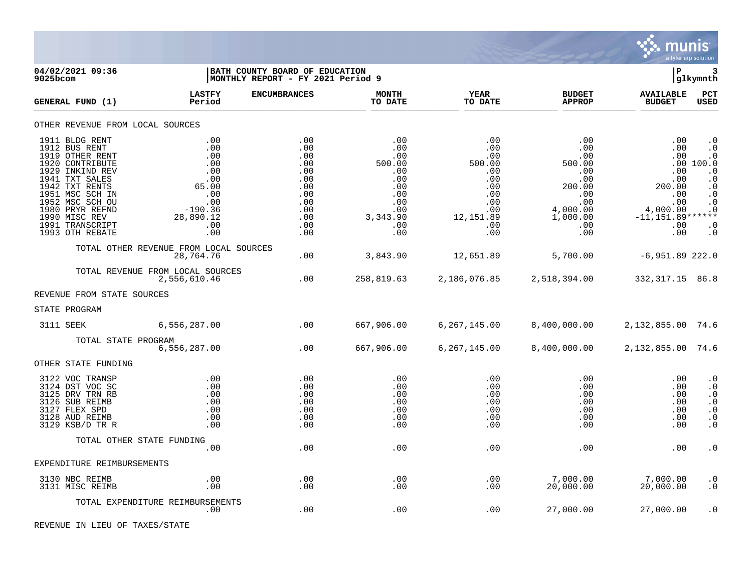

**04/02/2021 09:36 |BATH COUNTY BOARD OF EDUCATION |P 3**  $|MONTHLY REPORT - FY 2021 Period 9$ **LASTFY ENCUMBRANCES MONTH YEAR BUDGET AVAILABLE PCT GENERAL FUND (1) Period TO DATE TO DATE APPROP BUDGET USED** TO DATE THE RELIGION CONDUCT TO DATE THE RELIGION CONDUCT TO DATE THE RELIGION OF THE RELIGION OF THE RELIGION OF THE RELIGION OF THE RELIGION OF THE RELIGION OF THE RELIGION OF THE RELIGION OF THE RELIGION OF THE RELIGION OTHER REVENUE FROM LOCAL SOURCES 1911 BLDG RENT .00 .00 .00 .00 .00 .00 .0 1912 BUS RENT .00 .00 .00 .00 .00 .00 .0 1919 OTHER RENT .00 .00 .00 .00 .00 .00 .0 1920 CONTRIBUTE .00 .00 500.00 500.00 500.00 .00 100.0 1929 INKIND REV .00 .00 .00 .00 .00 .00 .0 1941 TXT SALES .00 .00 .00 .00 .00 .00 .0 1942 TXT RENTS 65.00 .00 .00 .00 200.00 200.00 .0 1951 MSC SCH IN .00 .00 .00 .00 .00 .00 .0 1952 MSC SCH OU .00 .00 .00 .00 .00 .00 .0 1980 PRYR REFND -190.36 .00 .00 .00 4,000.00 4,000.00 .0 1990 MISC REV 28,890.12 .00 3,343.90 12,151.89 1,000.00 -11,151.89\*\*\*\*\*\* 1991 TRANSCRIPT .00 .00 .00 .00 .00 .00 .0 1993 OTH REBATE .00 .00 .00 .00 .00 .00 .0 TOTAL OTHER REVENUE FROM LOCAL SOURCES 28,764.76 .00 3,843.90 12,651.89 5,700.00 -6,951.89 222.0 TOTAL REVENUE FROM LOCAL SOURCES 2,556,610.46 .00 258,819.63 2,186,076.85 2,518,394.00 332,317.15 86.8 REVENUE FROM STATE SOURCES STATE PROGRAM 3111 SEEK 6,556,287.00 .00 667,906.00 6,267,145.00 8,400,000.00 2,132,855.00 74.6 TOTAL STATE PROGRAM<br>6.556.287.00 6,556,287.00 .00 667,906.00 6,267,145.00 8,400,000.00 2,132,855.00 74.6 OTHER STATE FUNDING 3122 VOC TRANSP .00 .00 .00 .00 .00 .00 .0 3124 DST VOC SC .00 .00 .00 .00 .00 .00 .0 3125 DRV TRN RB .00 .00 .00 .00 .00 .00 .0 3126 SUB REIMB .00 .00 .00 .00 .00 .00 .0 3127 FLEX SPD .00 .00 .00 .00 .00 .00 .0 3128 AUD REIMB .00 .00 .00 .00 .00 .00 .0 3129 KSB/D TR R .00 .00 .00 .00 .00 .00 .0 TOTAL OTHER STATE FUNDING .00 .00 .00 .00 .00 .00 .0 EXPENDITURE REIMBURSEMENTS 3130 NBC REIMB .00 .00 .00 .00 7,000.00 7,000.00 .0 3131 MISC REIMB .00 .00 .00 .00 20,000.00 20,000.00 .0 TOTAL EXPENDITURE REIMBURSEMENTS .00 .00 .00 .00 27,000.00 27,000.00 .0

REVENUE IN LIEU OF TAXES/STATE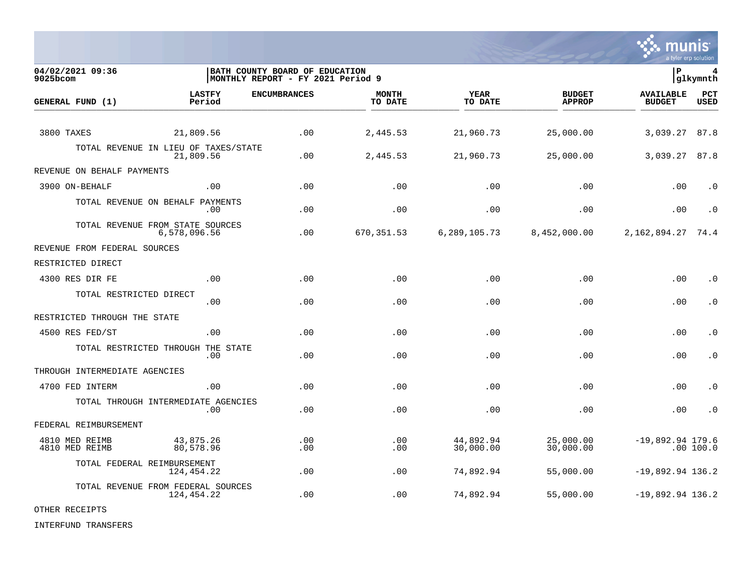

**04/02/2021 09:36 |BATH COUNTY BOARD OF EDUCATION |P 4** MONTHLY REPORT - FY 2021 Period 9 **LASTFY ENCUMBRANCES MONTH YEAR BUDGET AVAILABLE PCT GENERAL FUND (1) Period TO DATE TO DATE APPROP BUDGET USED** TO DATE THE RELIGION CONDUCT TO DATE THE RELIGION CONDUCT TO DATE THE RELIGION OF THE RELIGION OF THE RELIGION OF THE RELIGION OF THE RELIGION OF THE RELIGION OF THE RELIGION OF THE RELIGION OF THE RELIGION OF THE RELIGION 3800 TAXES 21,809.56 .00 2,445.53 21,960.73 25,000.00 3,039.27 87.8 TOTAL REVENUE IN LIEU OF TAXES/STATE<br>21.809.56 21,809.56 .00 2,445.53 21,960.73 25,000.00 3,039.27 87.8 REVENUE ON BEHALF PAYMENTS 3900 ON-BEHALF .00 .00 .00 .00 .00 .00 .0 TOTAL REVENUE ON BEHALF PAYMENTS .00 .00 .00 .00 .00 .00 .0 TOTAL REVENUE FROM STATE SOURCES 6,578,096.56 .00 670,351.53 6,289,105.73 8,452,000.00 2,162,894.27 74.4 REVENUE FROM FEDERAL SOURCES RESTRICTED DIRECT 4300 RES DIR FE .00 .00 .00 .00 .00 .00 .0 TOTAL RESTRICTED DIRECT .00 .00 .00 .00 .00 .00 .0 RESTRICTED THROUGH THE STATE 4500 RES FED/ST .00 .00 .00 .00 .00 .00 .0 TOTAL RESTRICTED THROUGH THE STATE .00 .00 .00 .00 .00 .00 .0 THROUGH INTERMEDIATE AGENCIES 4700 FED INTERM .00 .00 .00 .00 .00 .00 .0 TOTAL THROUGH INTERMEDIATE AGENCIES .00 .00 .00 .00 .00 .00 .0 FEDERAL REIMBURSEMENT 4810 MED REIMB 43,875.26 .00 .00 44,892.94 25,000.00 -19,892.94 179.6 4810 MED REIMB 80,578.96 .00 .00 30,000.00 30,000.00 .00 100.0 TOTAL FEDERAL REIMBURSEMENT 124,454.22 .00 .00 74,892.94 55,000.00 -19,892.94 136.2 TOTAL REVENUE FROM FEDERAL SOURCES  $100$  .00 .00  $74,892.94$   $55,000.00$   $-19,892.94$   $136.2$ 

OTHER RECEIPTS

INTERFUND TRANSFERS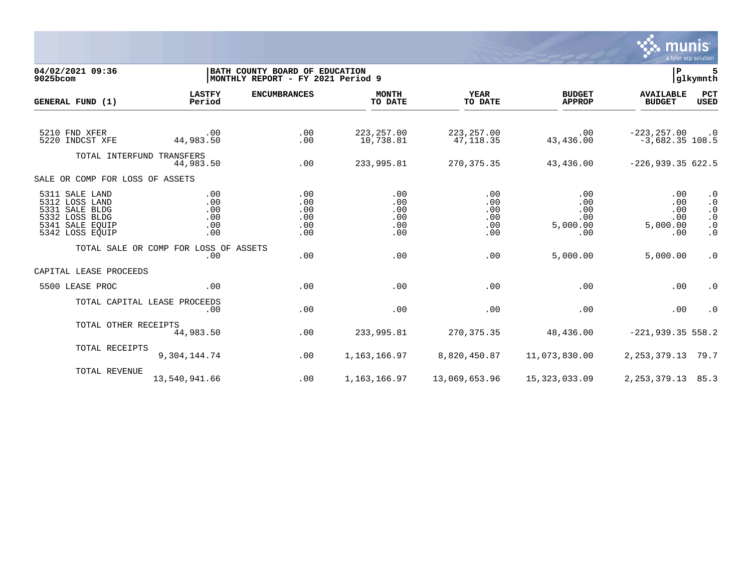

**04/02/2021 09:36 |BATH COUNTY BOARD OF EDUCATION |P 5**  $MONTHLY$  REPORT - FY 2021 Period 9 **LASTFY ENCUMBRANCES MONTH YEAR BUDGET AVAILABLE PCT GENERAL FUND (1)** TO DATE THE RELIGION CONDUCT TO DATE THE RELIGION CONDUCT TO DATE THE RELIGION OF THE RELIGION OF THE RELIGION OF THE RELIGION OF THE RELIGION OF THE RELIGION OF THE RELIGION OF THE RELIGION OF THE RELIGION OF THE RELIGION 5210 FND XFER .00 .00 223,257.00 223,257.00 .00 -223,257.00 .0 5220 INDCST XFE 44,983.50 .00 10,738.81 47,118.35 43,436.00 -3,682.35 108.5 TOTAL INTERFUND TRANSFERS 44,983.50 .00 233,995.81 270,375.35 43,436.00 -226,939.35 622.5 SALE OR COMP FOR LOSS OF ASSETS 5311 SALE LAND .00 .00 .00 .00 .00 .00 .0 5312 LOSS LAND .00 .00 .00 .00 .00 .00 .0 5331 SALE BLDG .00 .00 .00 .00 .00 .00 .0 5332 LOSS BLDG .00 .00 .00 .00 .00 .00 .0 5341 SALE EQUIP .00 .00 .00 .00 5,000.00 5,000.00 .0 5342 LOSS EQUIP .00 .00 .00 .00 .00 .00 .0 TOTAL SALE OR COMP FOR LOSS OF ASSETS<br>.00 .00 .00 .00 .00 5,000.00 5,000.00 .0 CAPITAL LEASE PROCEEDS 5500 LEASE PROC .00 .00 .00 .00 .00 .00 .0 TOTAL CAPITAL LEASE PROCEEDS .00 .00 .00 .00 .00 .00 .0 TOTAL OTHER RECEIPTS<br>44.983.50 44,983.50 .00 233,995.81 270,375.35 48,436.00 -221,939.35 558.2 TOTAL RECEIPTS 9,304,144.74 .00 1,163,166.97 8,820,450.87 11,073,830.00 2,253,379.13 79.7 TOTAL REVENUE 13,540,941.66 .00 1,163,166.97 13,069,653.96 15,323,033.09 2,253,379.13 85.3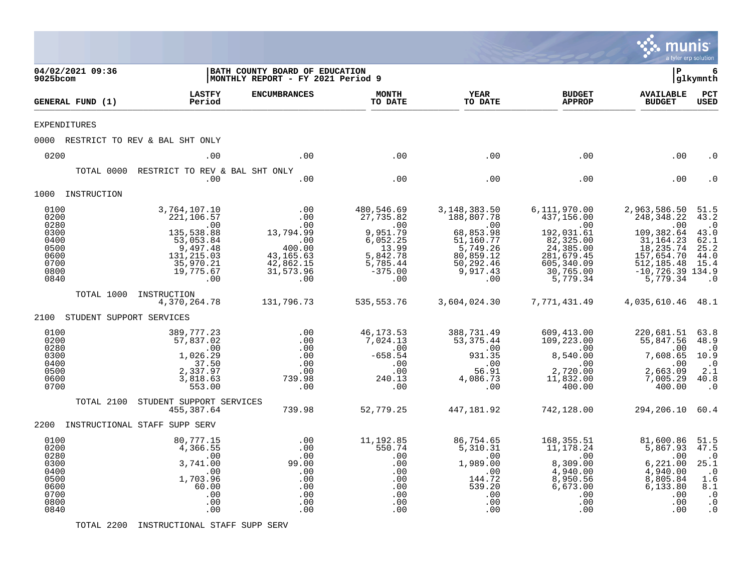|                                                                              |                                                                                                                           |                                                                                                                        |                                                                                                      |                                                                                                                                          |                                                                                                                                             | munis                                                                                                                                        | a tyler erp solution                                                                                |
|------------------------------------------------------------------------------|---------------------------------------------------------------------------------------------------------------------------|------------------------------------------------------------------------------------------------------------------------|------------------------------------------------------------------------------------------------------|------------------------------------------------------------------------------------------------------------------------------------------|---------------------------------------------------------------------------------------------------------------------------------------------|----------------------------------------------------------------------------------------------------------------------------------------------|-----------------------------------------------------------------------------------------------------|
| 04/02/2021 09:36<br>9025bcom                                                 |                                                                                                                           | BATH COUNTY BOARD OF EDUCATION<br>MONTHLY REPORT - FY 2021 Period 9                                                    |                                                                                                      |                                                                                                                                          |                                                                                                                                             | l P                                                                                                                                          | 6<br> glkymnth                                                                                      |
| GENERAL FUND (1)                                                             | <b>LASTFY</b><br>Period                                                                                                   | <b>ENCUMBRANCES</b>                                                                                                    | <b>MONTH</b><br>TO DATE                                                                              | <b>YEAR</b><br>TO DATE                                                                                                                   | <b>BUDGET</b><br><b>APPROP</b>                                                                                                              | <b>AVAILABLE</b><br><b>BUDGET</b>                                                                                                            | PCT<br>USED                                                                                         |
| <b>EXPENDITURES</b>                                                          |                                                                                                                           |                                                                                                                        |                                                                                                      |                                                                                                                                          |                                                                                                                                             |                                                                                                                                              |                                                                                                     |
|                                                                              | 0000 RESTRICT TO REV & BAL SHT ONLY                                                                                       |                                                                                                                        |                                                                                                      |                                                                                                                                          |                                                                                                                                             |                                                                                                                                              |                                                                                                     |
| 0200                                                                         | .00                                                                                                                       | .00                                                                                                                    | .00                                                                                                  | .00                                                                                                                                      | .00                                                                                                                                         | .00                                                                                                                                          | . ດ                                                                                                 |
| TOTAL 0000                                                                   | RESTRICT TO REV & BAL SHT ONLY<br>.00                                                                                     | .00                                                                                                                    | .00                                                                                                  | .00                                                                                                                                      | .00                                                                                                                                         | .00                                                                                                                                          | . 0                                                                                                 |
| 1000 INSTRUCTION                                                             |                                                                                                                           |                                                                                                                        |                                                                                                      |                                                                                                                                          |                                                                                                                                             |                                                                                                                                              |                                                                                                     |
| 0100<br>0200<br>0280<br>0300<br>0400<br>0500<br>0600<br>0700<br>0800<br>0840 | 3,764,107.10<br>221, 106.57<br>.00<br>135,538.88<br>53,053.84<br>9,497.48<br>131, 215.03<br>35,970.21<br>19,775.67<br>.00 | .00<br>.00<br>.00<br>13,794.99<br>$\frac{1}{2}$ $\frac{0}{2}$<br>400.00<br>43, 165.63<br>42,862.15<br>31,573.96<br>.00 | 480,546.69<br>27,735.82<br>9,951.79<br>6,052.25<br>13.99<br>5,842.78<br>5,785.44<br>$-375.00$<br>.00 | 3,148,383.50<br>188,807.78<br>$\sim 00$<br>68,853.98<br>51,160.77<br>$\frac{1}{5}$ , 749.26<br>80,859.12<br>50,292.46<br>9,917.43<br>.00 | 6,111,970.00<br>437,156.00<br>$\overline{00}$<br>192,031.61<br>82,325.00<br>24, 385.00<br>281,679.45<br>605,340.09<br>30,765.00<br>5,779.34 | 2,963,586.50<br>248, 348.22<br>.00<br>109,382.64<br>31, 164.23<br>18, 235. 74<br>157,654.70<br>512, 185.48<br>$-10,726.39$ 134.9<br>5,779.34 | 51.5<br>43.2<br>$\cdot$ 0<br>43.0<br>62.1<br>25.2<br>44.0<br>15.4<br>$\cdot$ 0                      |
| TOTAL 1000                                                                   | INSTRUCTION<br>4,370,264.78                                                                                               | 131,796.73                                                                                                             | 535,553.76                                                                                           | 3,604,024.30                                                                                                                             | 7,771,431.49                                                                                                                                | 4,035,610.46 48.1                                                                                                                            |                                                                                                     |
| 2100 STUDENT SUPPORT SERVICES                                                |                                                                                                                           |                                                                                                                        |                                                                                                      |                                                                                                                                          |                                                                                                                                             |                                                                                                                                              |                                                                                                     |
| 0100<br>0200<br>0280<br>0300<br>0400<br>0500<br>0600<br>0700                 | 389,777.23<br>57,837.02<br>.00<br>1,026.29<br>37.50<br>2,337.97<br>3,818.63<br>553.00                                     | .00<br>.00<br>.00<br>.00<br>.00<br>.00<br>739.98<br>.00                                                                | 46, 173.53<br>7,024.13<br>.00<br>$-658.54$<br>.00<br>.00<br>240.13<br>.00                            | 388,731.49<br>53, 375.44<br>.00<br>931.35<br>.00<br>56.91<br>4,086.73<br>.00                                                             | 609,413.00<br>109,223.00<br>.00<br>8,540.00<br>.00<br>2,720.00<br>11,832.00<br>400.00                                                       | 220,681.51<br>55,847.56<br>.00<br>7,608.65<br>.00<br>2,663.09<br>7,005.29<br>400.00                                                          | 63.8<br>48.9<br>$\cdot$ 0<br>10.9<br>$\overline{\phantom{a}}$ .0<br>2.1<br>40.8<br>$\cdot$ 0        |
| TOTAL 2100                                                                   | STUDENT SUPPORT SERVICES<br>455,387.64                                                                                    | 739.98                                                                                                                 | 52,779.25                                                                                            | 447,181.92                                                                                                                               | 742,128.00                                                                                                                                  | 294,206.10 60.4                                                                                                                              |                                                                                                     |
|                                                                              | 2200 INSTRUCTIONAL STAFF SUPP SERV                                                                                        |                                                                                                                        |                                                                                                      |                                                                                                                                          |                                                                                                                                             |                                                                                                                                              |                                                                                                     |
| 0100<br>0200<br>0280<br>0300<br>0400<br>0500<br>0600<br>0700<br>0800<br>0840 | 80,777.15<br>4,366.55<br>$\cdot$ 00<br>3,741.00<br>.00<br>1,703.96<br>60.00<br>.00<br>.00<br>.00                          | .00<br>.00<br>.00<br>99.00<br>.00<br>.00<br>.00<br>.00<br>.00<br>.00                                                   | 11,192.85<br>550.74<br>.00<br>.00<br>.00<br>.00<br>.00<br>.00<br>.00<br>.00                          | 86,754.65<br>5,310.31<br>.00<br>1,989.00<br>.00<br>144.72<br>539.20<br>.00<br>.00<br>.00                                                 | 168,355.51<br>11,178.24<br>.00<br>8,309.00<br>4,940.00<br>8,950.56<br>6,673.00<br>.00<br>.00<br>.00                                         | 81,600.86<br>5,867.93<br>.00<br>6, 221.00<br>4,940.00<br>8,805.84<br>6,133.80<br>.00<br>$.00 \,$<br>.00                                      | 51.5<br>47.5<br>$\cdot$ 0<br>25.1<br>$\cdot$ 0<br>1.6<br>8.1<br>$\cdot$ 0<br>$\cdot$ 0<br>$\cdot$ 0 |

TOTAL 2200 INSTRUCTIONAL STAFF SUPP SERV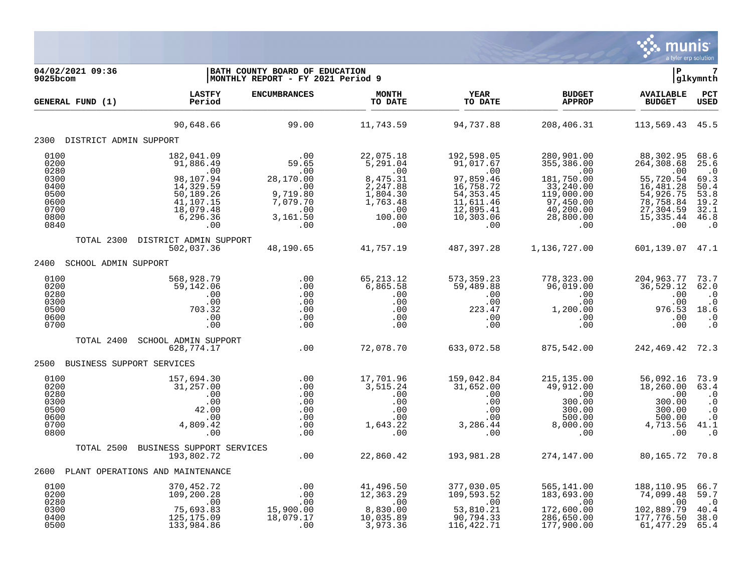

| 04/02/2021 09:36<br>9025bcom                                                 | BATH COUNTY BOARD OF EDUCATION<br> MONTHLY REPORT - FY 2021 Period 9                                               | l P                                                                                       | 7<br> glkymnth                                                                                       |                                                                                                                       |                                                                                                                        |                                                                                                                      |                                                                                               |
|------------------------------------------------------------------------------|--------------------------------------------------------------------------------------------------------------------|-------------------------------------------------------------------------------------------|------------------------------------------------------------------------------------------------------|-----------------------------------------------------------------------------------------------------------------------|------------------------------------------------------------------------------------------------------------------------|----------------------------------------------------------------------------------------------------------------------|-----------------------------------------------------------------------------------------------|
| GENERAL FUND (1)                                                             | <b>LASTFY</b><br>Period                                                                                            | <b>ENCUMBRANCES</b>                                                                       | <b>MONTH</b><br>TO DATE                                                                              | YEAR<br>TO DATE                                                                                                       | <b>BUDGET</b><br><b>APPROP</b>                                                                                         | <b>AVAILABLE</b><br><b>BUDGET</b>                                                                                    | PCT<br>USED                                                                                   |
|                                                                              | 90,648.66                                                                                                          | 99.00                                                                                     | 11,743.59                                                                                            | 94,737.88                                                                                                             | 208,406.31                                                                                                             | 113,569.43                                                                                                           | 45.5                                                                                          |
| 2300 DISTRICT ADMIN SUPPORT                                                  |                                                                                                                    |                                                                                           |                                                                                                      |                                                                                                                       |                                                                                                                        |                                                                                                                      |                                                                                               |
| 0100<br>0200<br>0280<br>0300<br>0400<br>0500<br>0600<br>0700<br>0800<br>0840 | 182,041.09<br>91,886.49<br>.00<br>98,107.94<br>14,329.59<br>50,189.26<br>41,107.15<br>18,079.48<br>6,296.36<br>.00 | .00<br>59.65<br>.00<br>28,170.00<br>.00<br>9,719.80<br>7,079.70<br>.00<br>3,161.50<br>.00 | 22,075.18<br>5,291.04<br>.00<br>8,475.31<br>2,247.88<br>1,804.30<br>1,763.48<br>.00<br>100.00<br>.00 | 192,598.05<br>91,017.67<br>.00<br>97,859.46<br>16,758.72<br>54, 353. 45<br>11,611.46<br>12,895.41<br>10,303.06<br>.00 | 280,901.00<br>355,386.00<br>.00<br>181,750.00<br>33,240.00<br>119,000.00<br>97,450.00<br>40,200.00<br>28,800.00<br>.00 | 88,302.95<br>264,308.68<br>.00<br>55,720.54<br>16,481.28<br>54,926.75<br>78,758.84<br>27,304.59<br>15, 335.44<br>.00 | 68.6<br>25.6<br>$\cdot$ 0<br>69.3<br>50.4<br>53.8<br>$\frac{19.2}{32.1}$<br>46.8<br>$\cdot$ 0 |
| TOTAL 2300                                                                   | DISTRICT ADMIN SUPPORT                                                                                             |                                                                                           |                                                                                                      |                                                                                                                       |                                                                                                                        |                                                                                                                      |                                                                                               |
|                                                                              | 502,037.36                                                                                                         | 48,190.65                                                                                 | 41,757.19                                                                                            | 487,397.28                                                                                                            | 1,136,727.00                                                                                                           | 601,139.07 47.1                                                                                                      |                                                                                               |
| 2400<br>SCHOOL ADMIN SUPPORT                                                 |                                                                                                                    |                                                                                           |                                                                                                      |                                                                                                                       |                                                                                                                        |                                                                                                                      |                                                                                               |
| 0100<br>0200<br>0280<br>0300<br>0500<br>0600<br>0700                         | 568,928.79<br>59,142.06<br>.00<br>.00<br>703.32<br>.00<br>.00                                                      | .00<br>.00<br>.00<br>.00<br>.00<br>.00<br>.00                                             | 65, 213. 12<br>6,865.58<br>.00<br>.00<br>.00<br>.00<br>.00                                           | 573, 359.23<br>59,489.88<br>.00<br>.00<br>223.47<br>.00<br>.00                                                        | 778, 323.00<br>96,019.00<br>.00<br>.00<br>1,200.00<br>.00<br>.00                                                       | 204,963.77<br>36,529.12<br>.00<br>.00<br>976.53<br>.00<br>.00                                                        | 73.7<br>62.0<br>$\cdot$ 0<br>$\cdot$ 0<br>18.6<br>$\cdot$ 0<br>$\ddot{0}$                     |
| TOTAL 2400                                                                   | SCHOOL ADMIN SUPPORT<br>628,774.17                                                                                 | .00                                                                                       | 72,078.70                                                                                            | 633,072.58                                                                                                            | 875,542.00                                                                                                             | 242, 469. 42 72. 3                                                                                                   |                                                                                               |
| BUSINESS SUPPORT SERVICES<br>2500                                            |                                                                                                                    |                                                                                           |                                                                                                      |                                                                                                                       |                                                                                                                        |                                                                                                                      |                                                                                               |
| 0100<br>0200<br>0280<br>0300<br>0500<br>0600<br>0700<br>0800                 | 157,694.30<br>31,257.00<br>.00<br>.00<br>42.00<br>.00<br>4,809.42<br>.00                                           | .00<br>.00<br>.00<br>.00<br>.00<br>.00<br>.00<br>.00                                      | 17,701.96<br>3,515.24<br>.00<br>.00<br>.00<br>.00<br>1,643.22<br>.00                                 | 159,042.84<br>31,652.00<br>.00<br>.00<br>.00<br>.00<br>3,286.44<br>.00                                                | 215, 135.00<br>49,912.00<br>.00<br>300.00<br>300.00<br>500.00<br>8,000.00<br>.00                                       | 56,092.16<br>18,260.00<br>.00<br>300.00<br>300.00<br>500.00<br>4,713.56<br>.00                                       | 73.9<br>63.4<br>$\cdot$ 0<br>$\cdot$ 0<br>$\cdot$ 0<br>$\cdot$ 0<br>41.1<br>$\cdot$ 0         |
| TOTAL 2500                                                                   | BUSINESS SUPPORT SERVICES<br>193,802.72                                                                            | .00                                                                                       | 22,860.42                                                                                            | 193,981.28                                                                                                            | 274,147.00                                                                                                             | 80,165.72 70.8                                                                                                       |                                                                                               |
| 2600                                                                         | PLANT OPERATIONS AND MAINTENANCE                                                                                   |                                                                                           |                                                                                                      |                                                                                                                       |                                                                                                                        |                                                                                                                      |                                                                                               |
| 0100<br>0200<br>0280<br>0300<br>0400<br>0500                                 | 370,452.72<br>109,200.28<br>.00<br>75,693.83<br>125, 175.09<br>133,984.86                                          | .00<br>.00<br>.00<br>15,900.00<br>18,079.17<br>.00                                        | 41,496.50<br>12,363.29<br>.00<br>8,830.00<br>10,035.89<br>3,973.36                                   | 377,030.05<br>109,593.52<br>.00<br>53,810.21<br>90,794.33<br>116, 422. 71                                             | 565,141.00<br>183,693.00<br>.00<br>172,600.00<br>286,650.00<br>177,900.00                                              | 188,110.95<br>74,099.48<br>.00<br>102,889.79<br>177,776.50<br>61, 477.29                                             | 66.7<br>59.7<br>$\cdot$ 0<br>40.4<br>38.0<br>65.4                                             |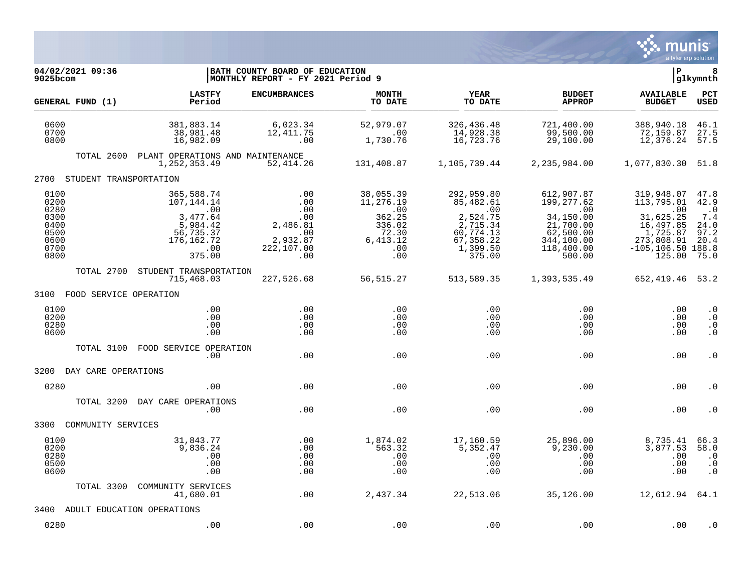

| 04/02/2021 09:36<br>9025bcom                                         |                                                                                                                                | BATH COUNTY BOARD OF EDUCATION<br>MONTHLY REPORT - FY 2021 Period 9          |                                                                                       |                                                                                                                                 |                                                                                                              | ∣P                                                                                                                    | 8<br>glkymnth                                                                      |
|----------------------------------------------------------------------|--------------------------------------------------------------------------------------------------------------------------------|------------------------------------------------------------------------------|---------------------------------------------------------------------------------------|---------------------------------------------------------------------------------------------------------------------------------|--------------------------------------------------------------------------------------------------------------|-----------------------------------------------------------------------------------------------------------------------|------------------------------------------------------------------------------------|
| GENERAL FUND (1)                                                     | <b>LASTFY</b><br>Period                                                                                                        | <b>ENCUMBRANCES</b>                                                          | <b>MONTH</b><br>TO DATE                                                               | YEAR<br>TO DATE                                                                                                                 | <b>BUDGET</b><br><b>APPROP</b>                                                                               | <b>AVAILABLE</b><br><b>BUDGET</b>                                                                                     | <b>PCT</b><br><b>USED</b>                                                          |
| 0600<br>0700<br>0800                                                 | 381,883.14<br>38,981.48<br>16,982.09                                                                                           | 6,023.34<br>12,411.75<br>.00                                                 | 52,979.07<br>$\ldots$ 00<br>1,730.76                                                  | 326,436.48<br>14,928.38<br>16,723.76                                                                                            | 721,400.00<br>99,500.00<br>29,100.00                                                                         | 388,940.18<br>72,159.87<br>12,376.24                                                                                  | 46.1<br>27.5<br>57.5                                                               |
| TOTAL 2600                                                           | PLANT OPERATIONS AND MAINTENANCE<br>1, 252, 353.49                                                                             | 52,414.26                                                                    | 131,408.87                                                                            | 1,105,739.44                                                                                                                    | 2,235,984.00                                                                                                 | 1,077,830.30                                                                                                          | 51.8                                                                               |
| 2700 STUDENT TRANSPORTATION                                          |                                                                                                                                |                                                                              |                                                                                       |                                                                                                                                 |                                                                                                              |                                                                                                                       |                                                                                    |
| 0100<br>0200<br>0280<br>0300<br>0400<br>0500<br>0600<br>0700<br>0800 | 365,588.74<br>107,144.14<br>$\overline{\phantom{0}}$ .00<br>3,477.64<br>5,984.42<br>56,735.37<br>176, 162. 72<br>.00<br>375.00 | .00<br>.00<br>.00<br>.00<br>2,486.81<br>.00<br>2,932.87<br>222,107.00<br>.00 | 38,055.39<br>11,276.19<br>.00<br>362.25<br>336.02<br>72.30<br>6, 413.12<br>.00<br>.00 | 292,959.80<br>85,482.61<br>$\overline{\phantom{0}}$ .00<br>2,524.75<br>2,715.34<br>60,774.13<br>67,358.22<br>1,399.50<br>375.00 | 612,907.87<br>199,277.62<br>.00<br>34,150.00<br>21,700.00<br>62,500.00<br>344,100.00<br>118,400.00<br>500.00 | 319,948.07<br>113,795.01<br>.00<br>31,625.25<br>16,497.85<br>1,725.87<br>273,808.91<br>$-105, 106.50$ 188.8<br>125.00 | 47.8<br>42.9<br>$\overline{\phantom{0}}$ .0<br>7.4<br>24.0<br>97.2<br>20.4<br>75.0 |
| TOTAL 2700                                                           | STUDENT TRANSPORTATION<br>715,468.03                                                                                           | 227,526.68                                                                   | 56,515.27                                                                             | 513,589.35                                                                                                                      | 1,393,535.49                                                                                                 | 652, 419. 46 53. 2                                                                                                    |                                                                                    |
| 3100 FOOD SERVICE OPERATION                                          |                                                                                                                                |                                                                              |                                                                                       |                                                                                                                                 |                                                                                                              |                                                                                                                       |                                                                                    |
| 0100<br>0200<br>0280<br>0600                                         | .00<br>.00<br>.00<br>.00                                                                                                       | .00<br>.00<br>.00<br>.00                                                     | .00<br>.00<br>.00<br>.00                                                              | .00<br>.00<br>.00<br>.00                                                                                                        | .00<br>.00<br>.00<br>.00                                                                                     | .00<br>.00<br>.00<br>.00                                                                                              | $\cdot$ 0<br>$\cdot$ 0<br>$\cdot$ 0<br>. $\boldsymbol{0}$                          |
| TOTAL 3100                                                           | FOOD SERVICE OPERATION<br>.00                                                                                                  | .00                                                                          | .00                                                                                   | .00                                                                                                                             | .00                                                                                                          | .00                                                                                                                   | $\cdot$ 0                                                                          |
| 3200<br>DAY CARE OPERATIONS                                          |                                                                                                                                |                                                                              |                                                                                       |                                                                                                                                 |                                                                                                              |                                                                                                                       |                                                                                    |
| 0280                                                                 | .00                                                                                                                            | .00                                                                          | .00                                                                                   | .00                                                                                                                             | .00                                                                                                          | .00                                                                                                                   | . 0                                                                                |
| TOTAL 3200                                                           | DAY CARE OPERATIONS<br>.00                                                                                                     | .00                                                                          | .00                                                                                   | .00                                                                                                                             | .00                                                                                                          | .00                                                                                                                   | . 0                                                                                |
| 3300<br>COMMUNITY SERVICES                                           |                                                                                                                                |                                                                              |                                                                                       |                                                                                                                                 |                                                                                                              |                                                                                                                       |                                                                                    |
| 0100<br>0200<br>0280<br>0500<br>0600                                 | 31,843.77<br>9,836.24<br>.00<br>.00<br>.00                                                                                     | .00<br>.00<br>.00<br>.00<br>.00                                              | 1,874.02<br>563.32<br>.00<br>.00<br>.00                                               | 17,160.59<br>5,352.47<br>.00<br>.00<br>.00                                                                                      | 25,896.00<br>9,230.00<br>$.00 \,$<br>.00<br>.00                                                              | 8,735.41<br>3,877.53<br>.00<br>.00<br>.00                                                                             | 66.3<br>58.0<br>$\cdot$ 0<br>$\cdot$ 0<br>$\cdot$ 0                                |
| TOTAL 3300                                                           | COMMUNITY SERVICES<br>41,680.01                                                                                                | .00                                                                          | 2,437.34                                                                              | 22,513.06                                                                                                                       | 35,126.00                                                                                                    | 12,612.94 64.1                                                                                                        |                                                                                    |
| 3400                                                                 | ADULT EDUCATION OPERATIONS                                                                                                     |                                                                              |                                                                                       |                                                                                                                                 |                                                                                                              |                                                                                                                       |                                                                                    |
| 0280                                                                 | .00                                                                                                                            | .00                                                                          | .00                                                                                   | .00                                                                                                                             | .00                                                                                                          | .00                                                                                                                   | . 0                                                                                |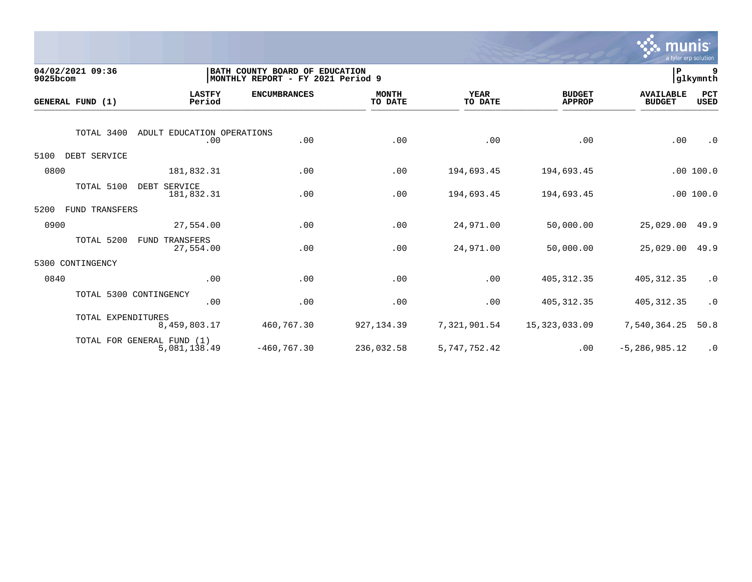

| 9025bcom | 04/02/2021 09:36   |                                            | BATH COUNTY BOARD OF EDUCATION<br>MONTHLY REPORT - FY 2021 Period 9 |                         |                        |                                | ∣P                                | 9<br>glkymnth      |
|----------|--------------------|--------------------------------------------|---------------------------------------------------------------------|-------------------------|------------------------|--------------------------------|-----------------------------------|--------------------|
|          | GENERAL FUND (1)   | <b>LASTFY</b><br>Period                    | <b>ENCUMBRANCES</b>                                                 | <b>MONTH</b><br>TO DATE | <b>YEAR</b><br>TO DATE | <b>BUDGET</b><br><b>APPROP</b> | <b>AVAILABLE</b><br><b>BUDGET</b> | PCT<br><b>USED</b> |
|          | TOTAL 3400         | ADULT EDUCATION OPERATIONS<br>.00          | .00                                                                 | .00                     | .00                    | .00                            | .00                               | $\cdot$ 0          |
| 5100     | DEBT SERVICE       |                                            |                                                                     |                         |                        |                                |                                   |                    |
| 0800     |                    | 181,832.31                                 | .00                                                                 | .00                     | 194,693.45             | 194,693.45                     |                                   | .00 100.0          |
|          | TOTAL 5100         | DEBT SERVICE<br>181,832.31                 | .00                                                                 | .00                     | 194,693.45             | 194,693.45                     |                                   | .00 100.0          |
| 5200     | FUND TRANSFERS     |                                            |                                                                     |                         |                        |                                |                                   |                    |
| 0900     |                    | 27,554.00                                  | .00                                                                 | .00                     | 24,971.00              | 50,000.00                      | 25,029.00                         | 49.9               |
|          | TOTAL 5200         | <b>FUND TRANSFERS</b><br>27,554.00         | .00                                                                 | .00                     | 24,971.00              | 50,000.00                      | 25,029.00                         | 49.9               |
| 5300     | CONTINGENCY        |                                            |                                                                     |                         |                        |                                |                                   |                    |
| 0840     |                    | .00                                        | .00                                                                 | .00                     | .00                    | 405, 312.35                    | 405, 312.35                       | $\cdot$ 0          |
|          |                    | TOTAL 5300 CONTINGENCY<br>.00              | .00                                                                 | .00                     | .00                    | 405, 312.35                    | 405, 312.35                       | $\cdot$ 0          |
|          | TOTAL EXPENDITURES | 8,459,803.17                               | 460,767.30                                                          | 927, 134.39             | 7,321,901.54           | 15,323,033.09                  | 7,540,364.25                      | 50.8               |
|          |                    | TOTAL FOR GENERAL FUND (1)<br>5,081,138.49 | $-460, 767.30$                                                      | 236,032.58              | 5, 747, 752.42         | .00                            | $-5, 286, 985.12$                 | $\cdot$ 0          |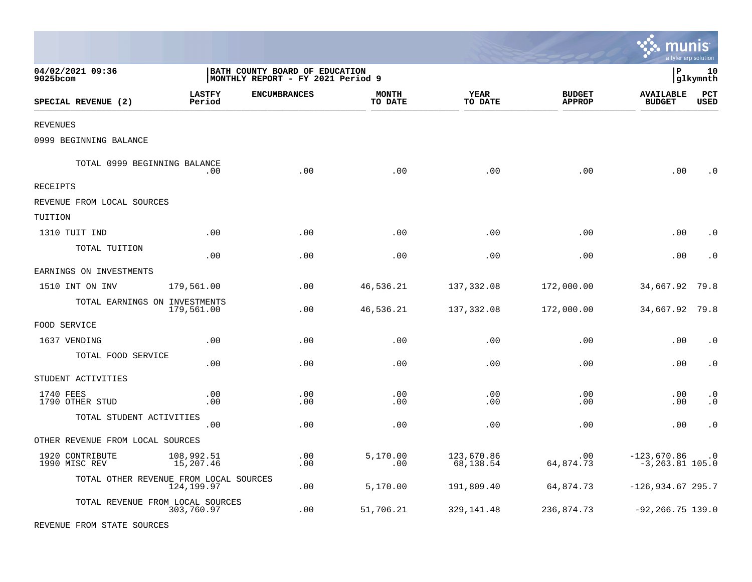|                                        |                         |                                                                     |                         |                         |                                | munis                               | a tyler erp solution |
|----------------------------------------|-------------------------|---------------------------------------------------------------------|-------------------------|-------------------------|--------------------------------|-------------------------------------|----------------------|
| 04/02/2021 09:36<br>9025bcom           |                         | BATH COUNTY BOARD OF EDUCATION<br>MONTHLY REPORT - FY 2021 Period 9 |                         |                         |                                | l P                                 | 10<br> glkymnth      |
| SPECIAL REVENUE (2)                    | <b>LASTFY</b><br>Period | <b>ENCUMBRANCES</b>                                                 | <b>MONTH</b><br>TO DATE | <b>YEAR</b><br>TO DATE  | <b>BUDGET</b><br><b>APPROP</b> | <b>AVAILABLE</b><br><b>BUDGET</b>   | PCT<br><b>USED</b>   |
| REVENUES                               |                         |                                                                     |                         |                         |                                |                                     |                      |
| 0999 BEGINNING BALANCE                 |                         |                                                                     |                         |                         |                                |                                     |                      |
| TOTAL 0999 BEGINNING BALANCE           | .00                     | .00                                                                 | .00                     | .00                     | .00                            | .00                                 | $\Omega$             |
| RECEIPTS                               |                         |                                                                     |                         |                         |                                |                                     |                      |
| REVENUE FROM LOCAL SOURCES             |                         |                                                                     |                         |                         |                                |                                     |                      |
| TUITION                                |                         |                                                                     |                         |                         |                                |                                     |                      |
| 1310 TUIT IND                          | .00                     | .00                                                                 | .00                     | .00                     | .00                            | .00                                 | . 0                  |
| TOTAL TUITION                          | .00                     | .00                                                                 | .00                     | .00                     | .00                            | .00                                 | $\cdot$ 0            |
| EARNINGS ON INVESTMENTS                |                         |                                                                     |                         |                         |                                |                                     |                      |
| 1510 INT ON INV                        | 179,561.00              | .00                                                                 | 46,536.21               | 137,332.08              | 172,000.00                     | 34,667.92                           | 79.8                 |
| TOTAL EARNINGS ON INVESTMENTS          | 179,561.00              | .00                                                                 | 46,536.21               | 137,332.08              | 172,000.00                     | 34,667.92                           | 79.8                 |
| FOOD SERVICE                           |                         |                                                                     |                         |                         |                                |                                     |                      |
| 1637 VENDING                           | .00                     | .00                                                                 | .00                     | .00                     | .00                            | .00                                 | $\cdot$ 0            |
| TOTAL FOOD SERVICE                     | .00                     | .00                                                                 | .00                     | .00                     | .00                            | .00                                 | $\cdot$ 0            |
| STUDENT ACTIVITIES                     |                         |                                                                     |                         |                         |                                |                                     |                      |
| 1740 FEES<br>1790 OTHER STUD           | .00<br>.00              | .00<br>.00                                                          | .00<br>.00              | .00<br>.00              | .00<br>.00                     | .00<br>.00                          | $\cdot$ 0<br>. 0     |
| TOTAL STUDENT ACTIVITIES               | .00                     | .00                                                                 | .00                     | .00                     | .00                            | .00                                 | $\cdot$ 0            |
| OTHER REVENUE FROM LOCAL SOURCES       |                         |                                                                     |                         |                         |                                |                                     |                      |
| 1920 CONTRIBUTE<br>1990 MISC REV       | 108,992.51<br>15,207.46 | .00<br>.00                                                          | 5,170.00<br>.00         | 123,670.86<br>68,138.54 | .00.<br>64,874.73              | $-123,670.86$<br>$-3, 263.81$ 105.0 | $\cdot$ 0            |
| TOTAL OTHER REVENUE FROM LOCAL SOURCES | 124, 199.97             | .00                                                                 | 5,170.00                | 191,809.40              | 64,874.73                      | $-126,934.67295.7$                  |                      |
| TOTAL REVENUE FROM LOCAL SOURCES       | 303,760.97              | .00                                                                 | 51,706.21               | 329, 141.48             | 236,874.73                     | $-92, 266.75$ 139.0                 |                      |
| REVENUE FROM STATE SOURCES             |                         |                                                                     |                         |                         |                                |                                     |                      |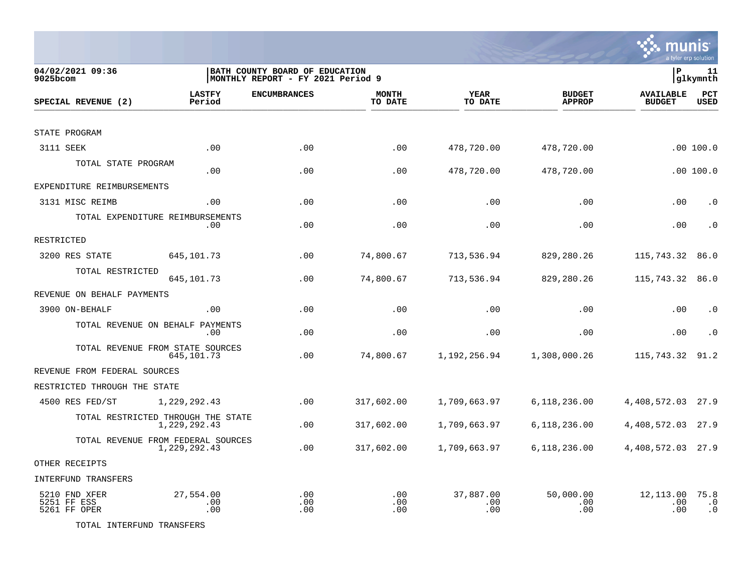

| 04/02/2021 09:36<br>$9025$ bcom              |                                                    | BATH COUNTY BOARD OF EDUCATION<br> MONTHLY REPORT - FY 2021 Period 9 |                         |                         |                                | P                                 | 11<br>glkymnth                 |
|----------------------------------------------|----------------------------------------------------|----------------------------------------------------------------------|-------------------------|-------------------------|--------------------------------|-----------------------------------|--------------------------------|
| SPECIAL REVENUE (2)                          | <b>LASTFY</b><br>Period                            | <b>ENCUMBRANCES</b>                                                  | <b>MONTH</b><br>TO DATE | <b>YEAR</b><br>TO DATE  | <b>BUDGET</b><br><b>APPROP</b> | <b>AVAILABLE</b><br><b>BUDGET</b> | PCT<br><b>USED</b>             |
|                                              |                                                    |                                                                      |                         |                         |                                |                                   |                                |
| STATE PROGRAM                                |                                                    |                                                                      |                         |                         |                                |                                   |                                |
| 3111 SEEK                                    | .00                                                | .00                                                                  | .00                     | 478,720.00              | 478,720.00                     |                                   | .00 100.0                      |
| TOTAL STATE PROGRAM                          | .00                                                | .00                                                                  | .00                     | 478,720.00              | 478,720.00                     |                                   | .00100.0                       |
| EXPENDITURE REIMBURSEMENTS                   |                                                    |                                                                      |                         |                         |                                |                                   |                                |
| 3131 MISC REIMB                              | .00                                                | .00                                                                  | .00                     | .00                     | .00                            | .00                               | $\cdot$ 0                      |
|                                              | TOTAL EXPENDITURE REIMBURSEMENTS<br>.00            | .00                                                                  | .00                     | .00                     | .00                            | .00                               | $\cdot$ 0                      |
| RESTRICTED                                   |                                                    |                                                                      |                         |                         |                                |                                   |                                |
| 3200 RES STATE                               | 645, 101.73                                        | .00                                                                  | 74,800.67               | 713,536.94              | 829,280.26                     | 115,743.32                        | 86.0                           |
| TOTAL RESTRICTED                             | 645,101.73                                         | .00                                                                  | 74,800.67               | 713,536.94              | 829,280.26                     | 115,743.32                        | 86.0                           |
| REVENUE ON BEHALF PAYMENTS                   |                                                    |                                                                      |                         |                         |                                |                                   |                                |
| 3900 ON-BEHALF                               | .00                                                | .00                                                                  | .00                     | .00                     | .00                            | .00                               | $\cdot$ 0                      |
|                                              | TOTAL REVENUE ON BEHALF PAYMENTS<br>.00            | .00                                                                  | .00                     | .00                     | .00                            | .00                               | $\cdot$ 0                      |
|                                              | TOTAL REVENUE FROM STATE SOURCES<br>645, 101.73    | .00                                                                  | 74,800.67               | 1,192,256.94            | 1,308,000.26                   | 115,743.32                        | 91.2                           |
| REVENUE FROM FEDERAL SOURCES                 |                                                    |                                                                      |                         |                         |                                |                                   |                                |
| RESTRICTED THROUGH THE STATE                 |                                                    |                                                                      |                         |                         |                                |                                   |                                |
| 4500 RES FED/ST                              | 1,229,292.43                                       | .00                                                                  | 317,602.00              | 1,709,663.97            | 6,118,236.00                   | 4,408,572.03                      | 27.9                           |
|                                              | TOTAL RESTRICTED THROUGH THE STATE<br>1,229,292.43 | .00                                                                  | 317,602.00              | 1,709,663.97            | 6,118,236.00                   | 4,408,572.03                      | 27.9                           |
|                                              | TOTAL REVENUE FROM FEDERAL SOURCES<br>1,229,292.43 | .00                                                                  | 317,602.00              | 1,709,663.97            | 6,118,236.00                   | 4,408,572.03 27.9                 |                                |
| OTHER RECEIPTS                               |                                                    |                                                                      |                         |                         |                                |                                   |                                |
| INTERFUND TRANSFERS                          |                                                    |                                                                      |                         |                         |                                |                                   |                                |
| 5210 FND XFER<br>5251 FF ESS<br>5261 FF OPER | 27,554.00<br>.00<br>.00                            | .00<br>.00<br>.00                                                    | .00<br>.00<br>.00       | 37,887.00<br>.00<br>.00 | 50,000.00<br>.00<br>.00        | 12,113.00<br>.00<br>.00           | 75.8<br>$\cdot$ 0<br>$\cdot$ 0 |

TOTAL INTERFUND TRANSFERS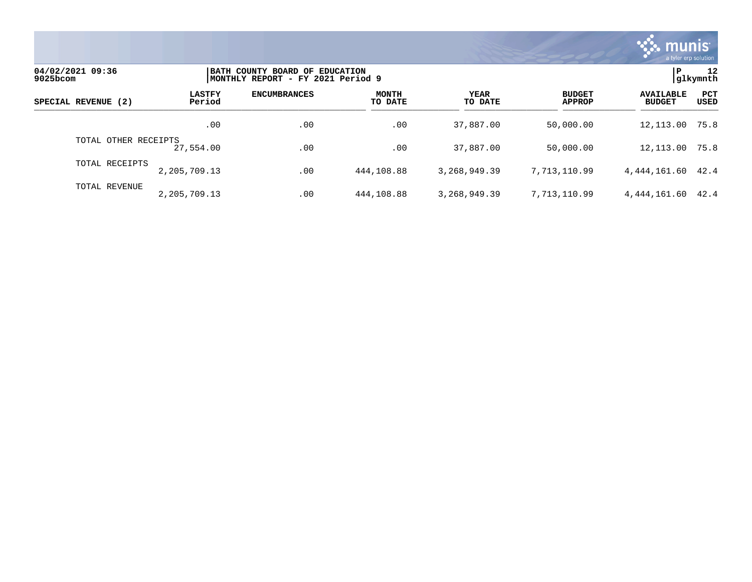

| 04/02/2021 09:36<br>9025bcom |                         | BATH COUNTY BOARD OF EDUCATION<br> MONTHLY REPORT - FY 2021 Period 9 |                         |                 |                                |                                   |                    |  |
|------------------------------|-------------------------|----------------------------------------------------------------------|-------------------------|-----------------|--------------------------------|-----------------------------------|--------------------|--|
| SPECIAL REVENUE (2)          | <b>LASTFY</b><br>Period | <b>ENCUMBRANCES</b>                                                  | <b>MONTH</b><br>TO DATE | YEAR<br>TO DATE | <b>BUDGET</b><br><b>APPROP</b> | <b>AVAILABLE</b><br><b>BUDGET</b> | <b>PCT</b><br>USED |  |
|                              | .00                     | .00                                                                  | .00                     | 37,887.00       | 50,000.00                      | 12,113.00                         | 75.8               |  |
| TOTAL OTHER RECEIPTS         | 27,554.00               | .00                                                                  | .00                     | 37,887.00       | 50,000.00                      | 12,113.00                         | 75.8               |  |
| TOTAL RECEIPTS               | 2,205,709.13            | .00                                                                  | 444,108.88              | 3, 268, 949, 39 | 7.713.110.99                   | 4, 444, 161.60 42.4               |                    |  |
| TOTAL REVENUE                | 2,205,709.13            | .00                                                                  | 444,108.88              | 3, 268, 949, 39 | 7.713.110.99                   | 4,444,161.60                      | 42.4               |  |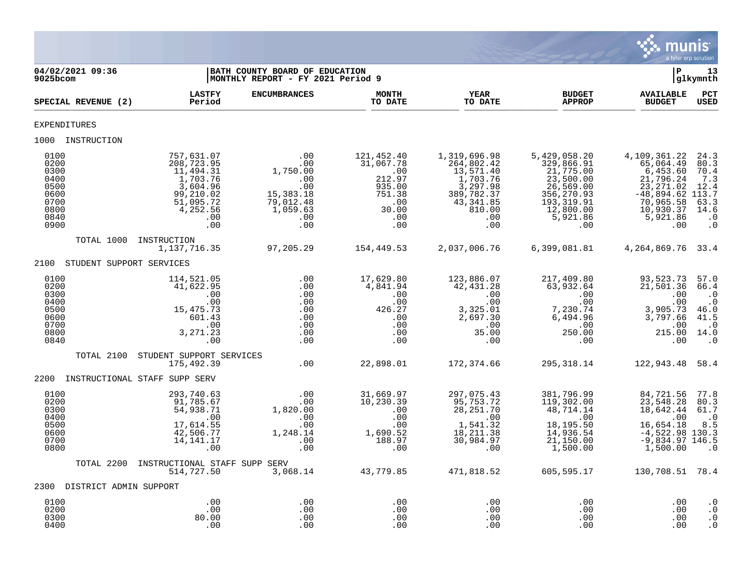

| 04/02/2021 09:36<br>9025bcom                                                 |                                                                                                                   | BATH COUNTY BOARD OF EDUCATION<br>MONTHLY REPORT - FY 2021 Period 9                        |                                                                                                   |                                                                                                                    |                                                                                                                                | ∣P                                                                                                                                  | 13<br> glkymnth                                                                                    |
|------------------------------------------------------------------------------|-------------------------------------------------------------------------------------------------------------------|--------------------------------------------------------------------------------------------|---------------------------------------------------------------------------------------------------|--------------------------------------------------------------------------------------------------------------------|--------------------------------------------------------------------------------------------------------------------------------|-------------------------------------------------------------------------------------------------------------------------------------|----------------------------------------------------------------------------------------------------|
| SPECIAL REVENUE (2)                                                          | <b>LASTFY</b><br>Period                                                                                           | <b>ENCUMBRANCES</b>                                                                        | <b>MONTH</b><br>TO DATE                                                                           | <b>YEAR</b><br>TO DATE                                                                                             | <b>BUDGET</b><br><b>APPROP</b>                                                                                                 | <b>AVAILABLE</b><br><b>BUDGET</b>                                                                                                   | $_{\rm PCT}$<br><b>USED</b>                                                                        |
| <b>EXPENDITURES</b>                                                          |                                                                                                                   |                                                                                            |                                                                                                   |                                                                                                                    |                                                                                                                                |                                                                                                                                     |                                                                                                    |
| 1000 INSTRUCTION                                                             |                                                                                                                   |                                                                                            |                                                                                                   |                                                                                                                    |                                                                                                                                |                                                                                                                                     |                                                                                                    |
| 0100<br>0200<br>0300<br>0400<br>0500<br>0600<br>0700<br>0800<br>0840<br>0900 | 757,631.07<br>208,723.95<br>11,494.31<br>1,703.76<br>3,604.96<br>99,210.02<br>51,095.72<br>4,252.56<br>.00<br>.00 | .00<br>.00<br>1,750.00<br>.00<br>.00<br>15, 383. 18<br>79,012.48<br>1,059.63<br>.00<br>.00 | 121,452.40<br>31,067.78<br>.00<br>212.97<br>935.00<br>751.38<br>$\cdot$ 00<br>30.00<br>.00<br>.00 | 1,319,696.98<br>264,802.42<br>13,571.40<br>1,703.76<br>3,297.98<br>389,782.37<br>43,341.85<br>810.00<br>.00<br>.00 | 5,429,058.20<br>329,866.91<br>21,775.00<br>23,500.00<br>26,569.00<br>356,270.93<br>193, 319.91<br>12,800.00<br>5,921.86<br>.00 | 4,109,361.22<br>65,064.49<br>6,453.60<br>21,796.24<br>23, 271.02<br>$-48,894.62$ 113.7<br>70,965.58<br>10,930.37<br>5,921.86<br>.00 | 24.3<br>80.3<br>70.4<br>7.3<br>12.4<br>63.3<br>14.6<br>$\cdot$ 0<br>$\cdot$ 0                      |
| TOTAL 1000                                                                   | INSTRUCTION<br>1,137,716.35                                                                                       | 97,205.29                                                                                  | 154,449.53                                                                                        |                                                                                                                    | 2,037,006.76 6,399,081.81                                                                                                      | 4, 264, 869. 76 33. 4                                                                                                               |                                                                                                    |
| 2100 STUDENT SUPPORT SERVICES                                                |                                                                                                                   |                                                                                            |                                                                                                   |                                                                                                                    |                                                                                                                                |                                                                                                                                     |                                                                                                    |
| 0100<br>0200<br>0300<br>0400<br>0500<br>0600<br>0700<br>0800<br>0840         | 114,521.05<br>41,622.95<br>.00<br>.00<br>15, 475. 73<br>601.43<br>.00<br>3, 271.23<br>.00                         | $0.00$<br>.00<br>.00<br>.00<br>.00<br>.00<br>.00<br>.00<br>.00                             | 17,629.80<br>4,841.94<br>.00<br>.00<br>426.27<br>.00<br>.00<br>.00<br>.00                         | 123,886.07<br>42,431.28<br>.00<br>.00<br>3,325.01<br>$2,697.30$<br>0.0<br>35.00<br>0.0<br>.00                      | 217,409.80<br>63,932.64<br>.00<br>.00<br>7,230.74<br>6,494.96<br>$\sim$ 00<br>250.00<br>.00                                    | 93,523.73<br>21,501.36<br>.00<br>.00<br>3,905.73<br>3,797.66<br>$\overline{00}$<br>215.00 14.0<br>$\cdot$ 00                        | 57.0<br>66.4<br>$\cdot$ 0<br>$\cdot$ 0<br>46.0<br>41.5<br>$\overline{\phantom{0}}$ .0<br>$\cdot$ 0 |
| TOTAL 2100                                                                   | STUDENT SUPPORT SERVICES<br>175,492.39                                                                            | .00                                                                                        | 22,898.01                                                                                         | 172,374.66                                                                                                         | 295,318.14                                                                                                                     | 122,943.48 58.4                                                                                                                     |                                                                                                    |
| 2200 INSTRUCTIONAL STAFF SUPP SERV                                           |                                                                                                                   |                                                                                            |                                                                                                   |                                                                                                                    |                                                                                                                                |                                                                                                                                     |                                                                                                    |
| 0100<br>0200<br>0300<br>0400<br>0500<br>0600<br>0700<br>0800                 | 293,740.63<br>91,785.67<br>54,938.71<br>.00<br>17,614.55<br>42,506.77<br>14, 141.17<br>.00                        | .00<br>.00<br>1,820.00<br>.00<br>.00<br>1,248.14<br>.00<br>.00                             | 31,669.97<br>10, 230.39<br>.00<br>.00<br>.00<br>1,690.52<br>188.97<br>.00                         | 297,075.43<br>95,753.72<br>28, 251.70<br>$\overline{00}$<br>1,541.32<br>18, 211.38<br>30,984.97<br>.00             | 381,796.99<br>119,302.00<br>48,714.14<br>.00<br>18,195.50<br>14,936.54<br>21,150.00<br>1,500.00                                | 84,721.56<br>23,548.28<br>18,642.44<br>.00<br>16,654.18<br>$-4,522.98$ 130.3<br>$-9,834.97$ 146.5<br>1,500.00                       | 77.8<br>80.3<br>61.7<br>$\cdot$ 0<br>8.5<br>$\cdot$ 0                                              |
| TOTAL 2200                                                                   | INSTRUCTIONAL STAFF SUPP SERV<br>514,727.50                                                                       |                                                                                            | 3,068.14 43,779.85                                                                                | 471,818.52                                                                                                         | 605,595.17                                                                                                                     | 130,708.51 78.4                                                                                                                     |                                                                                                    |
| 2300 DISTRICT ADMIN SUPPORT                                                  |                                                                                                                   |                                                                                            |                                                                                                   |                                                                                                                    |                                                                                                                                |                                                                                                                                     |                                                                                                    |
| 0100<br>0200<br>0300<br>0400                                                 | .00<br>.00<br>80.00<br>.00                                                                                        | .00<br>.00<br>.00<br>.00                                                                   | .00<br>.00<br>.00<br>.00                                                                          | .00<br>.00<br>.00<br>.00                                                                                           | .00<br>.00<br>.00<br>.00                                                                                                       | .00<br>.00<br>.00<br>.00                                                                                                            | $\cdot$ 0<br>$\cdot$ 0<br>$\cdot$ 0<br>$\cdot$ 0                                                   |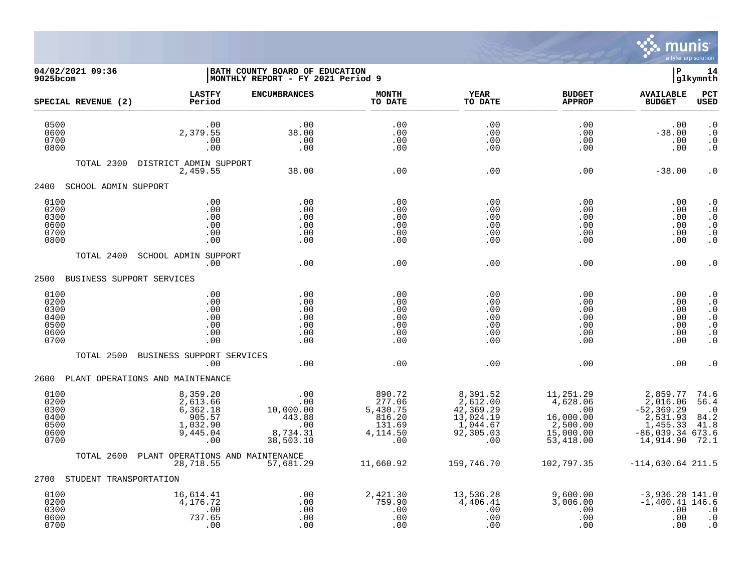

| 9025bcom                                             | 04/02/2021 09:36          |                                                                            | BATH COUNTY BOARD OF EDUCATION<br> MONTHLY REPORT - FY 2021 Period 9 |                                                                     |                                                                                 |                                                                                 | ΙP                                                                                               | 14<br>glkymnth                                                                                       |
|------------------------------------------------------|---------------------------|----------------------------------------------------------------------------|----------------------------------------------------------------------|---------------------------------------------------------------------|---------------------------------------------------------------------------------|---------------------------------------------------------------------------------|--------------------------------------------------------------------------------------------------|------------------------------------------------------------------------------------------------------|
|                                                      | SPECIAL REVENUE (2)       | <b>LASTFY</b><br>Period                                                    | <b>ENCUMBRANCES</b>                                                  | <b>MONTH</b><br>TO DATE                                             | <b>YEAR</b><br>TO DATE                                                          | <b>BUDGET</b><br><b>APPROP</b>                                                  | <b>AVAILABLE</b><br><b>BUDGET</b>                                                                | PCT<br><b>USED</b>                                                                                   |
| 0500<br>0600<br>0700<br>0800                         |                           | .00<br>2,379.55<br>.00<br>.00                                              | .00<br>38.00<br>.00<br>.00                                           | .00<br>.00<br>.00<br>.00                                            | .00<br>.00<br>.00<br>.00                                                        | .00<br>.00<br>.00<br>.00                                                        | .00<br>$-38.00$<br>.00<br>.00                                                                    | $\cdot$ 0<br>$\cdot$ 0<br>$\cdot$ 0<br>$\boldsymbol{\cdot}$ 0                                        |
|                                                      | TOTAL 2300                | DISTRICT ADMIN SUPPORT<br>2,459.55                                         | 38.00                                                                | .00                                                                 | .00                                                                             | .00                                                                             | $-38.00$                                                                                         | $\cdot$ 0                                                                                            |
| 2400                                                 | SCHOOL ADMIN SUPPORT      |                                                                            |                                                                      |                                                                     |                                                                                 |                                                                                 |                                                                                                  |                                                                                                      |
| 0100<br>0200<br>0300<br>0600<br>0700<br>0800         |                           | .00<br>.00<br>.00<br>.00<br>.00<br>.00                                     | .00<br>.00<br>.00<br>.00<br>.00<br>.00                               | .00<br>.00<br>.00<br>.00<br>.00<br>.00                              | .00<br>.00<br>.00<br>.00<br>.00<br>.00                                          | .00<br>.00<br>.00<br>.00<br>.00<br>.00                                          | .00<br>$.00 \,$<br>.00<br>.00<br>.00<br>.00                                                      | $\cdot$ 0<br>$\ddot{0}$<br>$\cdot$ 0<br>$\ddot{0}$<br>$\boldsymbol{\cdot}$ 0<br>$\cdot$ 0            |
|                                                      | TOTAL 2400                | SCHOOL ADMIN SUPPORT                                                       |                                                                      |                                                                     |                                                                                 |                                                                                 |                                                                                                  |                                                                                                      |
|                                                      |                           | .00                                                                        | .00                                                                  | .00                                                                 | .00                                                                             | .00                                                                             | .00                                                                                              | $\cdot$ 0                                                                                            |
| 2500                                                 | BUSINESS SUPPORT SERVICES |                                                                            |                                                                      |                                                                     |                                                                                 |                                                                                 |                                                                                                  |                                                                                                      |
| 0100<br>0200<br>0300<br>0400<br>0500<br>0600<br>0700 |                           | .00<br>.00<br>.00<br>.00<br>.00<br>.00<br>.00                              | .00<br>.00<br>.00<br>.00<br>.00<br>.00<br>.00                        | .00<br>.00<br>.00<br>.00<br>.00<br>.00<br>.00                       | .00<br>.00<br>.00<br>.00<br>.00<br>.00<br>.00                                   | .00<br>$.00 \,$<br>.00<br>.00<br>.00<br>.00<br>.00                              | .00<br>$.00 \,$<br>.00<br>.00<br>.00<br>.00<br>.00                                               | $\cdot$ 0<br>$\cdot$ 0<br>$\cdot$ 0<br>$\cdot$ 0<br>$\cdot$ 0<br>$\boldsymbol{\cdot}$ 0<br>$\cdot$ 0 |
|                                                      | TOTAL 2500                | BUSINESS SUPPORT SERVICES<br>.00                                           | .00                                                                  | .00                                                                 | .00                                                                             | .00                                                                             | .00                                                                                              | $\cdot$ 0                                                                                            |
| 2600                                                 |                           | PLANT OPERATIONS AND MAINTENANCE                                           |                                                                      |                                                                     |                                                                                 |                                                                                 |                                                                                                  |                                                                                                      |
| 0100<br>0200<br>0300<br>0400<br>0500<br>0600<br>0700 |                           | 8,359.20<br>2,613.66<br>6, 362.18<br>905.57<br>1,032.90<br>9,445.04<br>.00 | .00<br>.00<br>10,000.00<br>443.88<br>.00<br>8,734.31<br>38,503.10    | 890.72<br>277.06<br>5,430.75<br>816.20<br>131.69<br>4,114.50<br>.00 | 8,391.52<br>2,612.00<br>42,369.29<br>13,024.19<br>1,044.67<br>92, 305.03<br>.00 | 11,251.29<br>4,628.06<br>.00<br>16,000.00<br>2,500.00<br>15,000.00<br>53,418.00 | 2,859.77<br>2,016.06<br>$-52, 369.29$<br>2,531.93<br>1,455.33<br>$-86,039.34$ 673.6<br>14,914.90 | 74.6<br>56.4<br>$\cdot$ 0<br>84.2<br>41.8<br>72.1                                                    |
|                                                      | TOTAL 2600                | PLANT OPERATIONS AND MAINTENANCE<br>28,718.55                              | 57,681.29                                                            | 11,660.92                                                           | 159,746.70                                                                      | 102,797.35                                                                      | $-114,630.64$ 211.5                                                                              |                                                                                                      |
| 2700                                                 | STUDENT TRANSPORTATION    |                                                                            |                                                                      |                                                                     |                                                                                 |                                                                                 |                                                                                                  |                                                                                                      |
| 0100<br>0200<br>0300<br>0600                         |                           | 16,614.41<br>4,176.72<br>.00<br>737.65                                     | .00<br>.00<br>.00<br>.00                                             | 2,421.30<br>759.90<br>.00<br>.00                                    | 13,536.28<br>4,406.41<br>.00<br>.00                                             | 9,600.00<br>3,006.00<br>.00<br>.00                                              | $-3,936.28$ 141.0<br>$-1,400.41$ 146.6<br>.00<br>.00                                             | $\cdot$ 0<br>$\cdot$ 0                                                                               |

0700 .00 .00 .00 .00 .00 .00 .0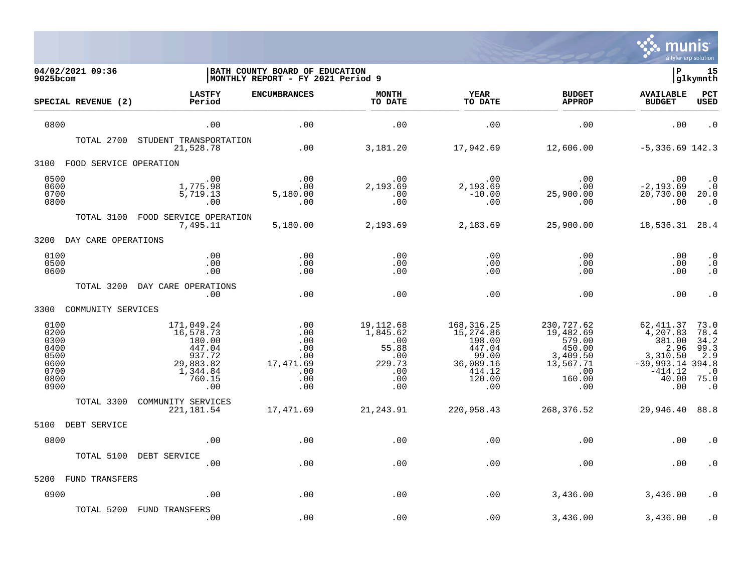

| 04/02/2021 09:36<br>9025bcom                                         |                                                                                                 | BATH COUNTY BOARD OF EDUCATION<br>MONTHLY REPORT - FY 2021 Period 9 |                                                                             |                                                                                                |                                                                                              | ∣P                                                                                                     | 15<br> glkymnth                                                       |
|----------------------------------------------------------------------|-------------------------------------------------------------------------------------------------|---------------------------------------------------------------------|-----------------------------------------------------------------------------|------------------------------------------------------------------------------------------------|----------------------------------------------------------------------------------------------|--------------------------------------------------------------------------------------------------------|-----------------------------------------------------------------------|
| SPECIAL REVENUE (2)                                                  | <b>LASTFY</b><br>Period                                                                         | <b>ENCUMBRANCES</b>                                                 | <b>MONTH</b><br>TO DATE                                                     | YEAR<br>TO DATE                                                                                | <b>BUDGET</b><br><b>APPROP</b>                                                               | <b>AVAILABLE</b><br><b>BUDGET</b>                                                                      | PCT<br><b>USED</b>                                                    |
| 0800                                                                 | .00                                                                                             | .00                                                                 | .00                                                                         | .00                                                                                            | .00                                                                                          | .00                                                                                                    | $\cdot$ 0                                                             |
| TOTAL 2700                                                           | STUDENT TRANSPORTATION<br>21,528.78                                                             | .00                                                                 | 3,181.20                                                                    | 17,942.69                                                                                      | 12,606.00                                                                                    | $-5,336.69$ 142.3                                                                                      |                                                                       |
| 3100<br>FOOD SERVICE OPERATION                                       |                                                                                                 |                                                                     |                                                                             |                                                                                                |                                                                                              |                                                                                                        |                                                                       |
| 0500<br>0600<br>0700<br>0800                                         | .00<br>1,775.98<br>5,719.13<br>.00                                                              | $\begin{array}{c} 0.00 \\ -0.00 \end{array}$<br>5,180.00<br>.00     | $.00 \,$<br>2,193.69<br>.00<br>.00                                          | .00<br>2,193.69<br>$-10.00$<br>.00                                                             | .00<br>$.00 \,$<br>25,900.00<br>.00                                                          | .00<br>$-2, 193.69$<br>20,730.00 20.0<br>.00                                                           | $\begin{array}{c} .0 \\ .0 \end{array}$<br>$\cdot$ 0                  |
|                                                                      | TOTAL 3100 FOOD SERVICE OPERATION<br>7,495.11                                                   | 5,180.00                                                            | 2,193.69 2,183.69                                                           |                                                                                                | 25,900.00                                                                                    | 18,536.31 28.4                                                                                         |                                                                       |
| 3200 DAY CARE OPERATIONS                                             |                                                                                                 |                                                                     |                                                                             |                                                                                                |                                                                                              |                                                                                                        |                                                                       |
| 0100<br>0500<br>0600                                                 | .00<br>.00<br>.00                                                                               | .00<br>.00<br>.00                                                   | .00<br>.00<br>.00                                                           | .00<br>$.00 \,$<br>.00                                                                         | .00<br>.00<br>.00                                                                            | .00<br>.00<br>.00                                                                                      | $\cdot$ 0<br>$\cdot$ 0<br>$\cdot$ 0                                   |
| TOTAL 3200                                                           | DAY CARE OPERATIONS<br>.00                                                                      | .00                                                                 | .00                                                                         | .00                                                                                            | .00                                                                                          | .00                                                                                                    | $\cdot$ 0                                                             |
| COMMUNITY SERVICES<br>3300                                           |                                                                                                 |                                                                     |                                                                             |                                                                                                |                                                                                              |                                                                                                        |                                                                       |
| 0100<br>0200<br>0300<br>0400<br>0500<br>0600<br>0700<br>0800<br>0900 | 171,049.24<br>16,578.73<br>180.00<br>447.04<br>937.72<br>29,883.82<br>1,344.84<br>760.15<br>.00 | .00<br>.00<br>.00<br>.00<br>.00<br>17,471.69<br>.00<br>.00<br>.00   | 19,112.68<br>1,845.62<br>.00<br>55.88<br>.00<br>229.73<br>.00<br>.00<br>.00 | 168, 316. 25<br>15,274.86<br>198.00<br>447.04<br>99.00<br>36,089.16<br>414.12<br>120.00<br>.00 | 230,727.62<br>19,482.69<br>579.00<br>450.00<br>3,409.50<br>13,567.71<br>.00<br>160.00<br>.00 | 62,411.37<br>4,207.83<br>381.00<br>2.96<br>3,310.50<br>$-39,993.14$ 394.8<br>$-414.12$<br>40.00<br>.00 | 73.0<br>78.4<br>34.2<br>99.3<br>2.9<br>$\cdot$ 0<br>75.0<br>$\cdot$ 0 |
| TOTAL 3300                                                           | COMMUNITY SERVICES<br>221,181.54                                                                | 17,471.69                                                           | 21,243.91                                                                   | 220,958.43                                                                                     | 268,376.52                                                                                   | 29,946.40 88.8                                                                                         |                                                                       |
| 5100<br>DEBT SERVICE                                                 |                                                                                                 |                                                                     |                                                                             |                                                                                                |                                                                                              |                                                                                                        |                                                                       |
| 0800                                                                 | .00                                                                                             | .00                                                                 | .00                                                                         | .00                                                                                            | .00                                                                                          | .00                                                                                                    | . 0                                                                   |
| TOTAL 5100                                                           | DEBT SERVICE<br>.00                                                                             | .00                                                                 | .00                                                                         | .00                                                                                            | .00                                                                                          | .00                                                                                                    | $\cdot$ 0                                                             |
| 5200<br>FUND TRANSFERS                                               |                                                                                                 |                                                                     |                                                                             |                                                                                                |                                                                                              |                                                                                                        |                                                                       |
| 0900                                                                 | .00                                                                                             | .00                                                                 | .00                                                                         | .00                                                                                            | 3,436.00                                                                                     | 3,436.00                                                                                               | $\cdot$ 0                                                             |
| TOTAL 5200                                                           | FUND TRANSFERS<br>.00                                                                           | .00                                                                 | .00                                                                         | .00                                                                                            | 3,436.00                                                                                     | 3,436.00                                                                                               | $\cdot$ 0                                                             |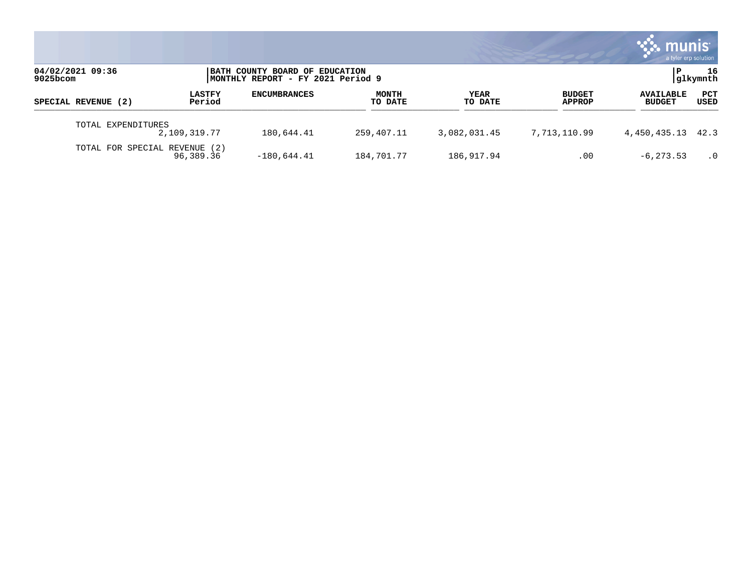|                               |                         |                                                                      |                         |                 |                                | mui<br>a tyler erp solution       |                 |
|-------------------------------|-------------------------|----------------------------------------------------------------------|-------------------------|-----------------|--------------------------------|-----------------------------------|-----------------|
| 04/02/2021 09:36<br>9025bcom  |                         | BATH COUNTY BOARD OF EDUCATION<br> MONTHLY REPORT - FY 2021 Period 9 |                         |                 |                                |                                   | 16<br> glkymnth |
| SPECIAL REVENUE (2)           | <b>LASTFY</b><br>Period | <b>ENCUMBRANCES</b>                                                  | <b>MONTH</b><br>TO DATE | YEAR<br>TO DATE | <b>BUDGET</b><br><b>APPROP</b> | <b>AVAILABLE</b><br><b>BUDGET</b> | PCT<br>USED     |
| TOTAL EXPENDITURES            | 2,109,319.77            | 180,644.41                                                           | 259,407.11              | 3,082,031.45    | 7,713,110.99                   | 4,450,435.13                      | 42.3            |
| TOTAL FOR SPECIAL REVENUE (2) | 96,389.36               | $-180,644.41$                                                        | 184,701.77              | 186,917.94      | .00                            | $-6, 273.53$                      | $\cdot$ 0       |

the contract of the contract of

a sa mga magaalang na mga magaalang ng mga magaalang ng mga magaalang ng magaalang ng magaalang ng magaalang n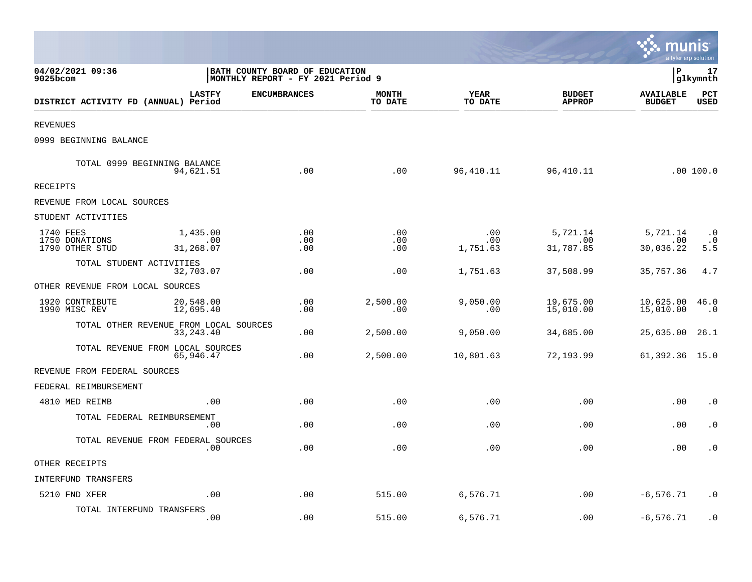|                                                |                                                                            |                     |                         |                        |                                | <u>ः munis</u><br>a tyler erp solution |                               |
|------------------------------------------------|----------------------------------------------------------------------------|---------------------|-------------------------|------------------------|--------------------------------|----------------------------------------|-------------------------------|
| 04/02/2021 09:36<br>9025bcom                   | <b>BATH COUNTY BOARD OF EDUCATION</b><br>MONTHLY REPORT - FY 2021 Period 9 |                     |                         |                        |                                | l P                                    | 17<br> glkymnth               |
| DISTRICT ACTIVITY FD (ANNUAL) Period           | <b>LASTFY</b>                                                              | <b>ENCUMBRANCES</b> | <b>MONTH</b><br>TO DATE | YEAR<br>TO DATE        | <b>BUDGET</b><br><b>APPROP</b> | <b>AVAILABLE</b><br><b>BUDGET</b>      | PCT<br><b>USED</b>            |
| <b>REVENUES</b>                                |                                                                            |                     |                         |                        |                                |                                        |                               |
| 0999 BEGINNING BALANCE                         |                                                                            |                     |                         |                        |                                |                                        |                               |
| TOTAL 0999 BEGINNING BALANCE                   | 94,621.51                                                                  | .00                 | .00                     | 96,410.11              | 96,410.11                      |                                        | .00 100.0                     |
| RECEIPTS                                       |                                                                            |                     |                         |                        |                                |                                        |                               |
| REVENUE FROM LOCAL SOURCES                     |                                                                            |                     |                         |                        |                                |                                        |                               |
| STUDENT ACTIVITIES                             |                                                                            |                     |                         |                        |                                |                                        |                               |
| 1740 FEES<br>1750 DONATIONS<br>1790 OTHER STUD | 1,435.00<br>.00<br>31,268.07                                               | .00<br>.00<br>.00   | .00<br>.00<br>.00       | .00<br>.00<br>1,751.63 | 5,721.14<br>.00<br>31,787.85   | 5,721.14<br>.00<br>30,036.22           | $\cdot$ 0<br>$\cdot$ 0<br>5.5 |
| TOTAL STUDENT ACTIVITIES                       | 32,703.07                                                                  | .00                 | .00                     | 1,751.63               | 37,508.99                      | 35,757.36                              | 4.7                           |
| OTHER REVENUE FROM LOCAL SOURCES               |                                                                            |                     |                         |                        |                                |                                        |                               |
| 1920 CONTRIBUTE<br>1990 MISC REV               | 20,548.00<br>12,695.40                                                     | .00<br>.00          | 2,500.00<br>.00         | 9,050.00<br>.00        | 19,675.00<br>15,010.00         | 10,625.00<br>15,010.00                 | 46.0<br>$\cdot$ 0             |
| TOTAL OTHER REVENUE FROM LOCAL SOURCES         | 33, 243. 40                                                                | .00                 | 2,500.00                | 9,050.00               | 34,685.00                      | 25,635.00                              | 26.1                          |
| TOTAL REVENUE FROM LOCAL SOURCES               | 65,946.47                                                                  | .00                 | 2,500.00                | 10,801.63              | 72,193.99                      | 61,392.36 15.0                         |                               |
| REVENUE FROM FEDERAL SOURCES                   |                                                                            |                     |                         |                        |                                |                                        |                               |
| FEDERAL REIMBURSEMENT                          |                                                                            |                     |                         |                        |                                |                                        |                               |
| 4810 MED REIMB                                 | .00                                                                        | .00                 | .00                     | .00                    | .00                            | .00                                    | $\cdot$ 0                     |
| TOTAL FEDERAL REIMBURSEMENT                    | .00                                                                        | .00                 | .00                     | .00                    | .00                            | .00                                    | $\cdot$ 0                     |
| TOTAL REVENUE FROM FEDERAL SOURCES             | .00                                                                        | .00                 | .00                     | .00                    | .00                            | .00                                    | $\cdot$ 0                     |
| OTHER RECEIPTS                                 |                                                                            |                     |                         |                        |                                |                                        |                               |
| INTERFUND TRANSFERS                            |                                                                            |                     |                         |                        |                                |                                        |                               |
| 5210 FND XFER                                  | .00                                                                        | .00                 | 515.00                  | 6,576.71               | .00                            | $-6,576.71$                            | . 0                           |
| TOTAL INTERFUND TRANSFERS                      | .00                                                                        | .00                 | 515.00                  | 6,576.71               | .00                            | $-6, 576.71$                           | $\cdot$ 0                     |

and the contract of the contract of the contract of the contract of the contract of the contract of the contract of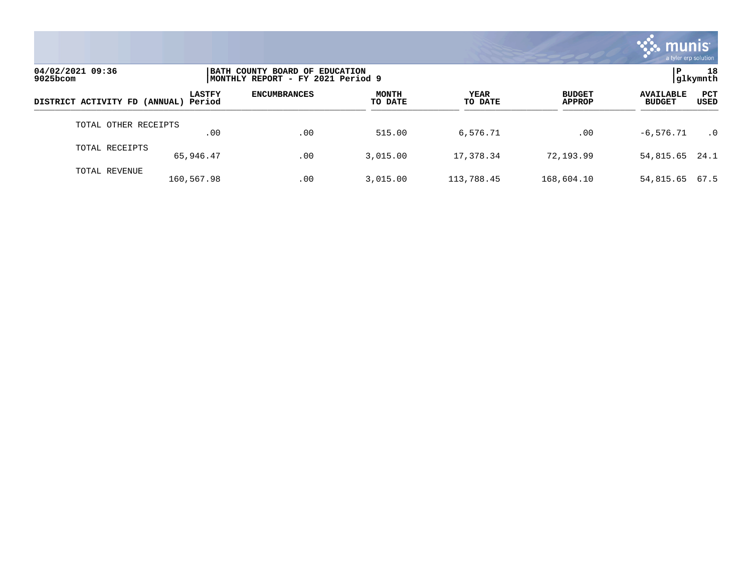

| 04/02/2021 09:36<br>$9025$ bcom      |               | BATH COUNTY BOARD OF EDUCATION<br>MONTHLY REPORT - FY 2021 Period 9 |                         |                        |                                |                                   |                    |  |
|--------------------------------------|---------------|---------------------------------------------------------------------|-------------------------|------------------------|--------------------------------|-----------------------------------|--------------------|--|
| DISTRICT ACTIVITY FD (ANNUAL) Period | <b>LASTFY</b> | <b>ENCUMBRANCES</b>                                                 | <b>MONTH</b><br>TO DATE | <b>YEAR</b><br>TO DATE | <b>BUDGET</b><br><b>APPROP</b> | <b>AVAILABLE</b><br><b>BUDGET</b> | <b>PCT</b><br>USED |  |
| TOTAL OTHER RECEIPTS                 | .00           | .00                                                                 | 515.00                  | 6,576.71               | .00                            | $-6.576.71$                       | $\cdot$ 0          |  |
| TOTAL RECEIPTS                       | 65,946.47     | .00                                                                 | 3,015.00                | 17,378.34              | 72,193.99                      | 54,815.65 24.1                    |                    |  |
| TOTAL REVENUE                        | 160,567.98    | .00                                                                 | 3,015.00                | 113,788.45             | 168,604.10                     | 54,815.65                         | 67.5               |  |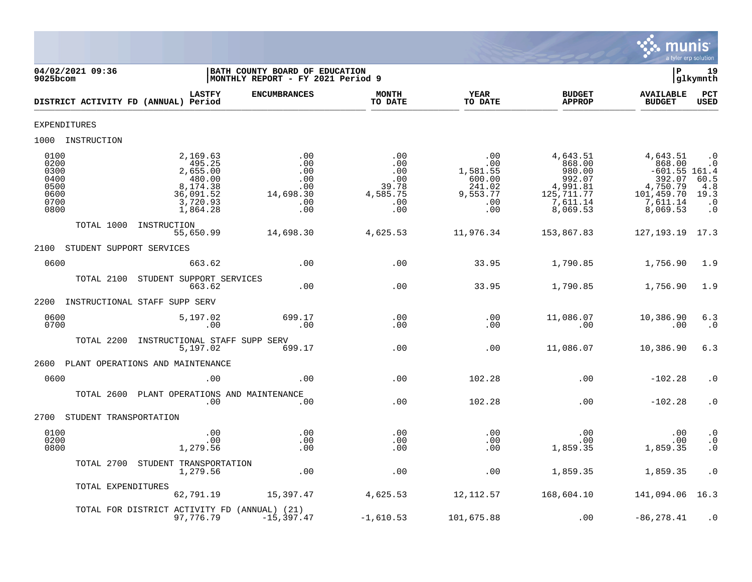

| 04/02/2021 09:36<br>$9025$ bcom                              |                                                                                           | BATH COUNTY BOARD OF EDUCATION<br>MONTHLY REPORT - FY 2021 Period 9 |                                                             |                                                                      |                                                                                            | Þ                                                                                                 | 19<br>glkymnth                                                              |
|--------------------------------------------------------------|-------------------------------------------------------------------------------------------|---------------------------------------------------------------------|-------------------------------------------------------------|----------------------------------------------------------------------|--------------------------------------------------------------------------------------------|---------------------------------------------------------------------------------------------------|-----------------------------------------------------------------------------|
|                                                              | <b>LASTFY</b><br>DISTRICT ACTIVITY FD (ANNUAL) Period                                     | <b>ENCUMBRANCES</b>                                                 | <b>MONTH</b><br>TO DATE                                     | YEAR<br>TO DATE                                                      | <b>BUDGET</b><br><b>APPROP</b>                                                             | <b>AVAILABLE</b><br><b>BUDGET</b>                                                                 | PCT<br>USED                                                                 |
| <b>EXPENDITURES</b>                                          |                                                                                           |                                                                     |                                                             |                                                                      |                                                                                            |                                                                                                   |                                                                             |
| 1000 INSTRUCTION                                             |                                                                                           |                                                                     |                                                             |                                                                      |                                                                                            |                                                                                                   |                                                                             |
| 0100<br>0200<br>0300<br>0400<br>0500<br>0600<br>0700<br>0800 | 2,169.63<br>495.25<br>2,655.00<br>480.00<br>8,174.38<br>36,091.52<br>3,720.93<br>1,864.28 | .00<br>.00<br>.00<br>.00<br>.00<br>14,698.30<br>.00<br>.00          | .00<br>.00<br>.00<br>.00<br>39.78<br>4,585.75<br>.00<br>.00 | .00<br>.00<br>1,581.55<br>600.00<br>241.02<br>9,553.77<br>.00<br>.00 | 4,643.51<br>868.00<br>980.00<br>992.07<br>4,991.81<br>125, 711. 77<br>7,611.14<br>8,069.53 | 4,643.51<br>868.00<br>$-601.55$ 161.4<br>392.07<br>4,750.79<br>101,459.70<br>7,611.14<br>8,069.53 | $\cdot$ 0<br>$\cdot$ 0<br>$60.5$<br>$4.8$<br>19.3<br>$\cdot$ 0<br>$\cdot$ 0 |
| TOTAL 1000                                                   | INSTRUCTION<br>55,650.99                                                                  | 14,698.30                                                           | 4,625.53                                                    | 11,976.34                                                            | 153,867.83                                                                                 | 127, 193. 19 17. 3                                                                                |                                                                             |
| 2100                                                         | STUDENT SUPPORT SERVICES                                                                  |                                                                     |                                                             |                                                                      |                                                                                            |                                                                                                   |                                                                             |
| 0600                                                         | 663.62                                                                                    | .00                                                                 | .00                                                         | 33.95                                                                | 1,790.85                                                                                   | 1,756.90                                                                                          | 1.9                                                                         |
| TOTAL 2100                                                   | STUDENT SUPPORT SERVICES<br>663.62                                                        | .00                                                                 | .00                                                         | 33.95                                                                | 1,790.85                                                                                   | 1,756.90                                                                                          | 1.9                                                                         |
| 2200                                                         | INSTRUCTIONAL STAFF SUPP SERV                                                             |                                                                     |                                                             |                                                                      |                                                                                            |                                                                                                   |                                                                             |
| 0600<br>0700                                                 | 5,197.02<br>.00                                                                           | 699.17<br>.00                                                       | .00<br>.00                                                  | .00<br>.00                                                           | 11,086.07<br>.00                                                                           | 10,386.90<br>.00                                                                                  | 6.3<br>$\cdot$ 0                                                            |
| TOTAL 2200                                                   | INSTRUCTIONAL STAFF SUPP SERV<br>5,197.02                                                 | 699.17                                                              | .00                                                         | .00                                                                  | 11,086.07                                                                                  | 10,386.90                                                                                         | 6.3                                                                         |
| 2600                                                         | PLANT OPERATIONS AND MAINTENANCE                                                          |                                                                     |                                                             |                                                                      |                                                                                            |                                                                                                   |                                                                             |
| 0600                                                         | .00                                                                                       | .00                                                                 | .00                                                         | 102.28                                                               | .00                                                                                        | $-102.28$                                                                                         | $\cdot$ 0                                                                   |
|                                                              | TOTAL 2600 PLANT OPERATIONS AND MAINTENANCE<br>.00                                        | .00                                                                 | .00                                                         | 102.28                                                               | .00                                                                                        | $-102.28$                                                                                         | $\cdot$ 0                                                                   |
| 2700                                                         | STUDENT TRANSPORTATION                                                                    |                                                                     |                                                             |                                                                      |                                                                                            |                                                                                                   |                                                                             |
| 0100<br>0200<br>0800                                         | .00<br>.00<br>1,279.56                                                                    | .00<br>.00<br>.00                                                   | .00<br>.00<br>.00                                           | .00<br>.00<br>.00                                                    | .00<br>.00<br>1,859.35                                                                     | .00<br>.00<br>1,859.35                                                                            | $\cdot$ 0<br>$\frac{0}{0}$                                                  |
|                                                              | TOTAL 2700 STUDENT TRANSPORTATION<br>1,279.56                                             | .00                                                                 | .00                                                         | .00                                                                  | 1,859.35                                                                                   | 1,859.35                                                                                          | $\cdot$ 0                                                                   |
|                                                              | TOTAL EXPENDITURES<br>62,791.19                                                           | 15,397.47                                                           | 4,625.53                                                    | 12,112.57                                                            | 168,604.10                                                                                 | 141,094.06 16.3                                                                                   |                                                                             |
|                                                              | TOTAL FOR DISTRICT ACTIVITY FD (ANNUAL) (21)<br>97,776.79                                 | $-15,397.47$                                                        | $-1,610.53$                                                 | 101,675.88                                                           | .00                                                                                        | $-86, 278.41$                                                                                     | $\cdot$ 0                                                                   |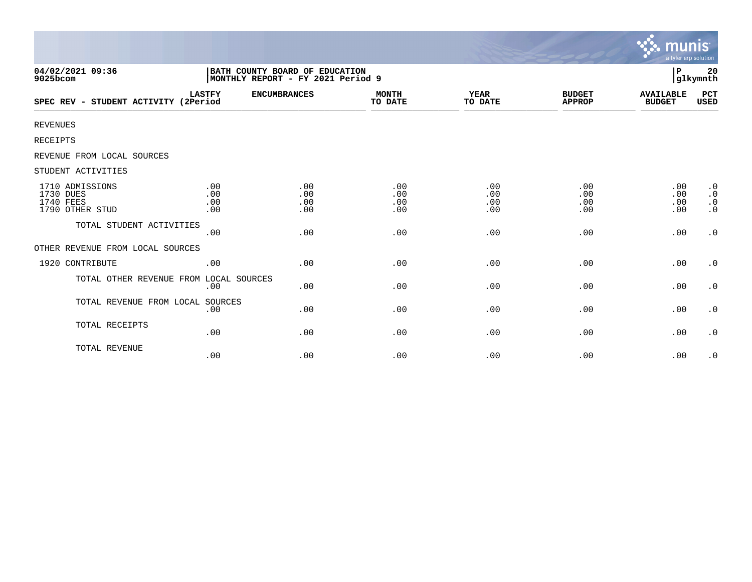|                                                              |                                                                     |                          |                          |                          |                                | munis<br>a tyler erp solution     |                                                  |
|--------------------------------------------------------------|---------------------------------------------------------------------|--------------------------|--------------------------|--------------------------|--------------------------------|-----------------------------------|--------------------------------------------------|
| 04/02/2021 09:36<br>9025bcom                                 | BATH COUNTY BOARD OF EDUCATION<br>MONTHLY REPORT - FY 2021 Period 9 |                          |                          |                          |                                | P                                 | 20<br>glkymnth                                   |
| SPEC REV - STUDENT ACTIVITY (2Period                         | <b>LASTFY</b>                                                       | <b>ENCUMBRANCES</b>      | <b>MONTH</b><br>TO DATE  | YEAR<br>TO DATE          | <b>BUDGET</b><br><b>APPROP</b> | <b>AVAILABLE</b><br><b>BUDGET</b> | PCT<br>USED                                      |
| <b>REVENUES</b>                                              |                                                                     |                          |                          |                          |                                |                                   |                                                  |
| RECEIPTS                                                     |                                                                     |                          |                          |                          |                                |                                   |                                                  |
| REVENUE FROM LOCAL SOURCES                                   |                                                                     |                          |                          |                          |                                |                                   |                                                  |
| STUDENT ACTIVITIES                                           |                                                                     |                          |                          |                          |                                |                                   |                                                  |
| 1710 ADMISSIONS<br>1730 DUES<br>1740 FEES<br>1790 OTHER STUD | .00<br>.00<br>.00<br>.00                                            | .00<br>.00<br>.00<br>.00 | .00<br>.00<br>.00<br>.00 | .00<br>.00<br>.00<br>.00 | .00<br>.00<br>.00<br>.00       | .00<br>.00<br>.00<br>.00          | $\cdot$ 0<br>$\cdot$ 0<br>$\cdot$ 0<br>$\cdot$ 0 |
| TOTAL STUDENT ACTIVITIES                                     | .00                                                                 | .00                      | .00                      | .00                      | .00                            | .00                               | $\cdot$ 0                                        |
| OTHER REVENUE FROM LOCAL SOURCES                             |                                                                     |                          |                          |                          |                                |                                   |                                                  |
| 1920 CONTRIBUTE                                              | .00                                                                 | .00                      | .00                      | .00                      | .00                            | .00                               | $\cdot$ 0                                        |
| TOTAL OTHER REVENUE FROM LOCAL SOURCES                       | .00                                                                 | .00                      | .00                      | .00                      | .00                            | .00                               | $\cdot$ 0                                        |
| TOTAL REVENUE FROM LOCAL                                     | SOURCES<br>.00                                                      | .00                      | .00                      | .00                      | .00                            | .00                               | $\cdot$ 0                                        |
| TOTAL RECEIPTS                                               | .00                                                                 | .00                      | .00                      | .00                      | .00                            | .00                               | $\cdot$ 0                                        |
| TOTAL REVENUE                                                | .00                                                                 | .00                      | .00                      | .00                      | .00                            | .00                               | $\cdot$ 0                                        |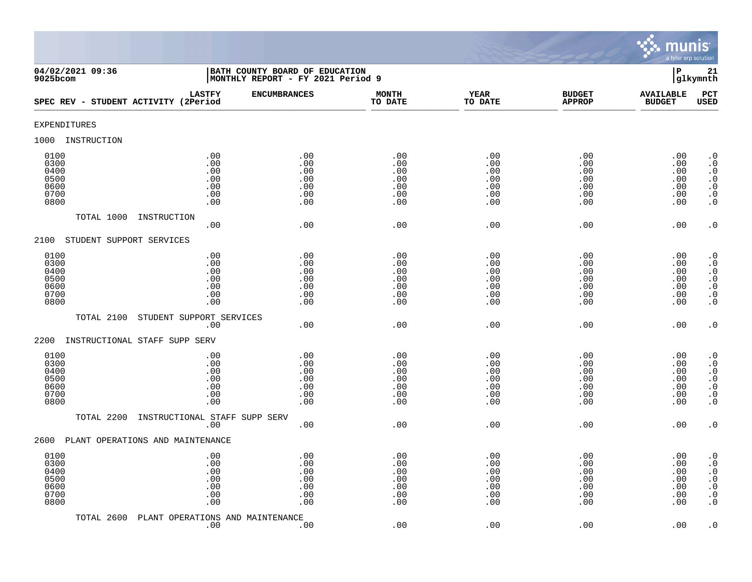

| 04/02/2021 09:36<br>$9025$ bcom                      |                                                                       | BATH COUNTY BOARD OF EDUCATION<br>MONTHLY REPORT - FY 2021 Period 9 |                                               |                                               |                                               | ${\bf P}$                                     | 21<br>glkymnth                                                                                                                                |
|------------------------------------------------------|-----------------------------------------------------------------------|---------------------------------------------------------------------|-----------------------------------------------|-----------------------------------------------|-----------------------------------------------|-----------------------------------------------|-----------------------------------------------------------------------------------------------------------------------------------------------|
| SPEC REV - STUDENT ACTIVITY (2Period                 | <b>LASTFY</b>                                                         | <b>ENCUMBRANCES</b>                                                 | <b>MONTH</b><br>TO DATE                       | <b>YEAR</b><br>TO DATE                        | <b>BUDGET</b><br><b>APPROP</b>                | <b>AVAILABLE</b><br><b>BUDGET</b>             | PCT<br><b>USED</b>                                                                                                                            |
| <b>EXPENDITURES</b>                                  |                                                                       |                                                                     |                                               |                                               |                                               |                                               |                                                                                                                                               |
| 1000<br>INSTRUCTION                                  |                                                                       |                                                                     |                                               |                                               |                                               |                                               |                                                                                                                                               |
| 0100<br>0300<br>0400<br>0500<br>0600<br>0700<br>0800 | .00<br>.00<br>.00<br>$.00$<br>.00<br>.00<br>.00                       | .00<br>.00<br>.00<br>.00<br>.00<br>.00<br>.00                       | .00<br>.00<br>.00<br>.00<br>.00<br>.00<br>.00 | .00<br>.00<br>.00<br>.00<br>.00<br>.00<br>.00 | .00<br>.00<br>.00<br>.00<br>.00<br>.00<br>.00 | .00<br>.00<br>.00<br>.00<br>.00<br>.00<br>.00 | $\cdot$ 0<br>$\boldsymbol{\cdot}$ 0<br>$\cdot$ 0<br>$\begin{smallmatrix} 0.1 \\ 0.1 \end{smallmatrix}$<br>$\boldsymbol{\cdot}$ 0<br>$\cdot$ 0 |
| TOTAL 1000                                           | INSTRUCTION<br>.00                                                    | .00                                                                 | .00                                           | .00                                           | .00                                           | .00                                           | $\cdot$ 0                                                                                                                                     |
| STUDENT SUPPORT SERVICES<br>2100                     |                                                                       |                                                                     |                                               |                                               |                                               |                                               |                                                                                                                                               |
| 0100<br>0300<br>0400<br>0500<br>0600<br>0700<br>0800 | .00<br>.00<br>.00<br>.00<br>.00<br>.00<br>.00                         | .00<br>.00<br>.00<br>.00<br>.00<br>.00<br>.00                       | .00<br>.00<br>.00<br>.00<br>.00<br>.00<br>.00 | .00<br>.00<br>.00<br>.00<br>.00<br>.00<br>.00 | .00<br>.00<br>.00<br>.00<br>.00<br>.00<br>.00 | .00<br>.00<br>.00<br>.00<br>.00<br>.00<br>.00 | $\cdot$ 0<br>$\cdot$ 0<br>$\cdot$ 0<br>$\begin{array}{c} . & 0 \\ . & 0 \\ . & 0 \end{array}$<br>$\cdot$ 0                                    |
| TOTAL 2100                                           | STUDENT SUPPORT SERVICES                                              |                                                                     |                                               |                                               |                                               |                                               |                                                                                                                                               |
| 2200<br>INSTRUCTIONAL STAFF SUPP SERV                | .00                                                                   | .00                                                                 | .00                                           | .00                                           | .00                                           | .00                                           | $\cdot$ 0                                                                                                                                     |
| 0100<br>0300<br>0400<br>0500<br>0600<br>0700<br>0800 | .00<br>.00<br>.00<br>.00<br>.00<br>.00<br>.00                         | .00<br>.00<br>.00<br>.00<br>.00<br>.00<br>.00                       | .00<br>.00<br>.00<br>.00<br>.00<br>.00<br>.00 | .00<br>.00<br>.00<br>.00<br>.00<br>.00<br>.00 | .00<br>.00<br>.00<br>.00<br>.00<br>.00<br>.00 | .00<br>.00<br>.00<br>.00<br>.00<br>.00<br>.00 | $\cdot$ 0<br>$\cdot$ 0<br>$\begin{smallmatrix} 0 \\ 0 \\ 0 \end{smallmatrix}$<br>$\ddot{0}$<br>$\boldsymbol{\cdot}$ 0<br>$\overline{0}$       |
| TOTAL 2200                                           | INSTRUCTIONAL STAFF SUPP SERV<br>.00                                  | .00                                                                 | .00                                           | .00                                           | .00                                           | .00                                           | $\cdot$ 0                                                                                                                                     |
| PLANT OPERATIONS AND MAINTENANCE<br>2600             |                                                                       |                                                                     |                                               |                                               |                                               |                                               |                                                                                                                                               |
| 0100<br>0300<br>0400<br>0500<br>0600<br>0700<br>0800 | .00<br>.00<br>.00<br>.00<br>.00<br>.00<br>$\boldsymbol{\mathsf{.00}}$ | .00<br>.00<br>.00<br>.00<br>.00<br>.00<br>.00                       | .00<br>.00<br>.00<br>.00<br>.00<br>.00<br>.00 | .00<br>.00<br>.00<br>.00<br>.00<br>.00<br>.00 | .00<br>.00<br>.00<br>.00<br>.00<br>.00<br>.00 | .00<br>.00<br>.00<br>.00<br>.00<br>.00<br>.00 | $\cdot$ 0<br>$\cdot$ 0<br>$\boldsymbol{\cdot}$ 0<br>$\ddot{0}$<br>$\boldsymbol{\cdot}$ 0<br>$\boldsymbol{\cdot}$ 0<br>$\cdot$ 0               |
| TOTAL 2600                                           | PLANT OPERATIONS AND MAINTENANCE<br>.00                               | .00                                                                 | .00                                           | .00                                           | .00                                           | .00                                           | $\cdot$ 0                                                                                                                                     |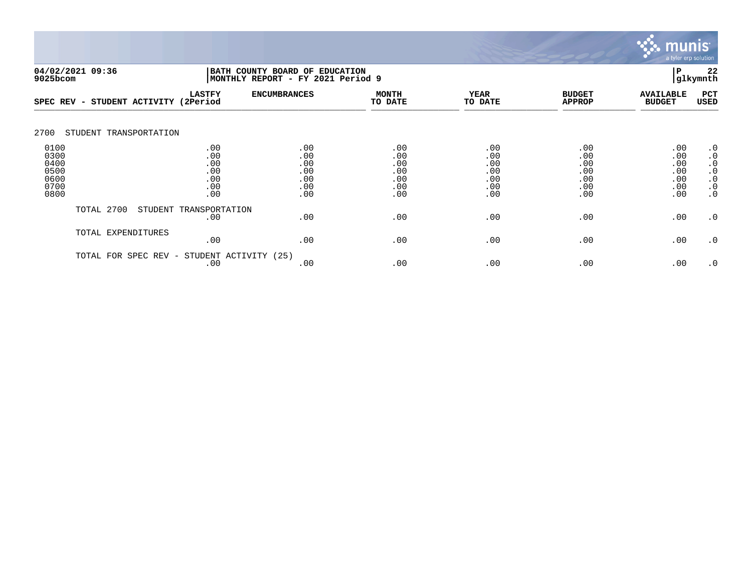

| 04/02/2021 09:36<br>BATH COUNTY BOARD OF<br>9025bcom |                                              |                                               | MONTHLY REPORT - FY 2021 Period 9             | <b>EDUCATION</b><br>Р<br>glkymnth             |                                               |                                               |                                               |                                                                                         |  |  |
|------------------------------------------------------|----------------------------------------------|-----------------------------------------------|-----------------------------------------------|-----------------------------------------------|-----------------------------------------------|-----------------------------------------------|-----------------------------------------------|-----------------------------------------------------------------------------------------|--|--|
| SPEC REV                                             | STUDENT ACTIVITY<br>$\overline{\phantom{0}}$ | <b>LASTFY</b><br>(2Period                     | <b>ENCUMBRANCES</b>                           | <b>MONTH</b><br>TO DATE                       | <b>YEAR</b><br>TO DATE                        | <b>BUDGET</b><br><b>APPROP</b>                | <b>AVAILABLE</b><br><b>BUDGET</b>             | PCT<br>USED                                                                             |  |  |
| 2700                                                 | STUDENT TRANSPORTATION                       |                                               |                                               |                                               |                                               |                                               |                                               |                                                                                         |  |  |
| 0100<br>0300<br>0400<br>0500<br>0600<br>0700<br>0800 |                                              | .00<br>.00<br>.00<br>.00<br>.00<br>.00<br>.00 | .00<br>.00<br>.00<br>.00<br>.00<br>.00<br>.00 | .00<br>.00<br>.00<br>.00<br>.00<br>.00<br>.00 | .00<br>.00<br>.00<br>.00<br>.00<br>.00<br>.00 | .00<br>.00<br>.00<br>.00<br>.00<br>.00<br>.00 | .00<br>.00<br>.00<br>.00<br>.00<br>.00<br>.00 | $\cdot$ 0<br>$\cdot$ 0<br>$\cdot$ 0<br>$\cdot$ 0<br>$\cdot$ 0<br>$\cdot$ 0<br>$\cdot$ 0 |  |  |
|                                                      | TOTAL 2700                                   | STUDENT TRANSPORTATION<br>.00                 | .00                                           | .00                                           | .00                                           | .00                                           | .00                                           | $\cdot$ 0                                                                               |  |  |
|                                                      | TOTAL EXPENDITURES                           | .00                                           | .00                                           | .00                                           | .00                                           | .00                                           | .00                                           | $\cdot$ 0                                                                               |  |  |
|                                                      | TOTAL FOR<br>SPEC REV -                      | STUDENT ACTIVITY<br>.00                       | (25)<br>.00                                   | .00                                           | .00                                           | .00                                           | .00                                           | $\cdot$ 0                                                                               |  |  |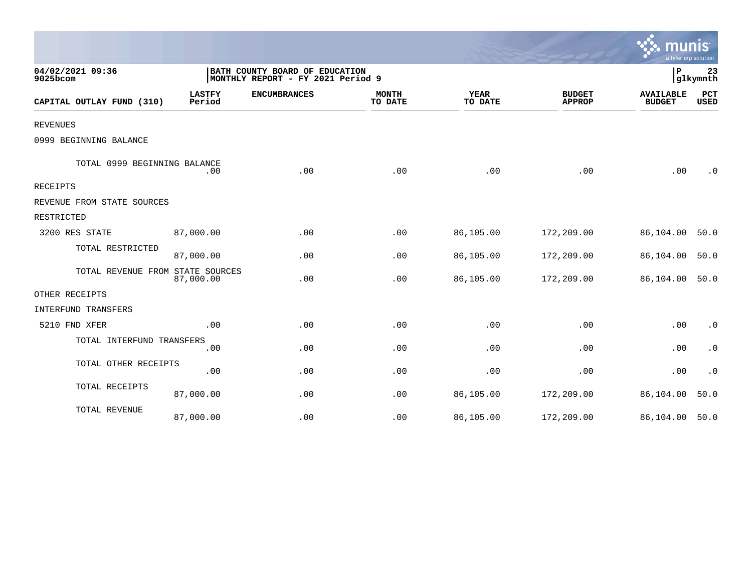|                                  |                         |                                                                     |                         |                        |                                | mu<br>a tyler erp solution        |                        |
|----------------------------------|-------------------------|---------------------------------------------------------------------|-------------------------|------------------------|--------------------------------|-----------------------------------|------------------------|
| 04/02/2021 09:36<br>9025bcom     |                         | BATH COUNTY BOARD OF EDUCATION<br>MONTHLY REPORT - FY 2021 Period 9 |                         |                        |                                | ΙP                                | 23<br>glkymnth         |
| CAPITAL OUTLAY FUND (310)        | <b>LASTFY</b><br>Period | <b>ENCUMBRANCES</b>                                                 | <b>MONTH</b><br>TO DATE | <b>YEAR</b><br>TO DATE | <b>BUDGET</b><br><b>APPROP</b> | <b>AVAILABLE</b><br><b>BUDGET</b> | PCT<br><b>USED</b>     |
| <b>REVENUES</b>                  |                         |                                                                     |                         |                        |                                |                                   |                        |
| 0999 BEGINNING BALANCE           |                         |                                                                     |                         |                        |                                |                                   |                        |
| TOTAL 0999 BEGINNING BALANCE     | .00                     | .00                                                                 | .00                     | .00                    | .00                            | .00                               | $\cdot$ 0              |
| RECEIPTS                         |                         |                                                                     |                         |                        |                                |                                   |                        |
| REVENUE FROM STATE SOURCES       |                         |                                                                     |                         |                        |                                |                                   |                        |
| RESTRICTED                       |                         |                                                                     |                         |                        |                                |                                   |                        |
| 3200 RES STATE                   | 87,000.00               | .00                                                                 | .00                     | 86,105.00              | 172,209.00                     | 86,104.00                         | 50.0                   |
| TOTAL RESTRICTED                 | 87,000.00               | .00                                                                 | .00                     | 86,105.00              | 172,209.00                     | 86,104.00                         | 50.0                   |
| TOTAL REVENUE FROM STATE SOURCES | 87,000.00               | .00                                                                 | .00                     | 86,105.00              | 172,209.00                     | 86,104.00                         | 50.0                   |
| OTHER RECEIPTS                   |                         |                                                                     |                         |                        |                                |                                   |                        |
| INTERFUND TRANSFERS              |                         |                                                                     |                         |                        |                                |                                   |                        |
| 5210 FND XFER                    | .00                     | .00                                                                 | .00                     | .00                    | .00                            | .00                               | $\cdot$ 0              |
| TOTAL INTERFUND TRANSFERS        | .00                     | .00                                                                 | .00                     | .00                    | .00                            | .00                               | $\boldsymbol{\cdot}$ 0 |
| TOTAL OTHER RECEIPTS             | .00                     | .00                                                                 | .00                     | .00                    | .00                            | .00                               | $\cdot$ 0              |
| TOTAL RECEIPTS                   | 87,000.00               | .00                                                                 | .00                     | 86,105.00              | 172,209.00                     | 86,104.00                         | 50.0                   |
| TOTAL REVENUE                    | 87,000.00               | .00                                                                 | .00                     | 86,105.00              | 172,209.00                     | 86,104.00                         | 50.0                   |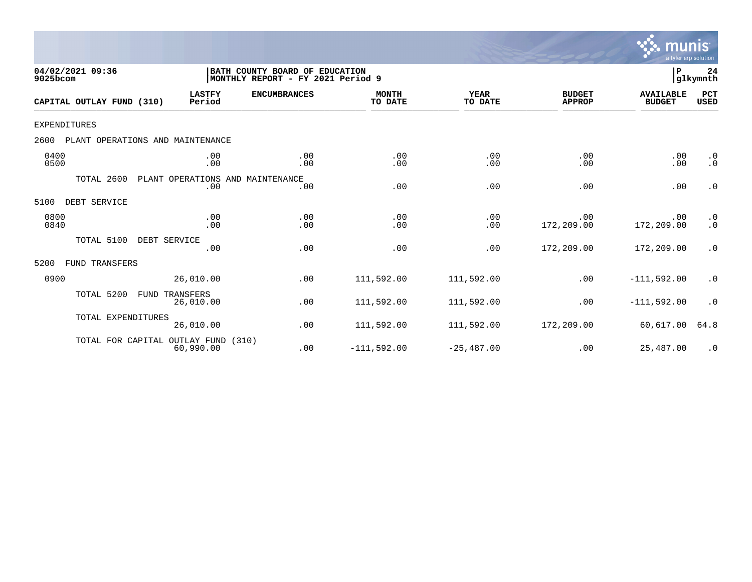

| 04/02/2021 09:36<br>9025bcom |                                  |                         | BATH COUNTY BOARD OF EDUCATION<br>MONTHLY REPORT - FY 2021 Period 9 |                         |                        |                                | P                                 | 24<br>glkymnth         |
|------------------------------|----------------------------------|-------------------------|---------------------------------------------------------------------|-------------------------|------------------------|--------------------------------|-----------------------------------|------------------------|
| CAPITAL OUTLAY FUND (310)    |                                  | <b>LASTFY</b><br>Period | <b>ENCUMBRANCES</b>                                                 | <b>MONTH</b><br>TO DATE | <b>YEAR</b><br>TO DATE | <b>BUDGET</b><br><b>APPROP</b> | <b>AVAILABLE</b><br><b>BUDGET</b> | PCT<br><b>USED</b>     |
| <b>EXPENDITURES</b>          |                                  |                         |                                                                     |                         |                        |                                |                                   |                        |
| 2600                         | PLANT OPERATIONS AND MAINTENANCE |                         |                                                                     |                         |                        |                                |                                   |                        |
| 0400<br>0500                 |                                  | .00<br>.00              | .00<br>.00                                                          | .00<br>.00              | .00<br>.00             | .00<br>.00                     | .00<br>.00                        | $\cdot$ 0<br>$\cdot$ 0 |
| TOTAL 2600                   | PLANT OPERATIONS                 | .00                     | AND MAINTENANCE<br>.00                                              | .00                     | .00                    | .00                            | .00                               | $\cdot$ 0              |
| DEBT SERVICE<br>5100         |                                  |                         |                                                                     |                         |                        |                                |                                   |                        |
| 0800<br>0840                 |                                  | .00<br>.00              | .00<br>.00                                                          | .00<br>.00              | .00<br>.00             | .00<br>172,209.00              | .00<br>172,209.00                 | $\cdot$ 0<br>$\cdot$ 0 |
| TOTAL 5100                   | DEBT SERVICE                     | .00                     | .00                                                                 | .00                     | .00                    | 172,209.00                     | 172,209.00                        | $\cdot$ 0              |
| 5200<br>FUND TRANSFERS       |                                  |                         |                                                                     |                         |                        |                                |                                   |                        |
| 0900                         |                                  | 26,010.00               | .00                                                                 | 111,592.00              | 111,592.00             | .00                            | $-111,592.00$                     | $\cdot$ 0              |
| TOTAL 5200                   | <b>FUND</b><br>TRANSFERS         | 26,010.00               | .00                                                                 | 111,592.00              | 111,592.00             | .00                            | $-111,592.00$                     | $\cdot$ 0              |
| TOTAL EXPENDITURES           |                                  | 26,010.00               | .00                                                                 | 111,592.00              | 111,592.00             | 172,209.00                     | 60,617.00                         | 64.8                   |
|                              | TOTAL FOR CAPITAL OUTLAY FUND    | 60,990.00               | (310)<br>.00                                                        | $-111,592.00$           | $-25,487.00$           | .00                            | 25,487.00                         | $\cdot$ 0              |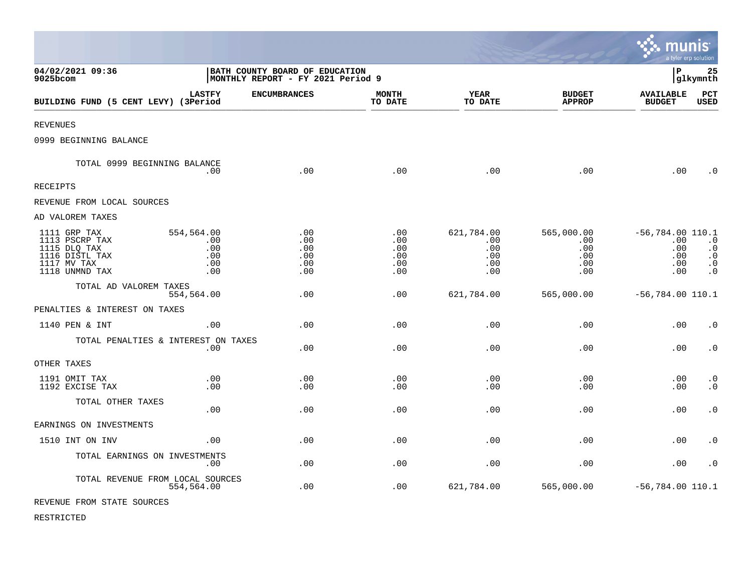|                                                                                                   |                                               |                                                                     |                                        |                                               |                                               | munis                                                      | a tyler erp solution                                          |
|---------------------------------------------------------------------------------------------------|-----------------------------------------------|---------------------------------------------------------------------|----------------------------------------|-----------------------------------------------|-----------------------------------------------|------------------------------------------------------------|---------------------------------------------------------------|
| 04/02/2021 09:36<br>9025bcom                                                                      |                                               | BATH COUNTY BOARD OF EDUCATION<br>MONTHLY REPORT - FY 2021 Period 9 |                                        |                                               |                                               | l P                                                        | 25<br> glkymnth                                               |
| BUILDING FUND (5 CENT LEVY) (3Period                                                              | <b>LASTFY</b>                                 | <b>ENCUMBRANCES</b>                                                 | MONTH<br>TO DATE                       | YEAR<br>TO DATE                               | <b>BUDGET</b><br><b>APPROP</b>                | <b>AVAILABLE</b><br><b>BUDGET</b>                          | <b>PCT</b><br><b>USED</b>                                     |
| <b>REVENUES</b>                                                                                   |                                               |                                                                     |                                        |                                               |                                               |                                                            |                                                               |
| 0999 BEGINNING BALANCE                                                                            |                                               |                                                                     |                                        |                                               |                                               |                                                            |                                                               |
| TOTAL 0999 BEGINNING BALANCE                                                                      | .00                                           | .00                                                                 | .00                                    | .00                                           | .00                                           | .00                                                        | $\cdot$ 0                                                     |
| <b>RECEIPTS</b>                                                                                   |                                               |                                                                     |                                        |                                               |                                               |                                                            |                                                               |
| REVENUE FROM LOCAL SOURCES                                                                        |                                               |                                                                     |                                        |                                               |                                               |                                                            |                                                               |
| AD VALOREM TAXES                                                                                  |                                               |                                                                     |                                        |                                               |                                               |                                                            |                                                               |
| 1111 GRP TAX<br>1113 PSCRP TAX<br>1115 DLQ TAX<br>1116 DISTL TAX<br>1117 MV TAX<br>1118 UNMND TAX | 554,564.00<br>.00<br>.00<br>.00<br>.00<br>.00 | .00<br>.00<br>.00<br>.00<br>.00<br>.00                              | .00<br>.00<br>.00<br>.00<br>.00<br>.00 | 621,784.00<br>.00<br>.00<br>.00<br>.00<br>.00 | 565,000.00<br>.00<br>.00<br>.00<br>.00<br>.00 | $-56,784.00$ 110.1<br>$.00 \,$<br>.00<br>.00<br>.00<br>.00 | $\cdot$ 0<br>$\cdot$ 0<br>$\cdot$ 0<br>$\cdot$ 0<br>$\cdot$ 0 |
| TOTAL AD VALOREM TAXES                                                                            | 554,564.00                                    | .00                                                                 | .00                                    | 621,784.00                                    | 565,000.00                                    | $-56, 784.00$ 110.1                                        |                                                               |
| PENALTIES & INTEREST ON TAXES                                                                     |                                               |                                                                     |                                        |                                               |                                               |                                                            |                                                               |
| 1140 PEN & INT                                                                                    | .00                                           | .00                                                                 | .00                                    | .00                                           | .00                                           | .00                                                        | $\cdot$ 0                                                     |
| TOTAL PENALTIES & INTEREST ON TAXES                                                               | .00                                           | .00                                                                 | .00                                    | .00                                           | .00                                           | .00                                                        | $\cdot$ 0                                                     |
| OTHER TAXES                                                                                       |                                               |                                                                     |                                        |                                               |                                               |                                                            |                                                               |
| 1191 OMIT TAX<br>1192 EXCISE TAX                                                                  | .00<br>.00                                    | .00<br>.00                                                          | .00<br>.00                             | .00<br>.00                                    | .00<br>.00                                    | .00<br>.00                                                 | $\cdot$ 0<br>$\cdot$ 0                                        |
| TOTAL OTHER TAXES                                                                                 | .00                                           | .00                                                                 | .00                                    | .00                                           | .00                                           | .00                                                        | $\cdot$ 0                                                     |
| EARNINGS ON INVESTMENTS                                                                           |                                               |                                                                     |                                        |                                               |                                               |                                                            |                                                               |
| 1510 INT ON INV                                                                                   | .00                                           | .00                                                                 | .00                                    | .00                                           | .00                                           | .00                                                        | $\cdot$ 0                                                     |
| TOTAL EARNINGS ON INVESTMENTS                                                                     | .00                                           | .00                                                                 | .00                                    | .00                                           | .00                                           | .00                                                        | $\cdot$ 0                                                     |
| TOTAL REVENUE FROM LOCAL SOURCES                                                                  | 554,564.00                                    | .00                                                                 | .00                                    | 621,784.00                                    | 565,000.00                                    | $-56,784.00$ 110.1                                         |                                                               |
| REVENUE FROM STATE SOURCES                                                                        |                                               |                                                                     |                                        |                                               |                                               |                                                            |                                                               |

 $\bullet$ 

RESTRICTED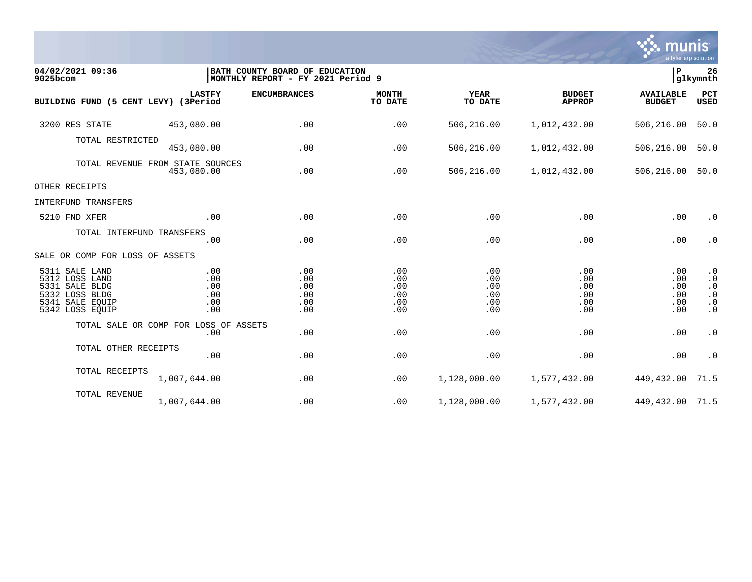

| 04/02/2021 09:36<br>9025bcom                                                                                  |                                                | BATH COUNTY BOARD OF EDUCATION<br>MONTHLY REPORT - FY 2021 Period 9 |                                        |                                        |                                        | ∣₽                                     | 26<br>glkymnth                                                             |
|---------------------------------------------------------------------------------------------------------------|------------------------------------------------|---------------------------------------------------------------------|----------------------------------------|----------------------------------------|----------------------------------------|----------------------------------------|----------------------------------------------------------------------------|
| BUILDING FUND (5 CENT LEVY) (3Period                                                                          | <b>LASTFY</b>                                  | <b>ENCUMBRANCES</b>                                                 | <b>MONTH</b><br>TO DATE                | <b>YEAR</b><br>TO DATE                 | <b>BUDGET</b><br><b>APPROP</b>         | <b>AVAILABLE</b><br><b>BUDGET</b>      | PCT<br><b>USED</b>                                                         |
| 3200 RES STATE                                                                                                | 453,080.00                                     | .00                                                                 | .00                                    | 506,216.00                             | 1,012,432.00                           | 506,216.00                             | 50.0                                                                       |
| TOTAL RESTRICTED                                                                                              | 453,080.00                                     | .00                                                                 | .00                                    | 506,216.00                             | 1,012,432.00                           | 506,216.00                             | 50.0                                                                       |
|                                                                                                               | TOTAL REVENUE FROM STATE SOURCES<br>453,080.00 | .00                                                                 | .00                                    | 506,216.00                             | 1,012,432.00                           | 506,216.00                             | 50.0                                                                       |
| OTHER RECEIPTS                                                                                                |                                                |                                                                     |                                        |                                        |                                        |                                        |                                                                            |
| INTERFUND TRANSFERS                                                                                           |                                                |                                                                     |                                        |                                        |                                        |                                        |                                                                            |
| 5210 FND XFER                                                                                                 | .00                                            | .00                                                                 | .00                                    | .00                                    | .00                                    | .00                                    | $\cdot$ 0                                                                  |
| TOTAL INTERFUND TRANSFERS                                                                                     | .00                                            | .00                                                                 | .00                                    | .00                                    | .00                                    | .00                                    | $\cdot$ 0                                                                  |
| SALE OR COMP FOR LOSS OF ASSETS                                                                               |                                                |                                                                     |                                        |                                        |                                        |                                        |                                                                            |
| 5311 SALE LAND<br>5312 LOSS LAND<br>5331 SALE BLDG<br>5332 LOSS BLDG<br>SALE EQUIP<br>5341<br>5342 LOSS EQUIP | .00<br>.00<br>.00<br>.00<br>.00<br>.00         | .00<br>.00<br>.00<br>.00<br>.00<br>.00                              | .00<br>.00<br>.00<br>.00<br>.00<br>.00 | .00<br>.00<br>.00<br>.00<br>.00<br>.00 | .00<br>.00<br>.00<br>.00<br>.00<br>.00 | .00<br>.00<br>.00<br>.00<br>.00<br>.00 | $\cdot$ 0<br>$\cdot$ 0<br>$\cdot$ 0<br>$\cdot$ 0<br>$\cdot$ 0<br>$\cdot$ 0 |
|                                                                                                               | TOTAL SALE OR COMP FOR LOSS OF ASSETS          |                                                                     |                                        |                                        |                                        |                                        |                                                                            |
|                                                                                                               | .00                                            | .00                                                                 | .00                                    | .00                                    | .00                                    | .00                                    | $\cdot$ 0                                                                  |
| TOTAL OTHER RECEIPTS                                                                                          | .00                                            | .00                                                                 | .00                                    | .00                                    | .00                                    | .00                                    | $\cdot$ 0                                                                  |
| TOTAL RECEIPTS                                                                                                | 1,007,644.00                                   | .00                                                                 | .00                                    | 1,128,000.00                           | 1,577,432.00                           | 449,432.00                             | 71.5                                                                       |
| TOTAL REVENUE                                                                                                 | 1,007,644.00                                   | .00                                                                 | .00                                    | 1,128,000.00                           | 1,577,432.00                           | 449, 432.00 71.5                       |                                                                            |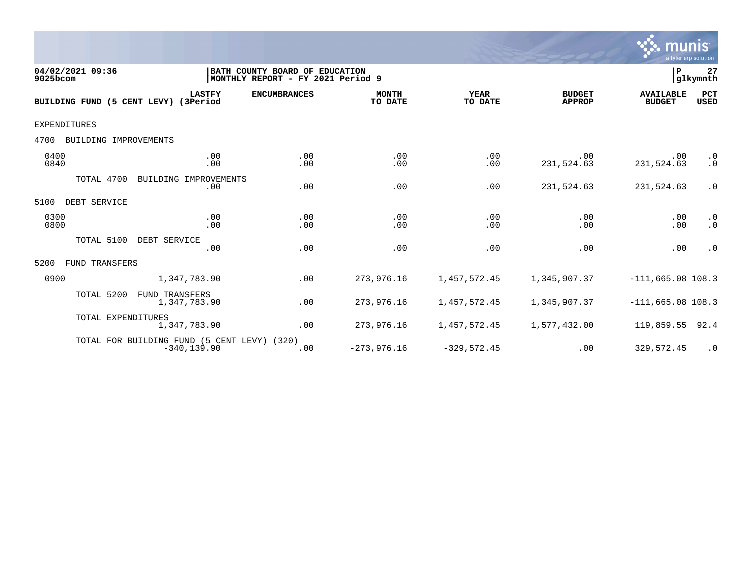

| 04/02/2021 09:36<br>9025bcom  |                                                               | BATH COUNTY BOARD OF EDUCATION<br> MONTHLY REPORT - FY 2021 Period 9 |                         |                        |                                | ${\bf P}$                         | 27<br>glkymnth         |
|-------------------------------|---------------------------------------------------------------|----------------------------------------------------------------------|-------------------------|------------------------|--------------------------------|-----------------------------------|------------------------|
| BUILDING FUND (5 CENT LEVY)   | <b>LASTFY</b><br>(3Period                                     | <b>ENCUMBRANCES</b>                                                  | <b>MONTH</b><br>TO DATE | <b>YEAR</b><br>TO DATE | <b>BUDGET</b><br><b>APPROP</b> | <b>AVAILABLE</b><br><b>BUDGET</b> | PCT<br><b>USED</b>     |
| <b>EXPENDITURES</b>           |                                                               |                                                                      |                         |                        |                                |                                   |                        |
| BUILDING IMPROVEMENTS<br>4700 |                                                               |                                                                      |                         |                        |                                |                                   |                        |
| 0400<br>0840                  | .00<br>.00                                                    | .00<br>.00                                                           | .00<br>.00              | .00<br>.00             | .00<br>231,524.63              | $.00 \,$<br>231,524.63            | $\cdot$ 0<br>$\cdot$ 0 |
| TOTAL 4700                    | BUILDING IMPROVEMENTS<br>.00                                  | .00                                                                  | .00                     | .00                    | 231,524.63                     | 231,524.63                        | $\cdot$ 0              |
| 5100<br>DEBT SERVICE          |                                                               |                                                                      |                         |                        |                                |                                   |                        |
| 0300<br>0800                  | .00<br>.00                                                    | .00<br>.00                                                           | .00<br>.00              | .00<br>.00             | .00<br>.00                     | .00<br>.00                        | $\cdot$ 0<br>$\cdot$ 0 |
| TOTAL 5100                    | DEBT SERVICE<br>.00                                           | .00                                                                  | .00                     | .00                    | .00                            | .00                               | $\cdot$ 0              |
| FUND TRANSFERS<br>5200        |                                                               |                                                                      |                         |                        |                                |                                   |                        |
| 0900                          | 1,347,783.90                                                  | .00                                                                  | 273,976.16              | 1,457,572.45           | 1,345,907.37                   | $-111,665.08$ 108.3               |                        |
| TOTAL 5200                    | FUND TRANSFERS<br>1,347,783.90                                | .00                                                                  | 273,976.16              | 1,457,572.45           | 1,345,907.37                   | $-111,665.08$ 108.3               |                        |
| TOTAL EXPENDITURES            | 1,347,783.90                                                  | .00                                                                  | 273,976.16              | 1,457,572.45           | 1,577,432.00                   | 119,859.55                        | 92.4                   |
|                               | TOTAL FOR BUILDING FUND (5 CENT LEVY) (320)<br>$-340, 139.90$ | .00                                                                  | $-273,976.16$           | $-329,572.45$          | .00                            | 329,572.45                        | $\cdot$ 0              |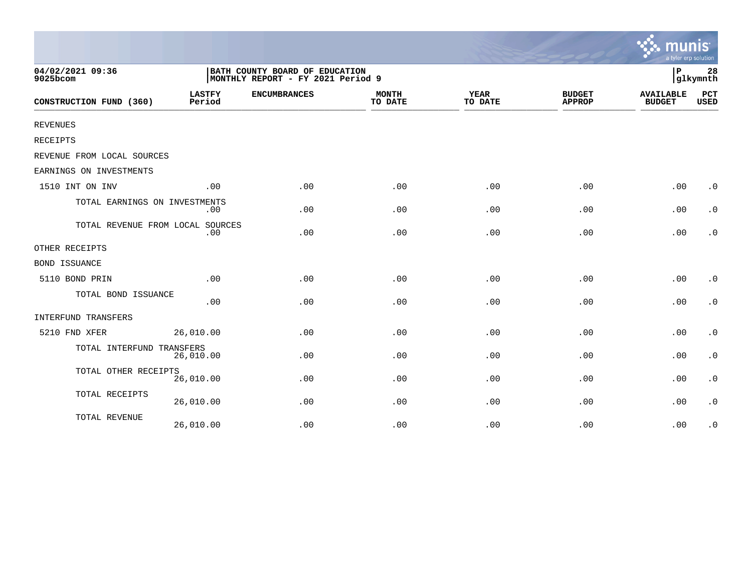|                                  |                         |                                                                     |                         |                        |                                | a tyler erp solution              |                        |
|----------------------------------|-------------------------|---------------------------------------------------------------------|-------------------------|------------------------|--------------------------------|-----------------------------------|------------------------|
| 04/02/2021 09:36<br>9025bcom     |                         | BATH COUNTY BOARD OF EDUCATION<br>MONTHLY REPORT - FY 2021 Period 9 |                         |                        |                                | P                                 | 28<br>glkymnth         |
| CONSTRUCTION FUND (360)          | <b>LASTFY</b><br>Period | <b>ENCUMBRANCES</b>                                                 | <b>MONTH</b><br>TO DATE | <b>YEAR</b><br>TO DATE | <b>BUDGET</b><br><b>APPROP</b> | <b>AVAILABLE</b><br><b>BUDGET</b> | PCT<br><b>USED</b>     |
| <b>REVENUES</b>                  |                         |                                                                     |                         |                        |                                |                                   |                        |
| RECEIPTS                         |                         |                                                                     |                         |                        |                                |                                   |                        |
| REVENUE FROM LOCAL SOURCES       |                         |                                                                     |                         |                        |                                |                                   |                        |
| EARNINGS ON INVESTMENTS          |                         |                                                                     |                         |                        |                                |                                   |                        |
| 1510 INT ON INV                  | .00                     | .00                                                                 | .00                     | .00                    | .00                            | .00                               | $\cdot$ 0              |
| TOTAL EARNINGS ON INVESTMENTS    | .00                     | .00                                                                 | .00                     | .00                    | .00                            | .00                               | $\cdot$ 0              |
| TOTAL REVENUE FROM LOCAL SOURCES | .00                     | .00                                                                 | .00                     | .00                    | .00                            | .00                               | $\cdot$ 0              |
| OTHER RECEIPTS                   |                         |                                                                     |                         |                        |                                |                                   |                        |
| <b>BOND ISSUANCE</b>             |                         |                                                                     |                         |                        |                                |                                   |                        |
| 5110 BOND PRIN                   | .00                     | .00                                                                 | .00                     | .00                    | .00                            | .00                               | $\cdot$ 0              |
| TOTAL BOND ISSUANCE              | .00                     | .00                                                                 | .00                     | .00                    | .00                            | .00                               | $\cdot$ 0              |
| INTERFUND TRANSFERS              |                         |                                                                     |                         |                        |                                |                                   |                        |
| 5210 FND XFER                    | 26,010.00               | .00                                                                 | .00                     | .00                    | .00                            | .00                               | $\boldsymbol{\cdot}$ 0 |
| TOTAL INTERFUND TRANSFERS        | 26,010.00               | .00                                                                 | .00                     | .00                    | .00                            | .00                               | $\boldsymbol{\cdot}$ 0 |
| TOTAL OTHER RECEIPTS             | 26,010.00               | .00                                                                 | .00                     | .00                    | .00                            | .00                               | $\boldsymbol{\cdot}$ 0 |
| TOTAL RECEIPTS                   | 26,010.00               | .00                                                                 | .00                     | .00                    | .00                            | .00                               | $\cdot$ 0              |
| TOTAL REVENUE                    | 26,010.00               | .00                                                                 | .00                     | .00                    | .00                            | .00                               | $\cdot$ 0              |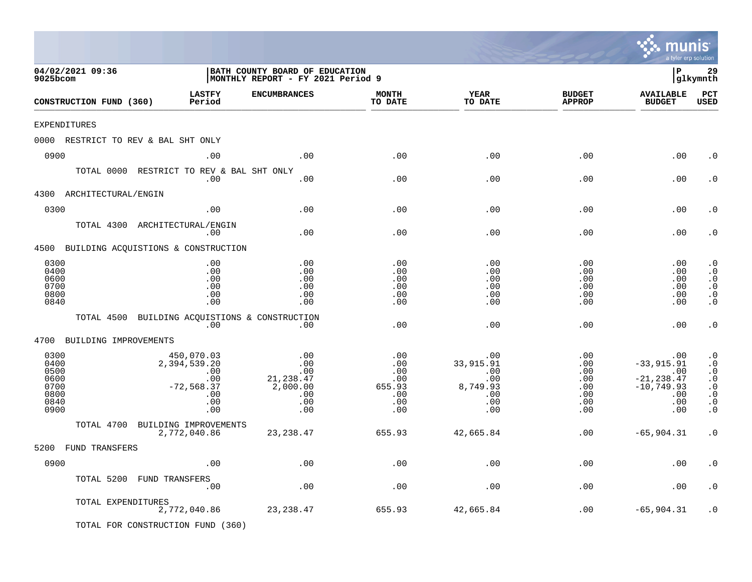|                                                              |                                                                               |                                                                     |                                                         |                                                                               |                                                                                    | m<br>a tyler erp solution                                                         |                                                                                                                   |
|--------------------------------------------------------------|-------------------------------------------------------------------------------|---------------------------------------------------------------------|---------------------------------------------------------|-------------------------------------------------------------------------------|------------------------------------------------------------------------------------|-----------------------------------------------------------------------------------|-------------------------------------------------------------------------------------------------------------------|
| 04/02/2021 09:36<br>9025bcom                                 |                                                                               | BATH COUNTY BOARD OF EDUCATION<br>MONTHLY REPORT - FY 2021 Period 9 |                                                         |                                                                               |                                                                                    | l P                                                                               | 29<br> glkymnth                                                                                                   |
| CONSTRUCTION FUND (360)                                      | <b>LASTFY</b><br>Period                                                       | <b>ENCUMBRANCES</b>                                                 | <b>MONTH</b><br>TO DATE                                 | <b>YEAR</b><br>TO DATE                                                        | <b>BUDGET</b><br><b>APPROP</b>                                                     | <b>AVAILABLE</b><br><b>BUDGET</b>                                                 | PCT<br><b>USED</b>                                                                                                |
| <b>EXPENDITURES</b>                                          |                                                                               |                                                                     |                                                         |                                                                               |                                                                                    |                                                                                   |                                                                                                                   |
| 0000 RESTRICT TO REV & BAL SHT ONLY                          |                                                                               |                                                                     |                                                         |                                                                               |                                                                                    |                                                                                   |                                                                                                                   |
| 0900                                                         | .00                                                                           | .00                                                                 | .00                                                     | .00                                                                           | .00                                                                                | .00                                                                               | . 0                                                                                                               |
|                                                              | TOTAL 0000 RESTRICT TO REV & BAL SHT ONLY<br>.00                              | .00                                                                 | .00                                                     | .00                                                                           | .00                                                                                | .00                                                                               | . 0                                                                                                               |
| 4300 ARCHITECTURAL/ENGIN                                     |                                                                               |                                                                     |                                                         |                                                                               |                                                                                    |                                                                                   |                                                                                                                   |
| 0300                                                         | .00                                                                           | .00                                                                 | .00                                                     | .00                                                                           | .00                                                                                | .00                                                                               | . 0                                                                                                               |
|                                                              | TOTAL 4300 ARCHITECTURAL/ENGIN<br>.00                                         | .00                                                                 | .00                                                     | .00                                                                           | .00                                                                                | .00                                                                               | . 0                                                                                                               |
| 4500 BUILDING ACQUISTIONS & CONSTRUCTION                     |                                                                               |                                                                     |                                                         |                                                                               |                                                                                    |                                                                                   |                                                                                                                   |
| 0300<br>0400<br>0600<br>0700<br>0800<br>0840                 | .00<br>.00<br>.00<br>.00<br>.00<br>.00                                        | .00<br>.00<br>.00<br>.00<br>.00<br>.00                              | .00<br>.00<br>.00<br>.00<br>.00<br>.00                  | .00<br>.00<br>.00<br>.00<br>.00<br>.00                                        | $.00 \,$<br>.00<br>.00<br>.00<br>$.00 \,$<br>.00                                   | .00<br>.00<br>.00<br>.00<br>.00<br>.00                                            | $\cdot$ 0<br>$\cdot$ 0<br>$\cdot$ 0<br>$\cdot$ 0<br>$\cdot$ 0<br>$\cdot$ 0                                        |
|                                                              | TOTAL 4500 BUILDING ACQUISTIONS & CONSTRUCTION<br>.00                         | .00                                                                 | .00                                                     | .00                                                                           | .00                                                                                | .00                                                                               | $\cdot$ 0                                                                                                         |
| 4700<br>BUILDING IMPROVEMENTS                                |                                                                               |                                                                     |                                                         |                                                                               |                                                                                    |                                                                                   |                                                                                                                   |
| 0300<br>0400<br>0500<br>0600<br>0700<br>0800<br>0840<br>0900 | 450,070.03<br>2,394,539.20<br>.00<br>.00<br>$-72,568.37$<br>.00<br>.00<br>.00 | .00<br>.00<br>.00<br>21, 238.47<br>2,000.00<br>.00<br>.00<br>.00    | .00<br>.00<br>.00<br>.00<br>655.93<br>.00<br>.00<br>.00 | .00<br>33,915.91<br>.00<br>$.00 \ \,$<br>8,749.93<br>$.00 \ \,$<br>.00<br>.00 | $.00 \,$<br>$.00 \,$<br>$.00 \,$<br>$.00 \,$<br>.00<br>$.00 \,$<br>$.00 \,$<br>.00 | .00<br>$-33,915.91$<br>.00<br>$-21, 238.47$<br>$-10, 749.93$<br>.00<br>.00<br>.00 | $\cdot$ 0<br>$\cdot$ 0<br>$\cdot$ 0<br>$\cdot$ 0<br>$\boldsymbol{\cdot}$ 0<br>$\cdot$ 0<br>$\cdot$ 0<br>$\cdot$ 0 |
| TOTAL 4700                                                   | BUILDING IMPROVEMENTS                                                         |                                                                     |                                                         |                                                                               |                                                                                    |                                                                                   |                                                                                                                   |
|                                                              | 2,772,040.86                                                                  | 23, 238.47                                                          | 655.93                                                  | 42,665.84                                                                     | $.00 \,$                                                                           | $-65,904.31$                                                                      | $\cdot$ 0                                                                                                         |
| 5200 FUND TRANSFERS                                          |                                                                               |                                                                     |                                                         |                                                                               |                                                                                    |                                                                                   |                                                                                                                   |
| 0900                                                         | .00                                                                           | .00                                                                 | .00                                                     | .00                                                                           | .00                                                                                | .00                                                                               | . $\boldsymbol{0}$                                                                                                |
|                                                              | TOTAL 5200 FUND TRANSFERS<br>.00                                              | .00                                                                 | .00                                                     | .00                                                                           | .00                                                                                | .00                                                                               | $\cdot$ 0                                                                                                         |
| TOTAL EXPENDITURES                                           | 2,772,040.86                                                                  | 23, 238.47                                                          | 655.93                                                  | 42,665.84                                                                     | .00                                                                                | $-65,904.31$                                                                      | $\cdot$ 0                                                                                                         |
|                                                              | TOTAL FOR CONSTRUCTION FUND (360)                                             |                                                                     |                                                         |                                                                               |                                                                                    |                                                                                   |                                                                                                                   |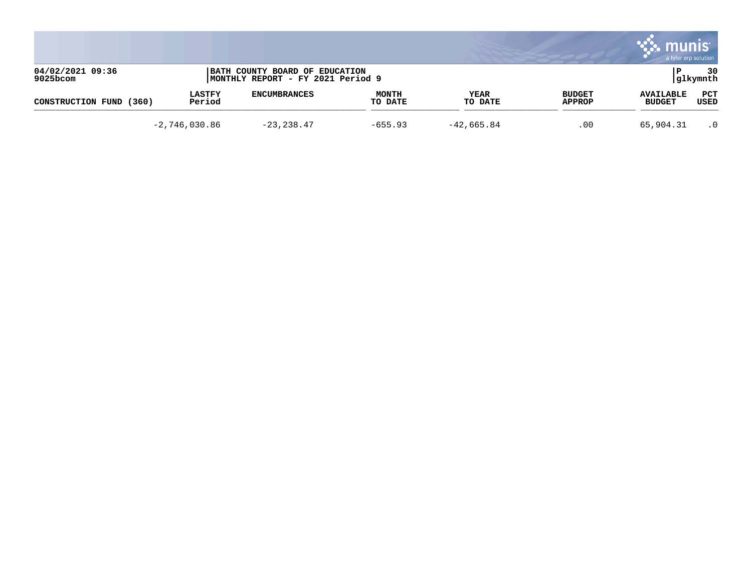|                              |                         |                                                                     |                         |                        |                         | mu<br>a tyler erp solution        |                 |
|------------------------------|-------------------------|---------------------------------------------------------------------|-------------------------|------------------------|-------------------------|-----------------------------------|-----------------|
| 04/02/2021 09:36<br>9025bcom |                         | BATH COUNTY BOARD OF EDUCATION<br>MONTHLY REPORT - FY 2021 Period 9 |                         |                        |                         |                                   | 30<br> glkymnth |
| CONSTRUCTION FUND<br>(360)   | <b>LASTFY</b><br>Period | <b>ENCUMBRANCES</b>                                                 | <b>MONTH</b><br>TO DATE | <b>YEAR</b><br>TO DATE | <b>BUDGET</b><br>APPROP | <b>AVAILABLE</b><br><b>BUDGET</b> | PCT<br>USED     |
|                              | $-2,746,030.86$         | $-23, 238.47$                                                       | $-655.93$               | $-42,665.84$           | .00                     | 65,904.31                         | $\cdot$ 0       |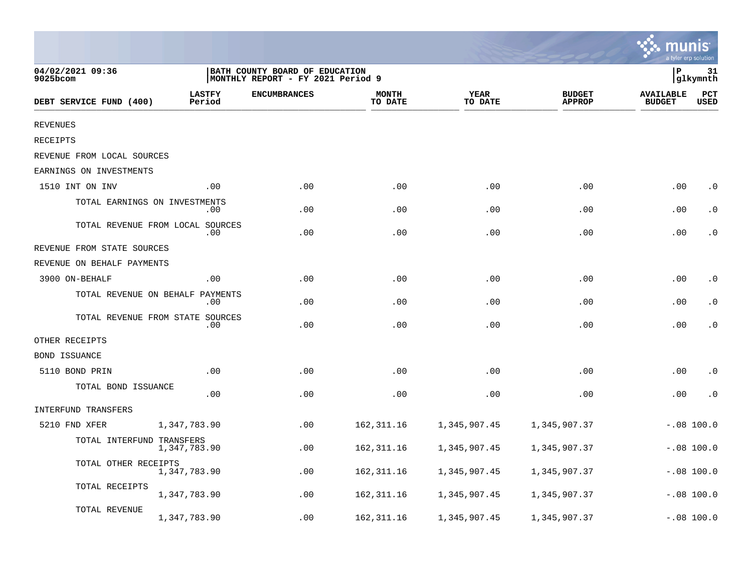|                                  |                         |                                                                     |                         |                        |                                |                                   | a tyler erp solution        |
|----------------------------------|-------------------------|---------------------------------------------------------------------|-------------------------|------------------------|--------------------------------|-----------------------------------|-----------------------------|
| 04/02/2021 09:36<br>9025bcom     |                         | BATH COUNTY BOARD OF EDUCATION<br>MONTHLY REPORT - FY 2021 Period 9 |                         |                        |                                | ΙP                                | 31<br> glkymnth             |
| DEBT SERVICE FUND (400)          | <b>LASTFY</b><br>Period | <b>ENCUMBRANCES</b>                                                 | <b>MONTH</b><br>TO DATE | <b>YEAR</b><br>TO DATE | <b>BUDGET</b><br><b>APPROP</b> | <b>AVAILABLE</b><br><b>BUDGET</b> | $_{\rm PCT}$<br><b>USED</b> |
| <b>REVENUES</b>                  |                         |                                                                     |                         |                        |                                |                                   |                             |
| <b>RECEIPTS</b>                  |                         |                                                                     |                         |                        |                                |                                   |                             |
| REVENUE FROM LOCAL SOURCES       |                         |                                                                     |                         |                        |                                |                                   |                             |
| EARNINGS ON INVESTMENTS          |                         |                                                                     |                         |                        |                                |                                   |                             |
| 1510 INT ON INV                  | .00                     | .00                                                                 | .00                     | .00                    | .00                            | .00                               | $\cdot$ 0                   |
| TOTAL EARNINGS ON INVESTMENTS    | .00                     | .00                                                                 | .00                     | .00                    | .00                            | .00                               | $\cdot$ 0                   |
| TOTAL REVENUE FROM LOCAL SOURCES | .00                     | .00                                                                 | .00                     | .00                    | .00                            | .00                               | $\cdot$ 0                   |
| REVENUE FROM STATE SOURCES       |                         |                                                                     |                         |                        |                                |                                   |                             |
| REVENUE ON BEHALF PAYMENTS       |                         |                                                                     |                         |                        |                                |                                   |                             |
| 3900 ON-BEHALF                   | .00                     | .00                                                                 | .00                     | .00                    | .00                            | .00                               | $\cdot$ 0                   |
| TOTAL REVENUE ON BEHALF          | PAYMENTS<br>.00         | .00                                                                 | .00                     | .00                    | .00                            | .00                               | $\cdot$ 0                   |
| TOTAL REVENUE FROM STATE SOURCES | .00                     | .00                                                                 | .00                     | .00                    | .00                            | .00                               | $\cdot$ 0                   |
| OTHER RECEIPTS                   |                         |                                                                     |                         |                        |                                |                                   |                             |
| <b>BOND ISSUANCE</b>             |                         |                                                                     |                         |                        |                                |                                   |                             |
| 5110 BOND PRIN                   | .00                     | .00                                                                 | .00                     | .00                    | .00                            | .00                               | $\cdot$ 0                   |
| TOTAL BOND ISSUANCE              | .00                     | .00                                                                 | .00                     | .00                    | .00                            | .00                               | $\cdot$ 0                   |
| INTERFUND TRANSFERS              |                         |                                                                     |                         |                        |                                |                                   |                             |
| 5210 FND XFER                    | 1,347,783.90            | .00                                                                 | 162, 311.16             | 1,345,907.45           | 1,345,907.37                   |                                   | $-.08$ 100.0                |
| TOTAL INTERFUND TRANSFERS        | 1,347,783.90            | .00                                                                 | 162, 311.16             | 1,345,907.45           | 1,345,907.37                   |                                   | $-.08100.0$                 |
| TOTAL OTHER RECEIPTS             | 1,347,783.90            | .00                                                                 | 162, 311.16             | 1,345,907.45           | 1,345,907.37                   |                                   | $-.08$ 100.0                |
| TOTAL RECEIPTS                   | 1,347,783.90            | .00                                                                 | 162, 311.16             | 1,345,907.45           | 1,345,907.37                   |                                   | $-.08$ 100.0                |
| <b>TOTAL REVENUE</b>             | 1,347,783.90            | .00                                                                 | 162, 311.16             | 1,345,907.45           | 1,345,907.37                   |                                   | $-.08$ 100.0                |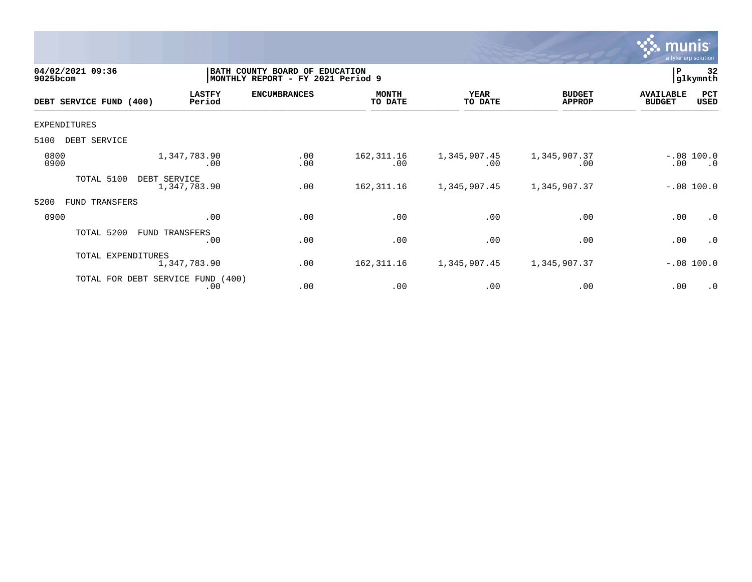

| 04/02/2021 09:36<br>9025bcom |                                   |                         | BATH COUNTY BOARD OF EDUCATION<br>MONTHLY REPORT - FY 2021 Period 9 |                         |                        |                                | P                                 | 32<br> glkymnth           |
|------------------------------|-----------------------------------|-------------------------|---------------------------------------------------------------------|-------------------------|------------------------|--------------------------------|-----------------------------------|---------------------------|
| DEBT SERVICE FUND (400)      |                                   | <b>LASTFY</b><br>Period | <b>ENCUMBRANCES</b>                                                 | <b>MONTH</b><br>TO DATE | <b>YEAR</b><br>TO DATE | <b>BUDGET</b><br><b>APPROP</b> | <b>AVAILABLE</b><br><b>BUDGET</b> | PCT<br>USED               |
| <b>EXPENDITURES</b>          |                                   |                         |                                                                     |                         |                        |                                |                                   |                           |
| 5100                         | DEBT SERVICE                      |                         |                                                                     |                         |                        |                                |                                   |                           |
| 0800<br>0900                 |                                   | 1,347,783.90<br>.00     | .00<br>.00                                                          | 162, 311.16<br>.00      | 1,345,907.45<br>.00    | 1,345,907.37<br>.00            | $.00 \,$                          | $-.08$ 100.0<br>$\cdot$ 0 |
|                              | TOTAL 5100<br>DEBT SERVICE        | 1,347,783.90            | .00                                                                 | 162, 311.16             | 1,345,907.45           | 1,345,907.37                   |                                   | $-.08 100.0$              |
| 5200                         | FUND TRANSFERS                    |                         |                                                                     |                         |                        |                                |                                   |                           |
| 0900                         |                                   | .00                     | .00                                                                 | .00                     | .00                    | .00                            | .00                               | .0                        |
|                              | TOTAL 5200                        | FUND TRANSFERS<br>.00   | .00                                                                 | .00                     | .00                    | .00                            | .00                               | $\cdot$ 0                 |
|                              | TOTAL EXPENDITURES                | 1,347,783.90            | .00                                                                 | 162, 311.16             | 1,345,907.45           | 1,345,907.37                   |                                   | $-.08$ 100.0              |
|                              | TOTAL FOR DEBT SERVICE FUND (400) | .00                     | .00                                                                 | .00                     | .00                    | .00                            | .00                               | $\cdot$ 0                 |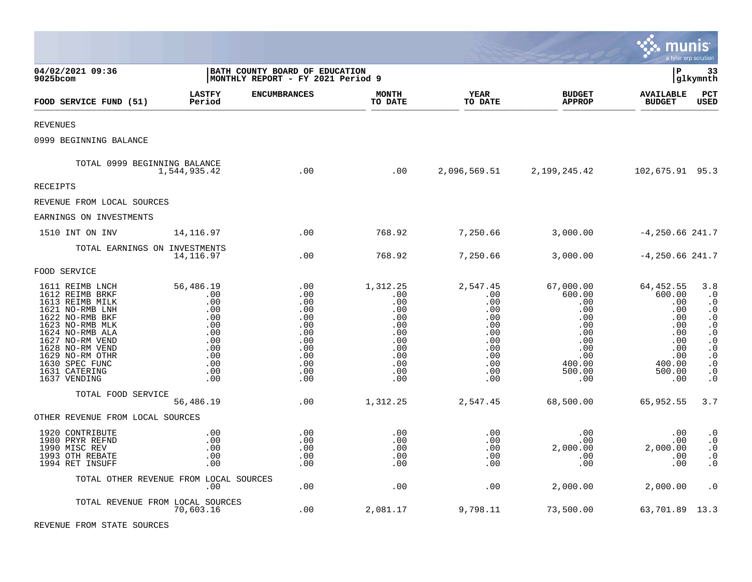|                                                                                                                                                                                                                                               |                                                                                               |                                                                                         |                                                                                              |                                                                                              |                                                                                                                     | munis                                                                                                  | a tyler erp solution                                                                                                                                                                      |
|-----------------------------------------------------------------------------------------------------------------------------------------------------------------------------------------------------------------------------------------------|-----------------------------------------------------------------------------------------------|-----------------------------------------------------------------------------------------|----------------------------------------------------------------------------------------------|----------------------------------------------------------------------------------------------|---------------------------------------------------------------------------------------------------------------------|--------------------------------------------------------------------------------------------------------|-------------------------------------------------------------------------------------------------------------------------------------------------------------------------------------------|
| 04/02/2021 09:36<br>$9025$ bcom                                                                                                                                                                                                               |                                                                                               | BATH COUNTY BOARD OF EDUCATION<br>MONTHLY REPORT - FY 2021 Period 9                     |                                                                                              |                                                                                              |                                                                                                                     | l P                                                                                                    | 33<br> glkymnth                                                                                                                                                                           |
| FOOD SERVICE FUND (51)                                                                                                                                                                                                                        | <b>LASTFY</b><br>Period                                                                       | <b>ENCUMBRANCES</b>                                                                     | <b>MONTH</b><br>TO DATE                                                                      | <b>YEAR</b><br>TO DATE                                                                       | <b>BUDGET</b><br><b>APPROP</b>                                                                                      | <b>AVAILABLE</b><br><b>BUDGET</b>                                                                      | PCT<br><b>USED</b>                                                                                                                                                                        |
| <b>REVENUES</b>                                                                                                                                                                                                                               |                                                                                               |                                                                                         |                                                                                              |                                                                                              |                                                                                                                     |                                                                                                        |                                                                                                                                                                                           |
| 0999 BEGINNING BALANCE                                                                                                                                                                                                                        |                                                                                               |                                                                                         |                                                                                              |                                                                                              |                                                                                                                     |                                                                                                        |                                                                                                                                                                                           |
| TOTAL 0999 BEGINNING BALANCE                                                                                                                                                                                                                  | 1,544,935.42                                                                                  | $\overline{00}$                                                                         | .00                                                                                          |                                                                                              | 2,096,569.51 2,199,245.42                                                                                           | 102,675.91 95.3                                                                                        |                                                                                                                                                                                           |
| <b>RECEIPTS</b>                                                                                                                                                                                                                               |                                                                                               |                                                                                         |                                                                                              |                                                                                              |                                                                                                                     |                                                                                                        |                                                                                                                                                                                           |
| REVENUE FROM LOCAL SOURCES                                                                                                                                                                                                                    |                                                                                               |                                                                                         |                                                                                              |                                                                                              |                                                                                                                     |                                                                                                        |                                                                                                                                                                                           |
| EARNINGS ON INVESTMENTS                                                                                                                                                                                                                       |                                                                                               |                                                                                         |                                                                                              |                                                                                              |                                                                                                                     |                                                                                                        |                                                                                                                                                                                           |
| 1510 INT ON INV                                                                                                                                                                                                                               | 14,116.97                                                                                     | .00                                                                                     | 768.92                                                                                       | 7,250.66                                                                                     | 3,000.00                                                                                                            | $-4, 250.66$ 241.7                                                                                     |                                                                                                                                                                                           |
| TOTAL EARNINGS ON INVESTMENTS                                                                                                                                                                                                                 | 14,116.97                                                                                     | .00                                                                                     | 768.92                                                                                       | 7,250.66                                                                                     | 3,000.00                                                                                                            | $-4, 250.66$ 241.7                                                                                     |                                                                                                                                                                                           |
| FOOD SERVICE                                                                                                                                                                                                                                  |                                                                                               |                                                                                         |                                                                                              |                                                                                              |                                                                                                                     |                                                                                                        |                                                                                                                                                                                           |
| 1611 REIMB LNCH<br>1612 REIMB BRKF<br>1613 REIMB MILK<br>1621 NO-RMB LNH<br>1622 NO-RMB BKF<br>1623 NO-RMB MLK<br>1624 NO-RMB ALA<br>1627 NO-RM VEND<br>1628 NO-RM VEND<br>1629 NO-RM OTHR<br>1630 SPEC FUNC<br>1631 CATERING<br>1637 VENDING | 56,486.19<br>.00<br>.00<br>.00<br>.00<br>.00<br>.00<br>.00<br>.00<br>.00<br>.00<br>.00<br>.00 | .00<br>.00<br>.00<br>.00<br>.00<br>.00<br>.00<br>.00<br>.00<br>.00<br>.00<br>.00<br>.00 | 1,312.25<br>.00<br>.00<br>.00<br>.00<br>.00<br>.00<br>.00<br>.00<br>.00<br>.00<br>.00<br>.00 | 2,547.45<br>.00<br>.00<br>.00<br>.00<br>.00<br>.00<br>.00<br>.00<br>.00<br>.00<br>.00<br>.00 | 67,000.00<br>600.00<br>.00<br>$.00 \,$<br>.00<br>$.00 \ \rm$<br>.00<br>.00<br>.00<br>.00<br>400.00<br>500.00<br>.00 | 64,452.55<br>600.00<br>.00<br>.00<br>.00<br>.00<br>.00<br>.00<br>.00<br>.00<br>400.00<br>500.00<br>.00 | 3.8<br>$\cdot$ 0<br>$\cdot$ 0<br>$\cdot$ 0<br>$\cdot$ 0<br>$\boldsymbol{\cdot}$ 0<br>$\cdot$ 0<br>$\cdot$ 0<br>$\cdot$ 0<br>$\cdot$ 0<br>$\boldsymbol{\cdot}$ 0<br>$\cdot$ 0<br>$\cdot$ 0 |
| TOTAL FOOD SERVICE                                                                                                                                                                                                                            | 56,486.19                                                                                     | .00                                                                                     | 1,312.25                                                                                     | 2,547.45                                                                                     | 68,500.00                                                                                                           | 65,952.55                                                                                              | 3.7                                                                                                                                                                                       |
| OTHER REVENUE FROM LOCAL SOURCES                                                                                                                                                                                                              |                                                                                               |                                                                                         |                                                                                              |                                                                                              |                                                                                                                     |                                                                                                        |                                                                                                                                                                                           |
| 1920 CONTRIBUTE<br>1980 PRYR REFND<br>1990 MISC REV<br>1993 OTH REBATE<br>1994 RET INSUFF                                                                                                                                                     | .00<br>.00<br>.00<br>.00<br>.00                                                               | .00<br>.00<br>.00<br>.00<br>.00                                                         | .00<br>.00<br>.00<br>.00<br>.00                                                              | .00<br>$.00 \ \,$<br>.00<br>.00<br>.00                                                       | .00<br>$.00 \,$<br>2,000.00<br>$.00 \,$<br>.00                                                                      | .00<br>.00<br>2,000.00<br>.00<br>.00                                                                   | $\cdot$ 0<br>$\ddot{0}$<br>$\cdot$ 0<br>$\cdot$ 0<br>$\cdot$ 0                                                                                                                            |
|                                                                                                                                                                                                                                               | TOTAL OTHER REVENUE FROM LOCAL SOURCES<br>$.00 \,$                                            | .00                                                                                     | .00                                                                                          | .00                                                                                          | 2,000.00                                                                                                            | 2,000.00                                                                                               | $\cdot$ 0                                                                                                                                                                                 |
| TOTAL REVENUE FROM LOCAL SOURCES                                                                                                                                                                                                              | 70,603.16                                                                                     | .00                                                                                     | 2,081.17                                                                                     | 9,798.11                                                                                     | 73,500.00                                                                                                           | 63,701.89 13.3                                                                                         |                                                                                                                                                                                           |

 $\bullet$ 

REVENUE FROM STATE SOURCES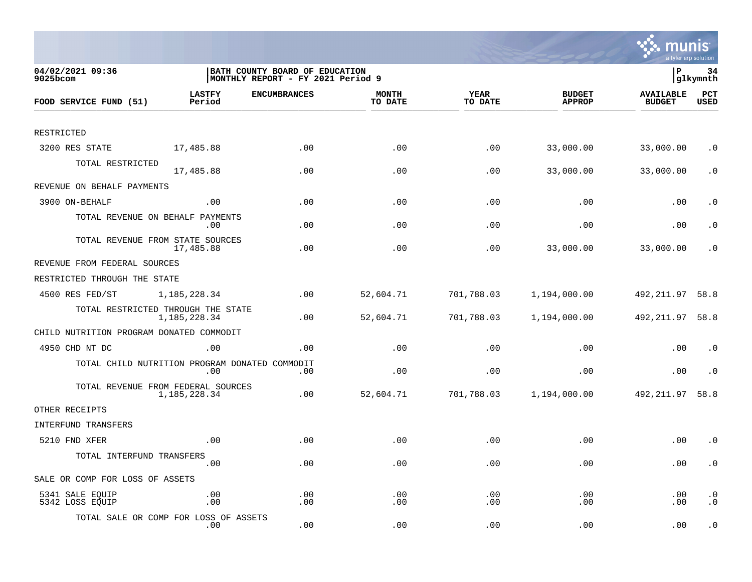

| 04/02/2021 09:36<br>9025bcom                   |                         | BATH COUNTY BOARD OF EDUCATION<br> MONTHLY REPORT - FY 2021 Period 9 |                         |                        |                                | lР                                | 34<br> glkymnth        |
|------------------------------------------------|-------------------------|----------------------------------------------------------------------|-------------------------|------------------------|--------------------------------|-----------------------------------|------------------------|
| FOOD SERVICE FUND (51)                         | <b>LASTFY</b><br>Period | <b>ENCUMBRANCES</b>                                                  | <b>MONTH</b><br>TO DATE | <b>YEAR</b><br>TO DATE | <b>BUDGET</b><br><b>APPROP</b> | <b>AVAILABLE</b><br><b>BUDGET</b> | PCT<br><b>USED</b>     |
|                                                |                         |                                                                      |                         |                        |                                |                                   |                        |
| RESTRICTED                                     |                         |                                                                      |                         |                        |                                |                                   |                        |
| 3200 RES STATE                                 | 17,485.88               | .00                                                                  | .00                     | .00                    | 33,000.00                      | 33,000.00                         | $\cdot$ 0              |
| TOTAL RESTRICTED                               | 17,485.88               | .00                                                                  | .00                     | .00                    | 33,000.00                      | 33,000.00                         | $\cdot$ 0              |
| REVENUE ON BEHALF PAYMENTS                     |                         |                                                                      |                         |                        |                                |                                   |                        |
| 3900 ON-BEHALF                                 | .00                     | .00                                                                  | .00                     | .00                    | .00                            | .00                               | $\cdot$ 0              |
| TOTAL REVENUE ON BEHALF PAYMENTS               | $.00 \,$                | .00                                                                  | .00                     | .00                    | .00                            | .00                               | $\cdot$ 0              |
| TOTAL REVENUE FROM STATE SOURCES               | 17,485.88               | .00                                                                  | .00                     | .00                    | 33,000.00                      | 33,000.00                         | $\cdot$ 0              |
| REVENUE FROM FEDERAL SOURCES                   |                         |                                                                      |                         |                        |                                |                                   |                        |
| RESTRICTED THROUGH THE STATE                   |                         |                                                                      |                         |                        |                                |                                   |                        |
| 4500 RES FED/ST                                | 1,185,228.34            | .00                                                                  | 52,604.71               | 701,788.03             | 1,194,000.00                   | 492,211.97                        | 58.8                   |
| TOTAL RESTRICTED THROUGH THE STATE             | 1,185,228.34            | .00                                                                  | 52,604.71               | 701,788.03             | 1,194,000.00                   | 492, 211.97 58.8                  |                        |
| CHILD NUTRITION PROGRAM DONATED COMMODIT       |                         |                                                                      |                         |                        |                                |                                   |                        |
| 4950 CHD NT DC                                 | .00                     | .00                                                                  | .00                     | .00                    | .00                            | .00                               | $\cdot$ 0              |
| TOTAL CHILD NUTRITION PROGRAM DONATED COMMODIT | .00                     | .00                                                                  | .00                     | .00                    | .00                            | .00                               | $\cdot$ 0              |
| TOTAL REVENUE FROM FEDERAL SOURCES             | 1,185,228.34            | .00                                                                  | 52,604.71               | 701,788.03             | 1,194,000.00                   | 492,211.97                        | 58.8                   |
| OTHER RECEIPTS                                 |                         |                                                                      |                         |                        |                                |                                   |                        |
| <b>INTERFUND TRANSFERS</b>                     |                         |                                                                      |                         |                        |                                |                                   |                        |
| 5210 FND XFER                                  | .00                     | .00                                                                  | .00                     | .00                    | .00                            | .00                               | $\cdot$ 0              |
| TOTAL INTERFUND TRANSFERS                      | .00                     | .00                                                                  | .00                     | .00                    | .00                            | .00                               | $\cdot$ 0              |
| SALE OR COMP FOR LOSS OF ASSETS                |                         |                                                                      |                         |                        |                                |                                   |                        |
| 5341 SALE EQUIP<br>5342 LOSS EQUIP             | .00<br>.00              | .00<br>.00                                                           | .00<br>.00              | .00<br>.00             | .00<br>.00                     | .00<br>.00                        | $\cdot$ 0<br>$\cdot$ 0 |
| TOTAL SALE OR COMP FOR LOSS OF ASSETS          | $.00 \,$                | .00                                                                  | .00                     | .00                    | .00                            | .00                               | $\cdot$ 0              |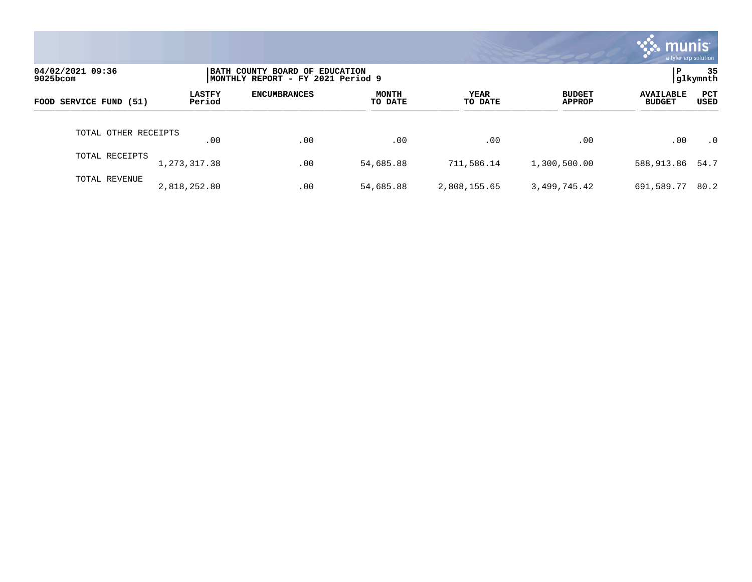|                              |                         |                                                                     |                         |                 |                                | mu<br>a tyler erp solution        |                    |
|------------------------------|-------------------------|---------------------------------------------------------------------|-------------------------|-----------------|--------------------------------|-----------------------------------|--------------------|
| 04/02/2021 09:36<br>9025bcom |                         | BATH COUNTY BOARD OF EDUCATION<br>MONTHLY REPORT - FY 2021 Period 9 |                         |                 |                                | P                                 | 35<br>glkymnth     |
| FOOD SERVICE FUND (51)       | <b>LASTFY</b><br>Period | <b>ENCUMBRANCES</b>                                                 | <b>MONTH</b><br>TO DATE | YEAR<br>TO DATE | <b>BUDGET</b><br><b>APPROP</b> | <b>AVAILABLE</b><br><b>BUDGET</b> | <b>PCT</b><br>USED |
| TOTAL OTHER RECEIPTS         | .00                     | .00                                                                 | $.00 \,$                | .00             | .00                            | .00                               | $\cdot$ 0          |
| TOTAL RECEIPTS               | 1, 273, 317.38          | .00                                                                 | 54,685.88               | 711,586.14      | 1,300,500.00                   | 588,913.86                        | 54.7               |
| TOTAL REVENUE                | 2,818,252.80            | .00                                                                 | 54,685.88               | 2,808,155.65    | 3,499,745.42                   | 691,589.77                        | 80.2               |

**The State**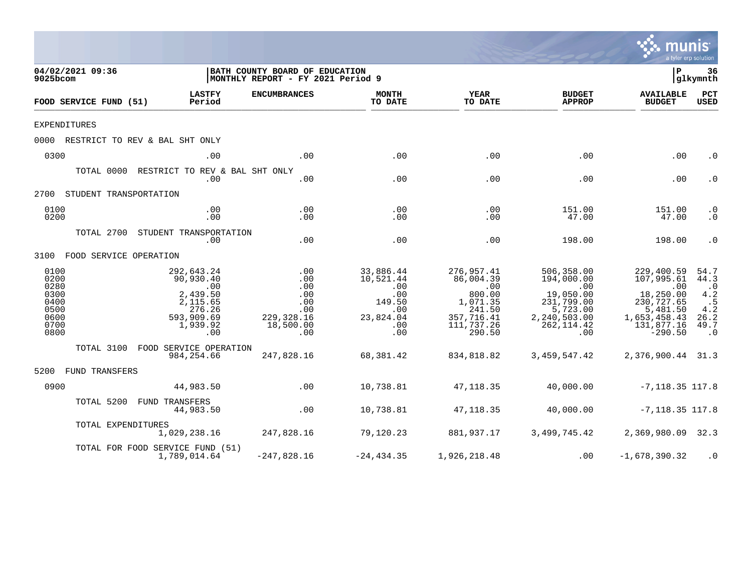|                                                                      |                                                                                                   |                                                                                    |                                                                                              |                                                                                                      |                                                                                                                          | mu                                                                                                                      | a tyler erp solution                                                       |
|----------------------------------------------------------------------|---------------------------------------------------------------------------------------------------|------------------------------------------------------------------------------------|----------------------------------------------------------------------------------------------|------------------------------------------------------------------------------------------------------|--------------------------------------------------------------------------------------------------------------------------|-------------------------------------------------------------------------------------------------------------------------|----------------------------------------------------------------------------|
| 04/02/2021 09:36<br>9025bcom                                         |                                                                                                   | BATH COUNTY BOARD OF EDUCATION<br>MONTHLY REPORT - FY 2021 Period 9                |                                                                                              |                                                                                                      |                                                                                                                          | l P                                                                                                                     | 36<br> glkymnth                                                            |
| FOOD SERVICE FUND (51)                                               | <b>LASTFY</b><br>Period                                                                           | <b>ENCUMBRANCES</b>                                                                | <b>MONTH</b><br>TO DATE                                                                      | YEAR<br>TO DATE                                                                                      | <b>BUDGET</b><br><b>APPROP</b>                                                                                           | <b>AVAILABLE</b><br><b>BUDGET</b>                                                                                       | PCT<br><b>USED</b>                                                         |
| <b>EXPENDITURES</b>                                                  |                                                                                                   |                                                                                    |                                                                                              |                                                                                                      |                                                                                                                          |                                                                                                                         |                                                                            |
|                                                                      | 0000 RESTRICT TO REV & BAL SHT ONLY                                                               |                                                                                    |                                                                                              |                                                                                                      |                                                                                                                          |                                                                                                                         |                                                                            |
| 0300                                                                 | .00                                                                                               | .00                                                                                | .00                                                                                          | .00                                                                                                  | .00                                                                                                                      | .00                                                                                                                     | $\cdot$ 0                                                                  |
|                                                                      | TOTAL 0000 RESTRICT TO REV & BAL SHT ONLY<br>.00                                                  | .00                                                                                | .00                                                                                          | .00                                                                                                  | .00                                                                                                                      | .00                                                                                                                     | $\cdot$ 0                                                                  |
| 2700 STUDENT TRANSPORTATION                                          |                                                                                                   |                                                                                    |                                                                                              |                                                                                                      |                                                                                                                          |                                                                                                                         |                                                                            |
| 0100<br>0200                                                         | .00<br>.00                                                                                        | .00<br>.00                                                                         | .00<br>.00                                                                                   | .00<br>.00                                                                                           | 151.00<br>47.00                                                                                                          | 151.00<br>47.00                                                                                                         | $\cdot$ 0<br>$\cdot$ 0                                                     |
|                                                                      | TOTAL 2700 STUDENT TRANSPORTATION<br>.00                                                          | .00                                                                                | .00                                                                                          | .00                                                                                                  | 198.00                                                                                                                   | 198.00                                                                                                                  | $\cdot$ 0                                                                  |
| 3100 FOOD SERVICE OPERATION                                          |                                                                                                   |                                                                                    |                                                                                              |                                                                                                      |                                                                                                                          |                                                                                                                         |                                                                            |
| 0100<br>0200<br>0280<br>0300<br>0400<br>0500<br>0600<br>0700<br>0800 | 292,643.24<br>90,930.40<br>.00<br>2,439.50<br>2,115.65<br>276.26<br>593,909.69<br>1,939.92<br>.00 | $\,$ .00 $\,$<br>.00<br>.00<br>.00<br>.00<br>.00<br>229,328.16<br>18,500.00<br>.00 | 33,886.44<br>10,521.44<br>.00<br>.00<br>149.50<br>.00<br>23,824.04<br>$\overline{00}$<br>.00 | 276,957.41<br>86,004.39<br>.00<br>800.00<br>1,071.35<br>241.50<br>357,716.41<br>111,737.26<br>290.50 | 506,358.00<br>194,000.00<br>$\overline{00}$<br>19,050.00<br>231,799.00<br>5,723.00<br>2,240,503.00<br>262, 114.42<br>.00 | 229,400.59<br>107,995.61<br>$\sim 00$<br>18,250.00<br>230,727.65<br>5,481.50<br>1,653,458.43<br>131,877.16<br>$-290.50$ | 54.7<br>44.3<br>$\cdot$ 0<br>4.2<br>.5<br>4.2<br>26.2<br>49.7<br>$\cdot$ 0 |
|                                                                      | TOTAL 3100 FOOD SERVICE OPERATION<br>984, 254.66                                                  | 247,828.16                                                                         | 68,381.42                                                                                    | 834,818.82                                                                                           | 3,459,547.42                                                                                                             | 2,376,900.44 31.3                                                                                                       |                                                                            |
| 5200 FUND TRANSFERS                                                  |                                                                                                   |                                                                                    |                                                                                              |                                                                                                      |                                                                                                                          |                                                                                                                         |                                                                            |
| 0900                                                                 | 44,983.50                                                                                         | .00                                                                                | 10,738.81                                                                                    | 47,118.35                                                                                            | 40,000.00                                                                                                                | $-7,118.35$ 117.8                                                                                                       |                                                                            |
|                                                                      | TOTAL 5200 FUND TRANSFERS<br>44,983.50                                                            | .00                                                                                | 10,738.81                                                                                    | 47,118.35                                                                                            | 40,000.00                                                                                                                | $-7, 118.35$ 117.8                                                                                                      |                                                                            |
|                                                                      | TOTAL EXPENDITURES<br>1,029,238.16                                                                | 247,828.16                                                                         | 79,120.23                                                                                    | 881,937.17                                                                                           | 3,499,745.42                                                                                                             | 2,369,980.09 32.3                                                                                                       |                                                                            |
|                                                                      | TOTAL FOR FOOD SERVICE FUND (51)<br>1,789,014.64                                                  | $-247,828.16$                                                                      | $-24, 434.35$                                                                                | 1,926,218.48                                                                                         | .00                                                                                                                      | $-1,678,390.32$                                                                                                         | $\cdot$ 0                                                                  |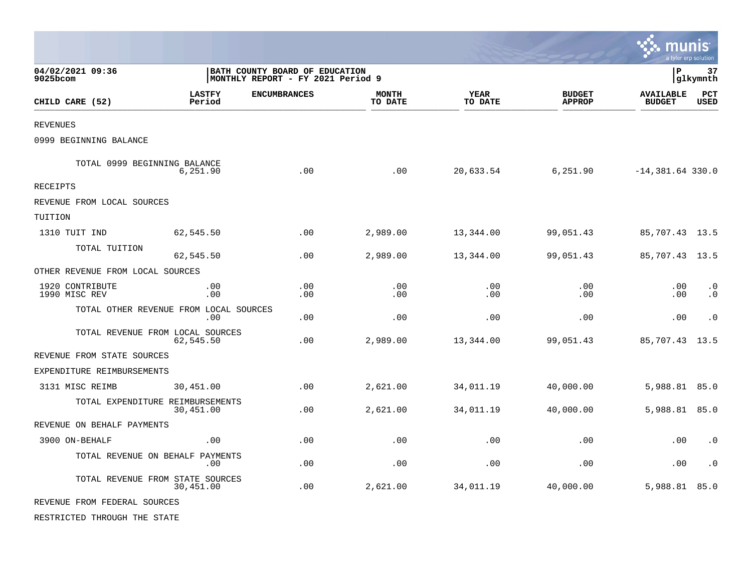|                                        |                         |                                                                     |                         |                 |                                | munis                             | a tyler erp solution   |
|----------------------------------------|-------------------------|---------------------------------------------------------------------|-------------------------|-----------------|--------------------------------|-----------------------------------|------------------------|
| 04/02/2021 09:36<br>9025bcom           |                         | BATH COUNTY BOARD OF EDUCATION<br>MONTHLY REPORT - FY 2021 Period 9 |                         |                 |                                | l P<br>37<br> glkymnth            |                        |
| CHILD CARE (52)                        | <b>LASTFY</b><br>Period | <b>ENCUMBRANCES</b>                                                 | <b>MONTH</b><br>TO DATE | YEAR<br>TO DATE | <b>BUDGET</b><br><b>APPROP</b> | <b>AVAILABLE</b><br><b>BUDGET</b> | PCT<br><b>USED</b>     |
| REVENUES                               |                         |                                                                     |                         |                 |                                |                                   |                        |
| 0999 BEGINNING BALANCE                 |                         |                                                                     |                         |                 |                                |                                   |                        |
| TOTAL 0999 BEGINNING BALANCE           | 6,251.90                | .00                                                                 | .00                     | 20,633.54       | 6,251.90                       | $-14,381.64$ 330.0                |                        |
| RECEIPTS                               |                         |                                                                     |                         |                 |                                |                                   |                        |
| REVENUE FROM LOCAL SOURCES             |                         |                                                                     |                         |                 |                                |                                   |                        |
| TUITION                                |                         |                                                                     |                         |                 |                                |                                   |                        |
| 1310 TUIT IND                          | 62,545.50               | .00                                                                 | 2,989.00                | 13,344.00       | 99,051.43                      | 85,707.43 13.5                    |                        |
| TOTAL TUITION                          | 62,545.50               | .00.                                                                | 2,989.00                | 13,344.00       | 99,051.43                      | 85,707.43 13.5                    |                        |
| OTHER REVENUE FROM LOCAL SOURCES       |                         |                                                                     |                         |                 |                                |                                   |                        |
| 1920 CONTRIBUTE<br>1990 MISC REV       | .00<br>.00              | .00<br>.00.                                                         | .00<br>.00              | .00<br>.00      | .00<br>.00                     | .00<br>.00                        | $\cdot$ 0<br>$\cdot$ 0 |
| TOTAL OTHER REVENUE FROM LOCAL SOURCES | .00                     | .00                                                                 | .00                     | .00             | .00                            | .00                               | $\cdot$ 0              |
| TOTAL REVENUE FROM LOCAL SOURCES       | 62,545.50               | .00                                                                 | 2,989.00                | 13,344.00       | 99,051.43                      | 85,707.43                         | 13.5                   |
| REVENUE FROM STATE SOURCES             |                         |                                                                     |                         |                 |                                |                                   |                        |
| EXPENDITURE REIMBURSEMENTS             |                         |                                                                     |                         |                 |                                |                                   |                        |
| 3131 MISC REIMB                        | 30,451.00               | .00                                                                 | 2,621.00                | 34,011.19       | 40,000.00                      | 5,988.81 85.0                     |                        |
| TOTAL EXPENDITURE REIMBURSEMENTS       | 30,451.00               | .00                                                                 | 2,621.00                | 34,011.19       | 40,000.00                      | 5,988.81 85.0                     |                        |
| REVENUE ON BEHALF PAYMENTS             |                         |                                                                     |                         |                 |                                |                                   |                        |
| 3900 ON-BEHALF                         | .00                     | .00                                                                 | .00                     | .00             | .00                            | .00                               | $\cdot$ 0              |
| TOTAL REVENUE ON BEHALF PAYMENTS       | .00                     | .00                                                                 | .00                     | .00             | .00                            | .00                               | $\cdot$ 0              |
| TOTAL REVENUE FROM STATE SOURCES       | 30,451.00               | .00                                                                 | 2,621.00                | 34,011.19       | 40,000.00                      | 5,988.81 85.0                     |                        |
| REVENUE FROM FEDERAL SOURCES           |                         |                                                                     |                         |                 |                                |                                   |                        |
| RESTRICTED THROUGH THE STATE           |                         |                                                                     |                         |                 |                                |                                   |                        |

 $\mathcal{L}$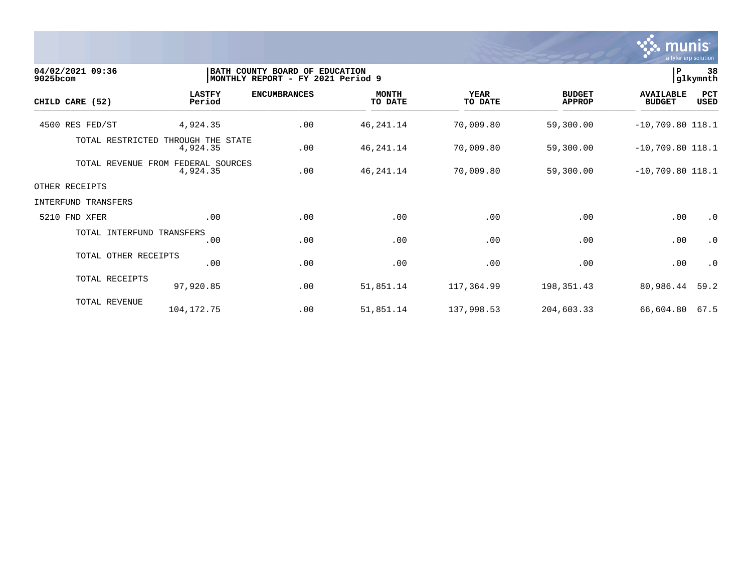

| 9025bcom | 04/02/2021 09:36                   |                         | BATH COUNTY BOARD OF EDUCATION<br>MONTHLY REPORT - FY 2021 Period 9 |                         |                        |                                | lР                                | 38<br>glkymnth     |
|----------|------------------------------------|-------------------------|---------------------------------------------------------------------|-------------------------|------------------------|--------------------------------|-----------------------------------|--------------------|
|          | CHILD CARE (52)                    | <b>LASTFY</b><br>Period | <b>ENCUMBRANCES</b>                                                 | <b>MONTH</b><br>TO DATE | <b>YEAR</b><br>TO DATE | <b>BUDGET</b><br><b>APPROP</b> | <b>AVAILABLE</b><br><b>BUDGET</b> | PCT<br><b>USED</b> |
|          | 4500 RES FED/ST                    | 4,924.35                | .00                                                                 | 46, 241. 14             | 70,009.80              | 59,300.00                      | $-10,709.80$ 118.1                |                    |
|          | TOTAL RESTRICTED THROUGH THE STATE | 4,924.35                | .00                                                                 | 46, 241. 14             | 70,009.80              | 59,300.00                      | $-10,709.80$ 118.1                |                    |
|          | TOTAL REVENUE FROM FEDERAL SOURCES | 4,924.35                | .00                                                                 | 46, 241. 14             | 70,009.80              | 59,300.00                      | $-10,709.80$ 118.1                |                    |
|          | OTHER RECEIPTS                     |                         |                                                                     |                         |                        |                                |                                   |                    |
|          | <b>INTERFUND TRANSFERS</b>         |                         |                                                                     |                         |                        |                                |                                   |                    |
|          | 5210 FND XFER                      | .00                     | .00                                                                 | .00                     | .00                    | .00                            | .00                               | $\cdot$ 0          |
|          | TOTAL INTERFUND TRANSFERS          | .00                     | .00                                                                 | .00                     | .00                    | .00                            | .00                               | $\cdot$ 0          |
|          | TOTAL OTHER RECEIPTS               | .00                     | .00                                                                 | .00                     | .00                    | .00                            | .00                               | $\cdot$ 0          |
|          | TOTAL RECEIPTS                     | 97,920.85               | .00                                                                 | 51,851.14               | 117,364.99             | 198,351.43                     | 80,986.44                         | 59.2               |
|          | TOTAL REVENUE                      | 104, 172. 75            | .00                                                                 | 51,851.14               | 137,998.53             | 204,603.33                     | 66,604.80                         | 67.5               |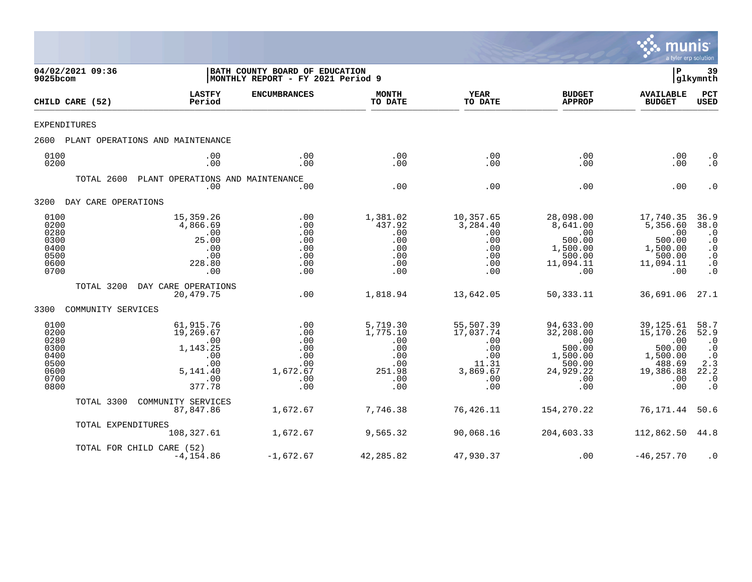

| 9025bcom                                                             | 04/02/2021 09:36    |                                                                                      | BATH COUNTY BOARD OF EDUCATION<br>MONTHLY REPORT - FY 2021 Period 9 |                                                                          |                                                                                |                                                                                          | ΙP                                                                                        | 39<br> glkymnth                                                                                           |
|----------------------------------------------------------------------|---------------------|--------------------------------------------------------------------------------------|---------------------------------------------------------------------|--------------------------------------------------------------------------|--------------------------------------------------------------------------------|------------------------------------------------------------------------------------------|-------------------------------------------------------------------------------------------|-----------------------------------------------------------------------------------------------------------|
|                                                                      | CHILD CARE (52)     | <b>LASTFY</b><br>Period                                                              | <b>ENCUMBRANCES</b>                                                 | <b>MONTH</b><br>TO DATE                                                  | <b>YEAR</b><br>TO DATE                                                         | <b>BUDGET</b><br><b>APPROP</b>                                                           | <b>AVAILABLE</b><br><b>BUDGET</b>                                                         | <b>PCT</b><br>USED                                                                                        |
| <b>EXPENDITURES</b>                                                  |                     |                                                                                      |                                                                     |                                                                          |                                                                                |                                                                                          |                                                                                           |                                                                                                           |
| 2600                                                                 |                     | PLANT OPERATIONS AND MAINTENANCE                                                     |                                                                     |                                                                          |                                                                                |                                                                                          |                                                                                           |                                                                                                           |
| 0100<br>0200                                                         |                     | .00<br>.00                                                                           | .00<br>.00                                                          | .00<br>.00                                                               | .00<br>.00                                                                     | .00<br>.00                                                                               | .00<br>.00                                                                                | $\cdot$ 0<br>$\cdot$ 0                                                                                    |
|                                                                      | TOTAL 2600          | PLANT OPERATIONS AND MAINTENANCE<br>.00                                              | .00                                                                 | .00                                                                      | .00                                                                            | .00                                                                                      | .00                                                                                       | $\cdot$ 0                                                                                                 |
| 3200                                                                 | DAY CARE OPERATIONS |                                                                                      |                                                                     |                                                                          |                                                                                |                                                                                          |                                                                                           |                                                                                                           |
| 0100<br>0200<br>0280<br>0300<br>0400<br>0500<br>0600<br>0700         |                     | 15,359.26<br>4,866.69<br>.00<br>25.00<br>.00<br>.00<br>228.80<br>.00                 | .00<br>.00<br>.00<br>.00<br>.00<br>.00<br>.00<br>.00                | 1,381.02<br>437.92<br>.00<br>.00<br>.00<br>.00<br>.00<br>.00             | 10,357.65<br>3,284.40<br>.00<br>.00<br>.00<br>.00<br>.00<br>.00                | 28,098.00<br>8,641.00<br>.00<br>500.00<br>1,500.00<br>500.00<br>11,094.11<br>.00         | 17,740.35<br>5,356.60<br>.00<br>500.00<br>1,500.00<br>500.00<br>11,094.11<br>.00          | 36.9<br>38.0<br>$\cdot$ 0<br>$\cdot$ 0<br>$\cdot$ 0<br>$\cdot$ 0<br>$\cdot$ 0<br>$\cdot$ 0                |
|                                                                      | TOTAL 3200          | DAY CARE OPERATIONS<br>20,479.75                                                     | .00                                                                 | 1,818.94                                                                 | 13,642.05                                                                      | 50, 333. 11                                                                              | 36,691.06                                                                                 | 27.1                                                                                                      |
| 3300                                                                 | COMMUNITY SERVICES  |                                                                                      |                                                                     |                                                                          |                                                                                |                                                                                          |                                                                                           |                                                                                                           |
| 0100<br>0200<br>0280<br>0300<br>0400<br>0500<br>0600<br>0700<br>0800 |                     | 61,915.76<br>19,269.67<br>.00<br>1,143.25<br>.00<br>.00<br>5,141.40<br>.00<br>377.78 | .00<br>.00<br>.00<br>.00<br>.00<br>.00<br>1,672.67<br>.00<br>.00    | 5,719.30<br>1,775.10<br>.00<br>.00<br>.00<br>.00<br>251.98<br>.00<br>.00 | 55,507.39<br>17,037.74<br>.00<br>.00<br>.00<br>11.31<br>3,869.67<br>.00<br>.00 | 94,633.00<br>32,208.00<br>.00<br>500.00<br>1,500.00<br>500.00<br>24,929.22<br>.00<br>.00 | 39, 125.61<br>15,170.26<br>.00<br>500.00<br>1,500.00<br>488.69<br>19,386.88<br>.00<br>.00 | 58.7<br>52.9<br>$\cdot$ 0<br>$\cdot$ 0<br>$\cdot$ 0<br>2.3<br>22.2<br>$\boldsymbol{\cdot}$ 0<br>$\cdot$ 0 |
|                                                                      | TOTAL 3300          | COMMUNITY SERVICES<br>87,847.86                                                      | 1,672.67                                                            | 7,746.38                                                                 | 76,426.11                                                                      | 154,270.22                                                                               | 76,171.44                                                                                 | 50.6                                                                                                      |
|                                                                      | TOTAL EXPENDITURES  | 108,327.61                                                                           | 1,672.67                                                            | 9,565.32                                                                 | 90,068.16                                                                      | 204,603.33                                                                               | 112,862.50                                                                                | 44.8                                                                                                      |
|                                                                      |                     | TOTAL FOR CHILD CARE (52)<br>$-4, 154.86$                                            | $-1,672.67$                                                         | 42,285.82                                                                | 47,930.37                                                                      | .00                                                                                      | $-46, 257.70$                                                                             | $\cdot$ 0                                                                                                 |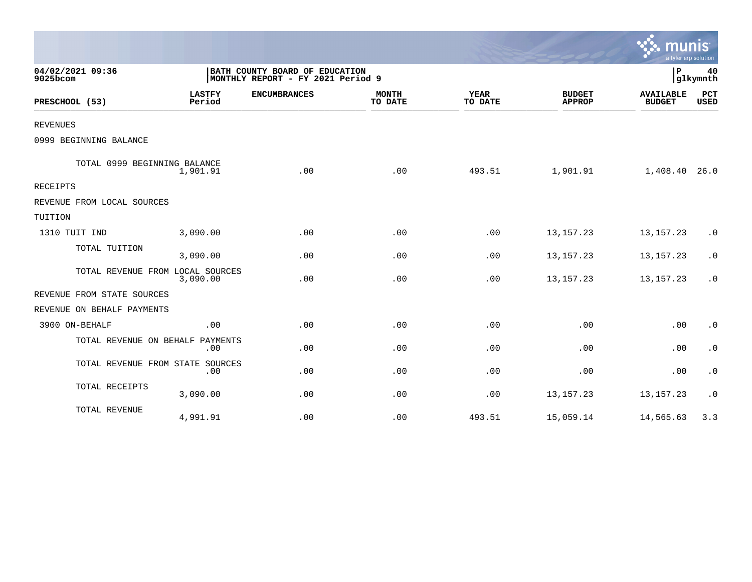|                                  |                         |                                                                     |                         |                        |                                | a tyler erp solution              |                    |
|----------------------------------|-------------------------|---------------------------------------------------------------------|-------------------------|------------------------|--------------------------------|-----------------------------------|--------------------|
| 04/02/2021 09:36<br>9025bcom     |                         | BATH COUNTY BOARD OF EDUCATION<br>MONTHLY REPORT - FY 2021 Period 9 |                         |                        | P                              | 40<br>glkymnth                    |                    |
| PRESCHOOL (53)                   | <b>LASTFY</b><br>Period | <b>ENCUMBRANCES</b>                                                 | <b>MONTH</b><br>TO DATE | <b>YEAR</b><br>TO DATE | <b>BUDGET</b><br><b>APPROP</b> | <b>AVAILABLE</b><br><b>BUDGET</b> | PCT<br><b>USED</b> |
| <b>REVENUES</b>                  |                         |                                                                     |                         |                        |                                |                                   |                    |
| 0999 BEGINNING BALANCE           |                         |                                                                     |                         |                        |                                |                                   |                    |
| TOTAL 0999 BEGINNING BALANCE     | 1,901.91                | .00                                                                 | .00                     | 493.51                 | 1,901.91                       | 1,408.40 26.0                     |                    |
| <b>RECEIPTS</b>                  |                         |                                                                     |                         |                        |                                |                                   |                    |
| REVENUE FROM LOCAL SOURCES       |                         |                                                                     |                         |                        |                                |                                   |                    |
| TUITION                          |                         |                                                                     |                         |                        |                                |                                   |                    |
| 1310 TUIT IND                    | 3,090.00                | .00                                                                 | .00                     | .00                    | 13, 157. 23                    | 13, 157. 23                       | $\cdot$ 0          |
| TOTAL TUITION                    | 3,090.00                | .00                                                                 | .00                     | .00                    | 13, 157. 23                    | 13, 157. 23                       | $\cdot$ 0          |
| TOTAL REVENUE FROM LOCAL SOURCES | 3,090.00                | .00                                                                 | .00                     | .00                    | 13, 157. 23                    | 13, 157. 23                       | $\cdot$ 0          |
| REVENUE FROM STATE SOURCES       |                         |                                                                     |                         |                        |                                |                                   |                    |
| REVENUE ON BEHALF PAYMENTS       |                         |                                                                     |                         |                        |                                |                                   |                    |
| 3900 ON-BEHALF                   | .00                     | .00                                                                 | .00                     | .00                    | .00                            | .00                               | $\cdot$ 0          |
| TOTAL REVENUE ON BEHALF PAYMENTS | .00                     | .00                                                                 | .00                     | .00                    | .00                            | .00                               | $\cdot$ 0          |
| TOTAL REVENUE FROM STATE SOURCES | .00                     | .00                                                                 | .00                     | .00                    | .00                            | .00                               | $\cdot$ 0          |
| TOTAL RECEIPTS                   | 3,090.00                | .00                                                                 | .00                     | .00                    | 13, 157. 23                    | 13, 157. 23                       | $\cdot$ 0          |
| TOTAL REVENUE                    | 4,991.91                | .00                                                                 | .00                     | 493.51                 | 15,059.14                      | 14,565.63                         | 3.3                |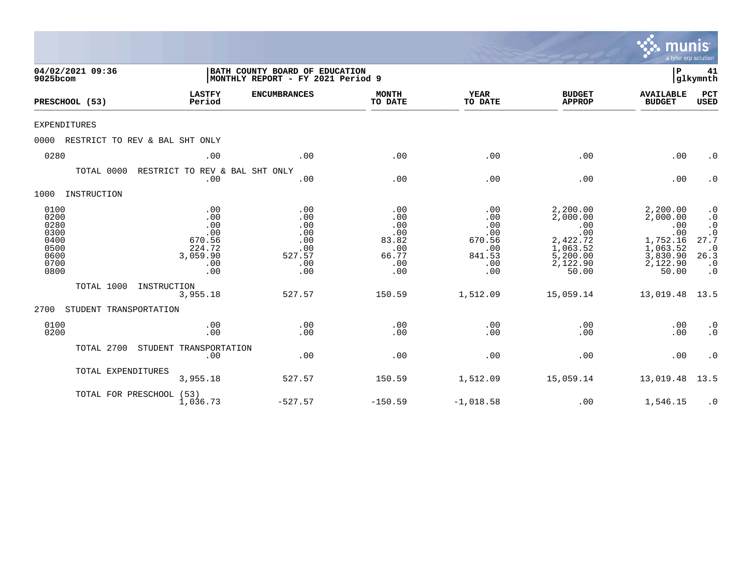|                                                                      |                                                                        |                                                                      |                                                                 |                                                                   |                                                                                             | munis                                                                                       | a tyler erp solution                                                                                                 |
|----------------------------------------------------------------------|------------------------------------------------------------------------|----------------------------------------------------------------------|-----------------------------------------------------------------|-------------------------------------------------------------------|---------------------------------------------------------------------------------------------|---------------------------------------------------------------------------------------------|----------------------------------------------------------------------------------------------------------------------|
| 04/02/2021 09:36<br>9025bcom                                         |                                                                        | BATH COUNTY BOARD OF EDUCATION<br> MONTHLY REPORT - FY 2021 Period 9 |                                                                 |                                                                   |                                                                                             | P                                                                                           | 41<br> glkymnth                                                                                                      |
| PRESCHOOL (53)                                                       | <b>LASTFY</b><br>Period                                                | <b>ENCUMBRANCES</b>                                                  | <b>MONTH</b><br>TO DATE                                         | <b>YEAR</b><br>TO DATE                                            | <b>BUDGET</b><br><b>APPROP</b>                                                              | <b>AVAILABLE</b><br><b>BUDGET</b>                                                           | PCT<br><b>USED</b>                                                                                                   |
| <b>EXPENDITURES</b>                                                  |                                                                        |                                                                      |                                                                 |                                                                   |                                                                                             |                                                                                             |                                                                                                                      |
| 0000                                                                 | RESTRICT TO REV & BAL SHT ONLY                                         |                                                                      |                                                                 |                                                                   |                                                                                             |                                                                                             |                                                                                                                      |
| 0280                                                                 | .00                                                                    | .00                                                                  | .00                                                             | .00                                                               | .00                                                                                         | .00                                                                                         | $\cdot$ 0                                                                                                            |
| TOTAL 0000                                                           | RESTRICT TO REV & BAL SHT ONLY<br>.00                                  | .00                                                                  | .00                                                             | .00                                                               | .00                                                                                         | .00                                                                                         | $\cdot$ 0                                                                                                            |
| 1000<br>INSTRUCTION                                                  |                                                                        |                                                                      |                                                                 |                                                                   |                                                                                             |                                                                                             |                                                                                                                      |
| 0100<br>0200<br>0280<br>0300<br>0400<br>0500<br>0600<br>0700<br>0800 | .00<br>.00<br>.00<br>.00<br>670.56<br>224.72<br>3,059.90<br>.00<br>.00 | .00<br>.00<br>.00<br>.00<br>.00<br>.00<br>527.57<br>.00<br>.00       | .00<br>.00<br>.00<br>.00<br>83.82<br>.00<br>66.77<br>.00<br>.00 | .00<br>.00<br>.00<br>.00<br>670.56<br>.00<br>841.53<br>.00<br>.00 | 2,200.00<br>2,000.00<br>.00<br>.00<br>2,422.72<br>1,063.52<br>5,200.00<br>2,122.90<br>50.00 | 2,200.00<br>2,000.00<br>.00<br>.00<br>1,752.16<br>1,063.52<br>3,830.90<br>2,122.90<br>50.00 | $\cdot$ 0<br>$\cdot$ 0<br>$\cdot$ 0<br>$\boldsymbol{\cdot}$ 0<br>27.7<br>$\cdot$ 0<br>26.3<br>$\cdot$ 0<br>$\cdot$ 0 |
| TOTAL 1000                                                           | INSTRUCTION<br>3,955.18                                                | 527.57                                                               | 150.59                                                          | 1,512.09                                                          | 15,059.14                                                                                   | 13,019.48                                                                                   | 13.5                                                                                                                 |
| 2700<br>STUDENT TRANSPORTATION                                       |                                                                        |                                                                      |                                                                 |                                                                   |                                                                                             |                                                                                             |                                                                                                                      |
| 0100<br>0200                                                         | .00<br>.00                                                             | .00<br>.00                                                           | .00<br>.00                                                      | .00<br>.00                                                        | .00<br>.00                                                                                  | .00<br>.00                                                                                  | $\cdot$ 0<br>$\cdot$ 0                                                                                               |
| TOTAL 2700                                                           | STUDENT TRANSPORTATION<br>.00                                          | .00                                                                  | .00                                                             | .00                                                               | .00                                                                                         | .00                                                                                         | $\cdot$ 0                                                                                                            |
| TOTAL EXPENDITURES                                                   | 3,955.18                                                               | 527.57                                                               | 150.59                                                          | 1,512.09                                                          | 15,059.14                                                                                   | 13,019.48                                                                                   | 13.5                                                                                                                 |
|                                                                      | TOTAL FOR PRESCHOOL (53)<br>1,036.73                                   | $-527.57$                                                            | $-150.59$                                                       | $-1,018.58$                                                       | .00                                                                                         | 1,546.15                                                                                    | $\cdot$ 0                                                                                                            |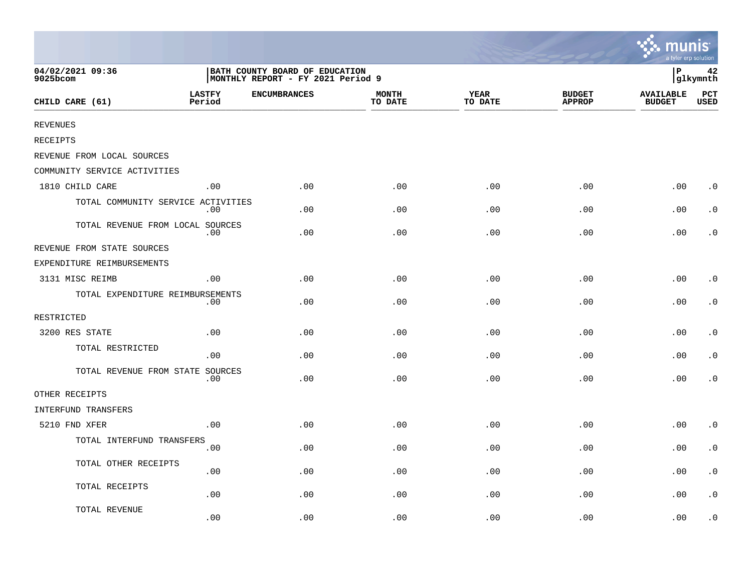|                                    |                         |                                                                     |                         |                 |                                | <b>MANIS</b><br>a tyler erp solution |                    |
|------------------------------------|-------------------------|---------------------------------------------------------------------|-------------------------|-----------------|--------------------------------|--------------------------------------|--------------------|
| 04/02/2021 09:36<br>9025bcom       |                         | BATH COUNTY BOARD OF EDUCATION<br>MONTHLY REPORT - FY 2021 Period 9 |                         |                 |                                | P                                    | 42<br>glkymnth     |
| CHILD CARE (61)                    | <b>LASTFY</b><br>Period | <b>ENCUMBRANCES</b>                                                 | <b>MONTH</b><br>TO DATE | YEAR<br>TO DATE | <b>BUDGET</b><br><b>APPROP</b> | <b>AVAILABLE</b><br><b>BUDGET</b>    | PCT<br><b>USED</b> |
| <b>REVENUES</b>                    |                         |                                                                     |                         |                 |                                |                                      |                    |
| <b>RECEIPTS</b>                    |                         |                                                                     |                         |                 |                                |                                      |                    |
| REVENUE FROM LOCAL SOURCES         |                         |                                                                     |                         |                 |                                |                                      |                    |
| COMMUNITY SERVICE ACTIVITIES       |                         |                                                                     |                         |                 |                                |                                      |                    |
| 1810 CHILD CARE                    | .00                     | .00                                                                 | .00                     | .00             | .00                            | .00                                  | $\cdot$ 0          |
| TOTAL COMMUNITY SERVICE ACTIVITIES | .00                     | .00                                                                 | .00                     | .00             | .00                            | .00                                  | $\cdot$ 0          |
| TOTAL REVENUE FROM LOCAL SOURCES   | .00                     | .00                                                                 | .00                     | .00             | .00                            | .00                                  | $\cdot$ 0          |
| REVENUE FROM STATE SOURCES         |                         |                                                                     |                         |                 |                                |                                      |                    |
| EXPENDITURE REIMBURSEMENTS         |                         |                                                                     |                         |                 |                                |                                      |                    |
| 3131 MISC REIMB                    | .00                     | .00                                                                 | .00                     | .00             | .00                            | .00                                  | $\cdot$ 0          |
| TOTAL EXPENDITURE REIMBURSEMENTS   | .00                     | .00                                                                 | .00                     | .00             | .00                            | .00                                  | . $\boldsymbol{0}$ |
| RESTRICTED                         |                         |                                                                     |                         |                 |                                |                                      |                    |
| 3200 RES STATE                     | .00                     | .00                                                                 | .00                     | .00             | .00                            | .00                                  | $\cdot$ 0          |
| TOTAL RESTRICTED                   | .00                     | .00                                                                 | .00                     | .00             | .00                            | .00                                  | $\cdot$ 0          |
| TOTAL REVENUE FROM STATE SOURCES   | .00                     | .00                                                                 | .00                     | .00             | .00                            | .00                                  | $\cdot$ 0          |
| OTHER RECEIPTS                     |                         |                                                                     |                         |                 |                                |                                      |                    |
| INTERFUND TRANSFERS                |                         |                                                                     |                         |                 |                                |                                      |                    |
| 5210 FND XFER                      | .00                     | .00                                                                 | .00                     | .00             | .00                            | .00                                  | $\cdot$ 0          |
| TOTAL INTERFUND TRANSFERS          | .00                     | .00                                                                 | .00                     | .00             | .00                            | .00                                  | $\cdot$ 0          |
| TOTAL OTHER RECEIPTS               | .00                     | .00                                                                 | .00                     | .00             | .00                            | .00                                  | $\cdot$ 0          |
| TOTAL RECEIPTS                     | .00                     | .00                                                                 | .00                     | .00             | .00                            | .00                                  | $\cdot$ 0          |
| TOTAL REVENUE                      | .00                     | .00                                                                 | .00                     | .00             | .00                            | .00                                  | $\cdot$ 0          |

 $\sim$   $\sim$   $\sim$   $\sim$   $\sim$   $\sim$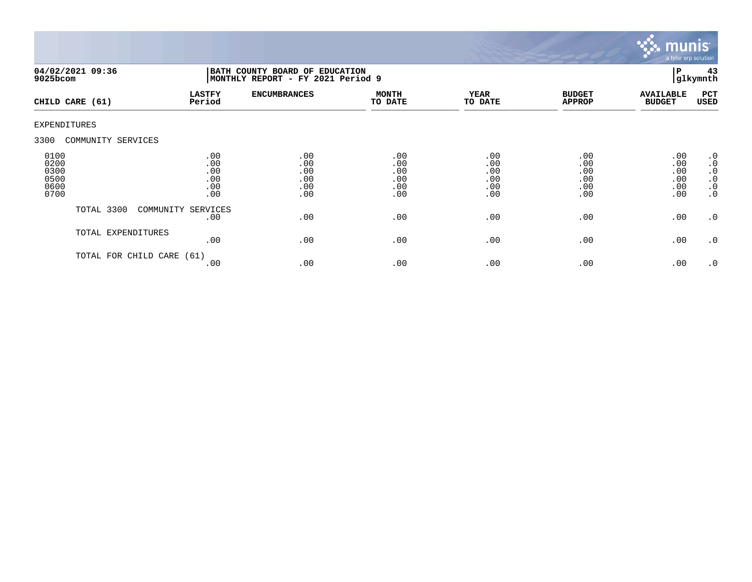

| $9025$ bcom                                  | 04/02/2021 09:36     | BATH COUNTY BOARD OF EDUCATION<br>MONTHLY REPORT - FY 2021 Period 9 |                                        |                                        |                                        |                                        |                                        | 43<br>glkymnth                                                                   |
|----------------------------------------------|----------------------|---------------------------------------------------------------------|----------------------------------------|----------------------------------------|----------------------------------------|----------------------------------------|----------------------------------------|----------------------------------------------------------------------------------|
|                                              | CHILD CARE (61)      | <b>LASTFY</b><br>Period                                             | <b>ENCUMBRANCES</b>                    | <b>MONTH</b><br>TO DATE                | <b>YEAR</b><br>TO DATE                 | <b>BUDGET</b><br><b>APPROP</b>         | <b>AVAILABLE</b><br><b>BUDGET</b>      | PCT<br>USED                                                                      |
| EXPENDITURES                                 |                      |                                                                     |                                        |                                        |                                        |                                        |                                        |                                                                                  |
| 3300                                         | COMMUNITY SERVICES   |                                                                     |                                        |                                        |                                        |                                        |                                        |                                                                                  |
| 0100<br>0200<br>0300<br>0500<br>0600<br>0700 |                      | .00<br>.00<br>.00<br>.00<br>.00<br>.00                              | .00<br>.00<br>.00<br>.00<br>.00<br>.00 | .00<br>.00<br>.00<br>.00<br>.00<br>.00 | .00<br>.00<br>.00<br>.00<br>.00<br>.00 | .00<br>.00<br>.00<br>.00<br>.00<br>.00 | .00<br>.00<br>.00<br>.00<br>.00<br>.00 | .0<br>$\boldsymbol{\cdot}$ 0<br>$\cdot$ 0<br>$\cdot$ 0<br>$\cdot$ 0<br>$\cdot$ 0 |
|                                              | TOTAL 3300           | COMMUNITY SERVICES<br>.00                                           | .00                                    | .00                                    | .00                                    | .00                                    | .00                                    | $\cdot$ 0                                                                        |
|                                              | TOTAL EXPENDITURES   | .00                                                                 | .00                                    | .00                                    | .00                                    | .00                                    | .00                                    | $\cdot$ 0                                                                        |
|                                              | TOTAL FOR CHILD CARE | (61)<br>.00                                                         | .00                                    | .00                                    | .00                                    | .00                                    | .00                                    | .0                                                                               |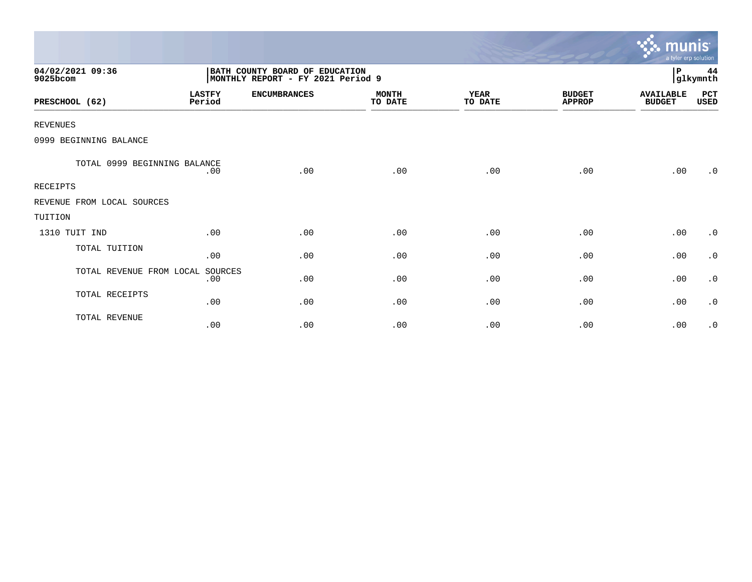|                              |                         |                                                                     |                         |                        |                                | munis <sup>.</sup><br>a tyler erp solution |                |
|------------------------------|-------------------------|---------------------------------------------------------------------|-------------------------|------------------------|--------------------------------|--------------------------------------------|----------------|
| 04/02/2021 09:36<br>9025bcom |                         | BATH COUNTY BOARD OF EDUCATION<br>MONTHLY REPORT - FY 2021 Period 9 |                         |                        |                                | P                                          | 44<br>glkymnth |
| PRESCHOOL (62)               | <b>LASTFY</b><br>Period | <b>ENCUMBRANCES</b>                                                 | <b>MONTH</b><br>TO DATE | <b>YEAR</b><br>TO DATE | <b>BUDGET</b><br><b>APPROP</b> | <b>AVAILABLE</b><br><b>BUDGET</b>          | PCT<br>USED    |
| <b>REVENUES</b>              |                         |                                                                     |                         |                        |                                |                                            |                |
| 0999 BEGINNING BALANCE       |                         |                                                                     |                         |                        |                                |                                            |                |
| TOTAL 0999 BEGINNING BALANCE | .00                     | .00                                                                 | .00                     | .00                    | .00                            | .00                                        | .0             |
| <b>RECEIPTS</b>              |                         |                                                                     |                         |                        |                                |                                            |                |
| REVENUE FROM LOCAL SOURCES   |                         |                                                                     |                         |                        |                                |                                            |                |
| TUITION                      |                         |                                                                     |                         |                        |                                |                                            |                |
| 1310 TUIT IND                | .00                     | .00                                                                 | .00                     | .00                    | .00                            | .00                                        | $\cdot$ 0      |
| TOTAL TUITION                | .00                     | .00                                                                 | .00                     | .00                    | .00                            | .00                                        | $\cdot$ 0      |
| TOTAL REVENUE FROM LOCAL     | SOURCES<br>.00          | .00                                                                 | .00                     | .00                    | .00                            | .00                                        | $\cdot$ 0      |
| TOTAL RECEIPTS               | .00                     | .00                                                                 | .00                     | .00                    | .00                            | .00                                        | $\cdot$ 0      |
| TOTAL REVENUE                | .00                     | .00                                                                 | .00                     | .00                    | .00                            | .00                                        | $\cdot$ 0      |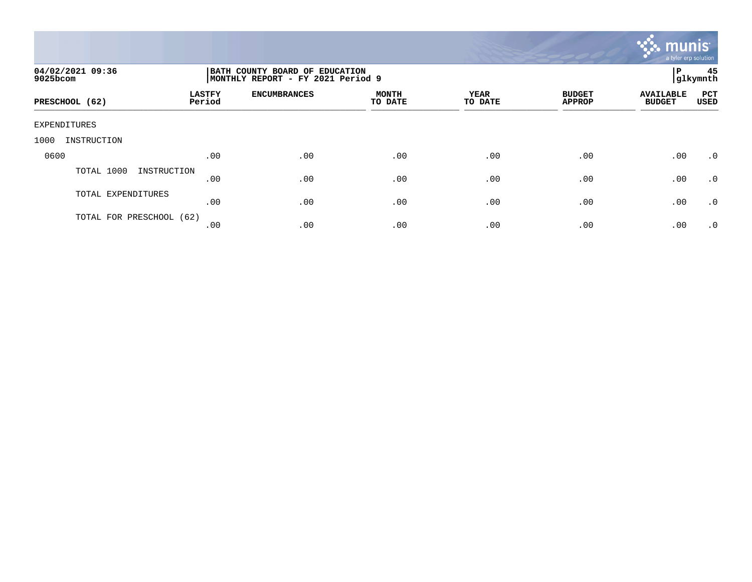

| 04/02/2021 09:36<br>9025bcom |                         | ΙP<br>BATH COUNTY BOARD OF EDUCATION<br>glkymnth<br>MONTHLY REPORT - FY 2021 Period 9 |                         |                 |                                |                                   |                    |  |  |
|------------------------------|-------------------------|---------------------------------------------------------------------------------------|-------------------------|-----------------|--------------------------------|-----------------------------------|--------------------|--|--|
| PRESCHOOL (62)               | <b>LASTFY</b><br>Period | <b>ENCUMBRANCES</b>                                                                   | <b>MONTH</b><br>TO DATE | YEAR<br>TO DATE | <b>BUDGET</b><br><b>APPROP</b> | <b>AVAILABLE</b><br><b>BUDGET</b> | PCT<br><b>USED</b> |  |  |
| EXPENDITURES                 |                         |                                                                                       |                         |                 |                                |                                   |                    |  |  |
| INSTRUCTION<br>1000          |                         |                                                                                       |                         |                 |                                |                                   |                    |  |  |
| 0600                         | .00                     | .00                                                                                   | .00                     | .00             | .00                            | .00                               | $\cdot$ 0          |  |  |
| TOTAL 1000<br>INSTRUCTION    | .00                     | .00                                                                                   | .00                     | .00             | .00                            | .00                               | .0                 |  |  |
| TOTAL EXPENDITURES           | .00                     | .00                                                                                   | .00                     | .00             | .00                            | .00                               | .0                 |  |  |
| TOTAL FOR PRESCHOOL (62)     | .00                     | .00                                                                                   | .00                     | .00             | .00                            | .00                               | $\cdot$ 0          |  |  |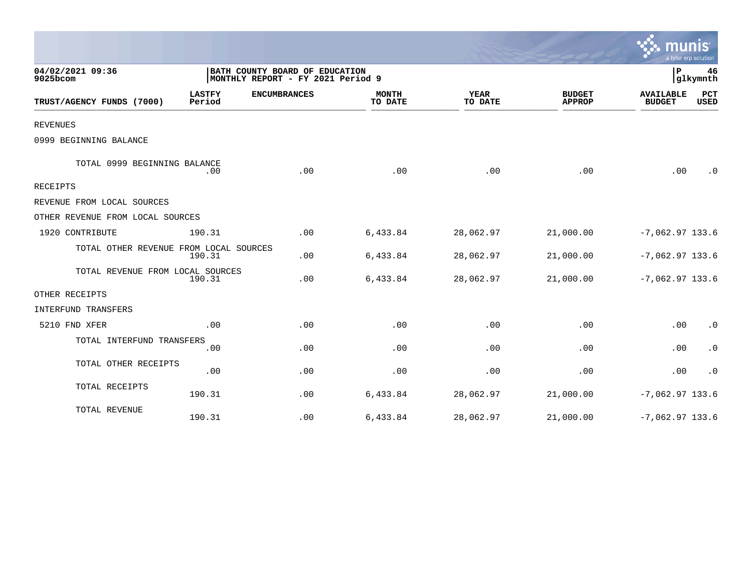|                                        |                         |                                                                     |                         |                        |                                |                                   | a tyler erp solution |
|----------------------------------------|-------------------------|---------------------------------------------------------------------|-------------------------|------------------------|--------------------------------|-----------------------------------|----------------------|
| 04/02/2021 09:36<br>9025bcom           |                         | BATH COUNTY BOARD OF EDUCATION<br>MONTHLY REPORT - FY 2021 Period 9 |                         |                        |                                | ΙP                                | 46<br>glkymnth       |
| TRUST/AGENCY FUNDS (7000)              | <b>LASTFY</b><br>Period | <b>ENCUMBRANCES</b>                                                 | <b>MONTH</b><br>TO DATE | <b>YEAR</b><br>TO DATE | <b>BUDGET</b><br><b>APPROP</b> | <b>AVAILABLE</b><br><b>BUDGET</b> | PCT<br>USED          |
| <b>REVENUES</b>                        |                         |                                                                     |                         |                        |                                |                                   |                      |
| 0999 BEGINNING BALANCE                 |                         |                                                                     |                         |                        |                                |                                   |                      |
| TOTAL 0999 BEGINNING BALANCE           | .00                     | .00                                                                 | .00                     | .00                    | .00                            | .00                               | $\cdot$ 0            |
| <b>RECEIPTS</b>                        |                         |                                                                     |                         |                        |                                |                                   |                      |
| REVENUE FROM LOCAL SOURCES             |                         |                                                                     |                         |                        |                                |                                   |                      |
| OTHER REVENUE FROM LOCAL SOURCES       |                         |                                                                     |                         |                        |                                |                                   |                      |
| 1920 CONTRIBUTE                        | 190.31                  | .00                                                                 | 6,433.84                | 28,062.97              | 21,000.00                      | $-7,062.97$ 133.6                 |                      |
| TOTAL OTHER REVENUE FROM LOCAL SOURCES | 190.31                  | .00                                                                 | 6,433.84                | 28,062.97              | 21,000.00                      | $-7,062.97$ 133.6                 |                      |
| TOTAL REVENUE FROM LOCAL SOURCES       | 190.31                  | .00                                                                 | 6,433.84                | 28,062.97              | 21,000.00                      | $-7,062.97$ 133.6                 |                      |
| OTHER RECEIPTS                         |                         |                                                                     |                         |                        |                                |                                   |                      |
| INTERFUND TRANSFERS                    |                         |                                                                     |                         |                        |                                |                                   |                      |
| 5210 FND XFER                          | .00                     | .00                                                                 | .00                     | .00                    | .00                            | .00                               | $\cdot$ 0            |
| TOTAL INTERFUND TRANSFERS              | .00                     | .00                                                                 | .00                     | .00                    | .00                            | .00                               | $\cdot$ 0            |
| TOTAL OTHER RECEIPTS                   | .00                     | .00                                                                 | .00                     | .00                    | .00                            | .00                               | $\cdot$ 0            |
| TOTAL RECEIPTS                         | 190.31                  | .00                                                                 | 6,433.84                | 28,062.97              | 21,000.00                      | $-7,062.97$ 133.6                 |                      |
| TOTAL REVENUE                          | 190.31                  | .00                                                                 | 6,433.84                | 28,062.97              | 21,000.00                      | $-7,062.97$ 133.6                 |                      |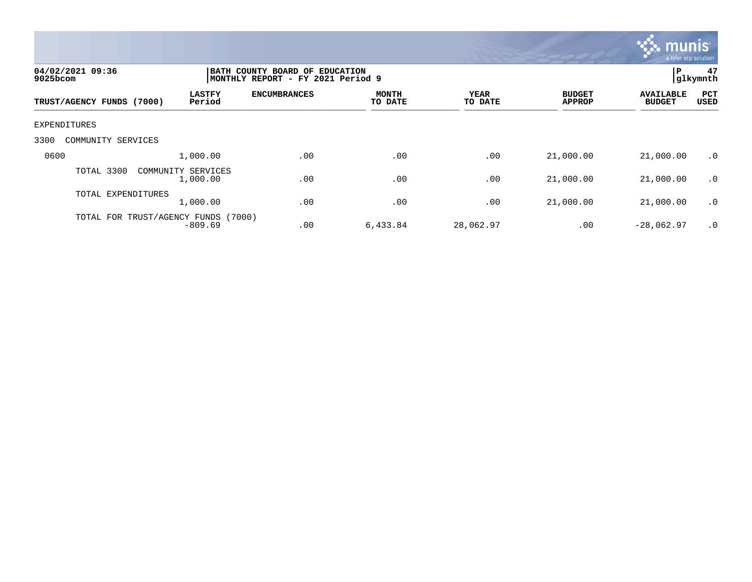

| 04/02/2021 09:36<br>9025bcom |                                | P<br>BATH COUNTY BOARD OF EDUCATION<br>glkymnth<br> MONTHLY REPORT - FY 2021 Period 9 |                         |                        |                                |                                   |             |  |  |
|------------------------------|--------------------------------|---------------------------------------------------------------------------------------|-------------------------|------------------------|--------------------------------|-----------------------------------|-------------|--|--|
| TRUST/AGENCY FUNDS (7000)    | <b>LASTFY</b><br>Period        | <b>ENCUMBRANCES</b>                                                                   | <b>MONTH</b><br>TO DATE | <b>YEAR</b><br>TO DATE | <b>BUDGET</b><br><b>APPROP</b> | <b>AVAILABLE</b><br><b>BUDGET</b> | PCT<br>USED |  |  |
| EXPENDITURES                 |                                |                                                                                       |                         |                        |                                |                                   |             |  |  |
| 3300<br>COMMUNITY SERVICES   |                                |                                                                                       |                         |                        |                                |                                   |             |  |  |
| 0600                         | 1,000.00                       | .00                                                                                   | .00                     | .00                    | 21,000.00                      | 21,000.00                         | $\cdot$ 0   |  |  |
| TOTAL 3300                   | COMMUNITY SERVICES<br>1,000.00 | .00                                                                                   | .00                     | .00                    | 21,000.00                      | 21,000.00                         | .0          |  |  |
| TOTAL EXPENDITURES           | 1,000.00                       | .00                                                                                   | .00                     | .00                    | 21,000.00                      | 21,000.00                         | $\cdot$ 0   |  |  |
| TOTAL FOR TRUST/AGENCY FUNDS | (7000)<br>$-809.69$            | .00                                                                                   | 6,433.84                | 28,062.97              | .00                            | $-28,062.97$                      | $\cdot$ 0   |  |  |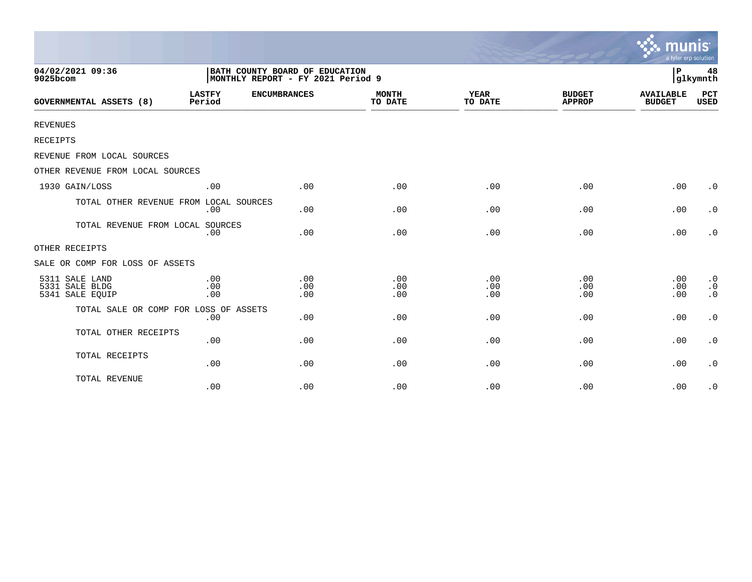|                                                     |                                   |                                |                         |                        |                                | munis<br>a tyler erp solution     |                                     |
|-----------------------------------------------------|-----------------------------------|--------------------------------|-------------------------|------------------------|--------------------------------|-----------------------------------|-------------------------------------|
| 04/02/2021 09:36<br>9025bcom                        | MONTHLY REPORT - FY 2021 Period 9 | BATH COUNTY BOARD OF EDUCATION |                         |                        |                                | l P                               | 48<br>glkymnth                      |
| <b>GOVERNMENTAL ASSETS (8)</b>                      | <b>LASTFY</b><br>Period           | <b>ENCUMBRANCES</b>            | <b>MONTH</b><br>TO DATE | <b>YEAR</b><br>TO DATE | <b>BUDGET</b><br><b>APPROP</b> | <b>AVAILABLE</b><br><b>BUDGET</b> | <b>PCT</b><br><b>USED</b>           |
| <b>REVENUES</b>                                     |                                   |                                |                         |                        |                                |                                   |                                     |
| RECEIPTS                                            |                                   |                                |                         |                        |                                |                                   |                                     |
| REVENUE FROM LOCAL SOURCES                          |                                   |                                |                         |                        |                                |                                   |                                     |
| OTHER REVENUE FROM LOCAL SOURCES                    |                                   |                                |                         |                        |                                |                                   |                                     |
| 1930 GAIN/LOSS                                      | .00                               | .00                            | .00                     | .00                    | .00                            | .00                               | $\cdot$ 0                           |
| TOTAL OTHER REVENUE FROM LOCAL SOURCES              | .00                               | .00                            | .00                     | .00                    | .00                            | .00                               | $\cdot$ 0                           |
| TOTAL REVENUE FROM LOCAL SOURCES                    | .00                               | .00                            | .00                     | .00                    | .00                            | .00                               | $\cdot$ 0                           |
| OTHER RECEIPTS                                      |                                   |                                |                         |                        |                                |                                   |                                     |
| SALE OR COMP FOR LOSS OF ASSETS                     |                                   |                                |                         |                        |                                |                                   |                                     |
| 5311 SALE LAND<br>5331 SALE BLDG<br>5341 SALE EQUIP | .00<br>.00<br>.00                 | .00<br>.00<br>.00              | .00<br>.00<br>.00       | .00<br>.00<br>.00      | .00<br>.00<br>.00              | .00<br>.00<br>.00                 | $\cdot$ 0<br>$\cdot$ 0<br>$\cdot$ 0 |
| TOTAL SALE OR COMP FOR LOSS OF ASSETS               | .00                               | .00                            | .00                     | .00                    | .00                            | .00                               | $\cdot$ 0                           |
| TOTAL OTHER RECEIPTS                                | .00                               | .00                            | .00                     | .00                    | .00                            | .00                               | $\cdot$ 0                           |
| TOTAL RECEIPTS                                      | .00                               | .00                            | .00                     | .00                    | .00                            | .00                               | $\cdot$ 0                           |
| TOTAL REVENUE                                       | .00                               | .00                            | .00                     | .00                    | .00                            | .00                               | $\cdot$ 0                           |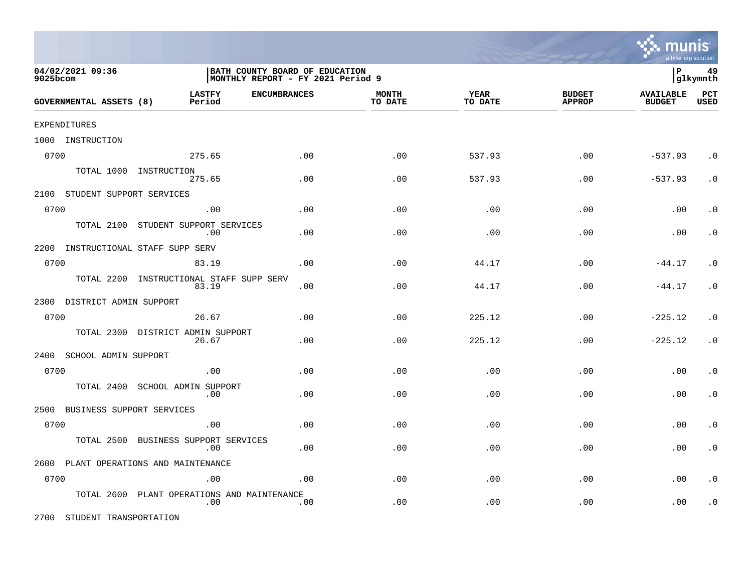

| 04/02/2021 09:36<br>9025bcom      | BATH COUNTY BOARD OF EDUCATION<br> MONTHLY REPORT - FY 2021 Period 9 |     |                         |                 |                                | İР                                | 49<br> glkymnth    |
|-----------------------------------|----------------------------------------------------------------------|-----|-------------------------|-----------------|--------------------------------|-----------------------------------|--------------------|
| GOVERNMENTAL ASSETS (8)           | <b>LASTFY</b><br><b>ENCUMBRANCES</b><br>Period                       |     | <b>MONTH</b><br>TO DATE | YEAR<br>TO DATE | <b>BUDGET</b><br><b>APPROP</b> | <b>AVAILABLE</b><br><b>BUDGET</b> | PCT<br><b>USED</b> |
| EXPENDITURES                      |                                                                      |     |                         |                 |                                |                                   |                    |
| 1000 INSTRUCTION                  |                                                                      |     |                         |                 |                                |                                   |                    |
| 0700                              | 275.65                                                               | .00 | .00                     | 537.93          | .00                            | $-537.93$                         | $\cdot$ 0          |
|                                   | TOTAL 1000 INSTRUCTION<br>275.65                                     | .00 | .00                     | 537.93          | .00                            | $-537.93$                         | $\cdot$ 0          |
| 2100 STUDENT SUPPORT SERVICES     |                                                                      |     |                         |                 |                                |                                   |                    |
| 0700                              | .00                                                                  | .00 | .00                     | .00             | .00                            | .00                               | . $\boldsymbol{0}$ |
| TOTAL 2100                        | STUDENT SUPPORT SERVICES<br>.00                                      | .00 | .00                     | .00             | .00                            | .00                               | $\cdot$ 0          |
| 2200                              | INSTRUCTIONAL STAFF SUPP SERV                                        |     |                         |                 |                                |                                   |                    |
| 0700                              | 83.19                                                                | .00 | .00                     | 44.17           | .00                            | $-44.17$                          | $\cdot$ 0          |
| TOTAL 2200                        | INSTRUCTIONAL STAFF SUPP SERV<br>83.19                               | .00 | .00                     | 44.17           | .00                            | $-44.17$                          | $\cdot$ 0          |
| 2300 DISTRICT ADMIN SUPPORT       |                                                                      |     |                         |                 |                                |                                   |                    |
| 0700                              | 26.67                                                                | .00 | .00                     | 225.12          | .00                            | $-225.12$                         | $\cdot$ 0          |
|                                   | TOTAL 2300 DISTRICT ADMIN SUPPORT<br>26.67                           | .00 | .00                     | 225.12          | .00                            | $-225.12$                         | $\cdot$ 0          |
| 2400<br>SCHOOL ADMIN SUPPORT      |                                                                      |     |                         |                 |                                |                                   |                    |
| 0700                              | .00                                                                  | .00 | .00                     | .00             | .00                            | .00                               | $\cdot$ 0          |
| TOTAL 2400                        | SCHOOL ADMIN SUPPORT<br>.00                                          | .00 | .00                     | .00             | .00                            | .00                               | $\cdot$ 0          |
| BUSINESS SUPPORT SERVICES<br>2500 |                                                                      |     |                         |                 |                                |                                   |                    |
| 0700                              | .00                                                                  | .00 | .00                     | .00             | .00                            | .00                               | $\cdot$ 0          |
| TOTAL 2500                        | BUSINESS SUPPORT SERVICES<br>.00                                     | .00 | .00                     | .00             | .00                            | .00                               | $\cdot$ 0          |
|                                   | 2600 PLANT OPERATIONS AND MAINTENANCE                                |     |                         |                 |                                |                                   |                    |
| 0700                              | .00                                                                  | .00 | .00                     | .00             | .00                            | .00                               | $\cdot$ 0          |
| TOTAL 2600                        | PLANT OPERATIONS AND MAINTENANCE<br>.00                              | .00 | .00                     | .00             | .00                            | .00                               | $\cdot$ 0          |

2700 STUDENT TRANSPORTATION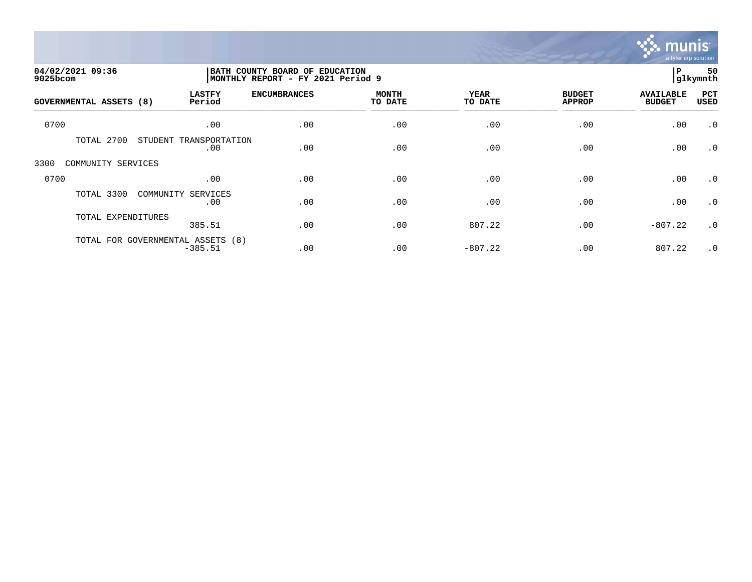

| 04/02/2021 09:36<br>9025bcom      |                           |                     | BATH COUNTY BOARD OF EDUCATION<br>MONTHLY REPORT - FY 2021 Period 9 |                 |                                |                                   |                    |
|-----------------------------------|---------------------------|---------------------|---------------------------------------------------------------------|-----------------|--------------------------------|-----------------------------------|--------------------|
| <b>GOVERNMENTAL ASSETS (8)</b>    | <b>LASTFY</b><br>Period   | <b>ENCUMBRANCES</b> | <b>MONTH</b><br>TO DATE                                             | YEAR<br>TO DATE | <b>BUDGET</b><br><b>APPROP</b> | <b>AVAILABLE</b><br><b>BUDGET</b> | PCT<br><b>USED</b> |
| 0700                              | .00                       | .00                 | .00                                                                 | .00             | .00                            | .00                               | $\cdot$ 0          |
| TOTAL 2700<br>STUDENT             | TRANSPORTATION<br>.00     | .00                 | .00                                                                 | .00             | .00                            | .00                               | $\cdot$ 0          |
| COMMUNITY SERVICES<br>3300        |                           |                     |                                                                     |                 |                                |                                   |                    |
| 0700                              | .00                       | .00                 | .00                                                                 | .00             | .00                            | .00                               | $\cdot$ 0          |
| TOTAL 3300                        | COMMUNITY SERVICES<br>.00 | .00                 | .00                                                                 | .00             | .00                            | .00                               | $\cdot$ 0          |
| TOTAL EXPENDITURES                | 385.51                    | .00                 | .00                                                                 | 807.22          | .00                            | $-807.22$                         | $\cdot$ 0          |
| TOTAL FOR GOVERNMENTAL ASSETS (8) | $-385.51$                 | .00                 | .00                                                                 | $-807.22$       | .00                            | 807.22                            | $\cdot$ 0          |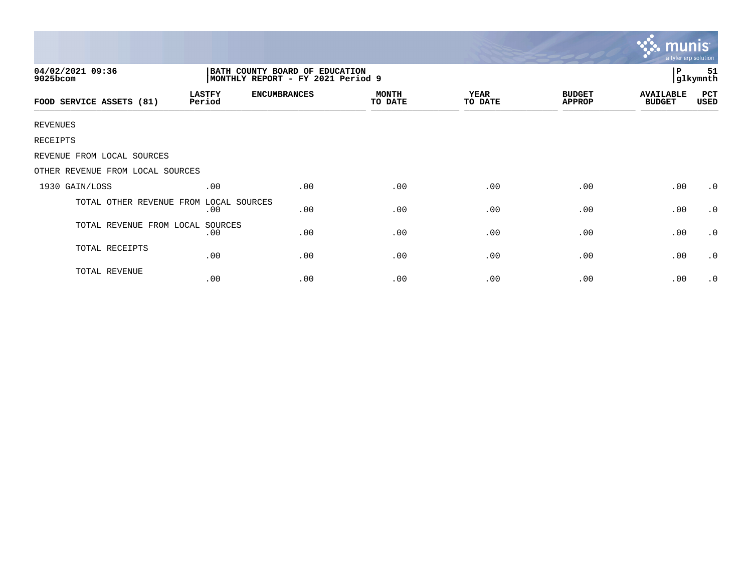|                                  |                                                                     |                     |                         |                        |                                | munis<br>a tyler erp solution     |                |
|----------------------------------|---------------------------------------------------------------------|---------------------|-------------------------|------------------------|--------------------------------|-----------------------------------|----------------|
| 04/02/2021 09:36<br>9025bcom     | BATH COUNTY BOARD OF EDUCATION<br>MONTHLY REPORT - FY 2021 Period 9 |                     |                         |                        |                                | Р                                 | 51<br>glkymnth |
| FOOD SERVICE ASSETS (81)         | <b>LASTFY</b><br>Period                                             | <b>ENCUMBRANCES</b> | <b>MONTH</b><br>TO DATE | <b>YEAR</b><br>TO DATE | <b>BUDGET</b><br><b>APPROP</b> | <b>AVAILABLE</b><br><b>BUDGET</b> | PCT<br>USED    |
| <b>REVENUES</b>                  |                                                                     |                     |                         |                        |                                |                                   |                |
| RECEIPTS                         |                                                                     |                     |                         |                        |                                |                                   |                |
| REVENUE FROM LOCAL SOURCES       |                                                                     |                     |                         |                        |                                |                                   |                |
| OTHER REVENUE FROM LOCAL SOURCES |                                                                     |                     |                         |                        |                                |                                   |                |
| 1930 GAIN/LOSS                   | .00                                                                 | .00                 | .00                     | .00                    | .00                            | .00                               | $\cdot$ 0      |
| TOTAL OTHER REVENUE FROM         | LOCAL SOURCES<br>.00                                                | .00                 | .00                     | .00                    | .00                            | .00                               | $\cdot$ 0      |
| TOTAL REVENUE FROM LOCAL SOURCES | .00                                                                 | .00                 | .00                     | .00                    | .00                            | .00                               | $\cdot$ 0      |
| TOTAL RECEIPTS                   | .00                                                                 | .00                 | .00                     | .00                    | .00                            | .00                               | $\cdot$ 0      |
| TOTAL REVENUE                    | .00                                                                 | .00                 | .00                     | .00                    | .00                            | .00                               | $\cdot$ 0      |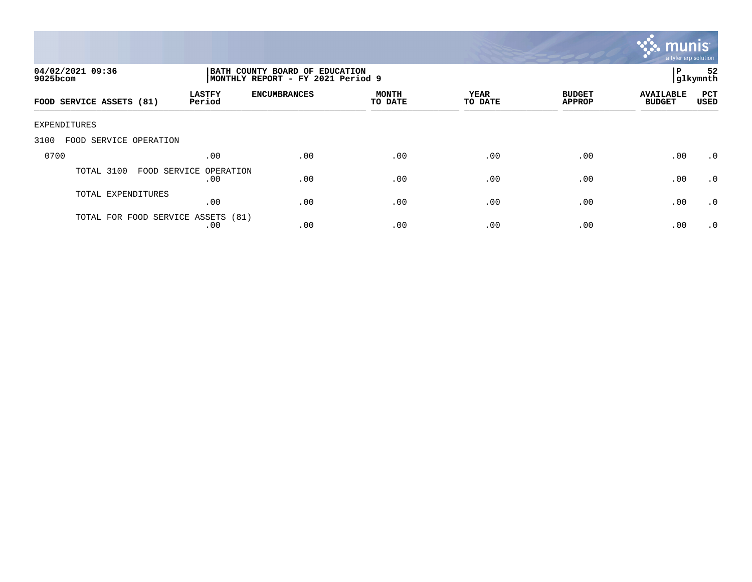

| 04/02/2021 09:36<br>$9025$ bcom    |                               | BATH COUNTY BOARD OF EDUCATION<br>MONTHLY REPORT - FY 2021 Period 9 |                         |                 |                                |                                   |                    |
|------------------------------------|-------------------------------|---------------------------------------------------------------------|-------------------------|-----------------|--------------------------------|-----------------------------------|--------------------|
| FOOD SERVICE ASSETS (81)           | <b>LASTFY</b><br>Period       | <b>ENCUMBRANCES</b>                                                 | <b>MONTH</b><br>TO DATE | YEAR<br>TO DATE | <b>BUDGET</b><br><b>APPROP</b> | <b>AVAILABLE</b><br><b>BUDGET</b> | PCT<br><b>USED</b> |
| <b>EXPENDITURES</b>                |                               |                                                                     |                         |                 |                                |                                   |                    |
| 3100<br>FOOD SERVICE OPERATION     |                               |                                                                     |                         |                 |                                |                                   |                    |
| 0700                               | .00                           | .00                                                                 | .00                     | .00             | .00                            | .00                               | .0                 |
| TOTAL 3100                         | FOOD SERVICE OPERATION<br>.00 | .00                                                                 | .00                     | .00             | .00                            | .00                               | .0                 |
| TOTAL EXPENDITURES                 | .00                           | .00                                                                 | .00                     | .00             | .00                            | .00                               | $\cdot$ 0          |
| TOTAL FOR FOOD SERVICE ASSETS (81) | .00                           | .00                                                                 | .00                     | .00             | .00                            | .00                               | $\cdot$ 0          |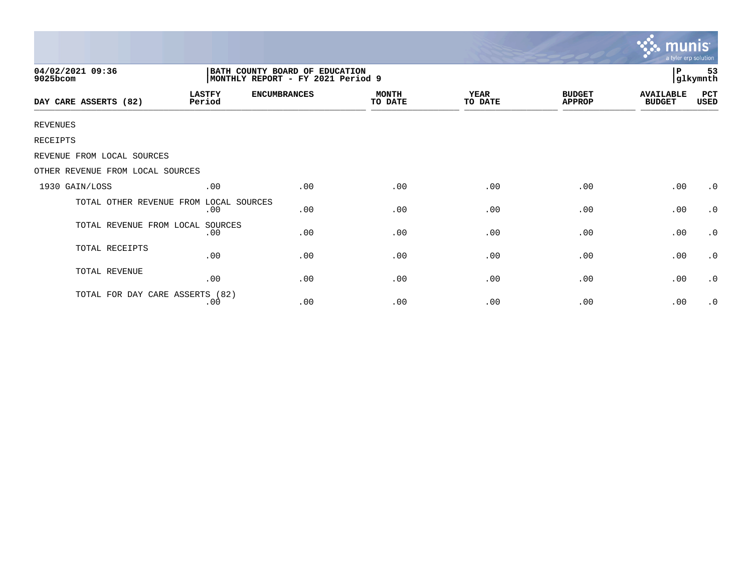|                                  |                                                                      |                     |                         |                 |                                | <b>munis</b><br>a tyler erp solution |                     |  |
|----------------------------------|----------------------------------------------------------------------|---------------------|-------------------------|-----------------|--------------------------------|--------------------------------------|---------------------|--|
| 04/02/2021 09:36<br>9025bcom     | BATH COUNTY BOARD OF EDUCATION<br> MONTHLY REPORT - FY 2021 Period 9 |                     |                         |                 |                                |                                      | 53<br>P<br>glkymnth |  |
| DAY CARE ASSERTS (82)            | <b>LASTFY</b><br>Period                                              | <b>ENCUMBRANCES</b> | <b>MONTH</b><br>TO DATE | YEAR<br>TO DATE | <b>BUDGET</b><br><b>APPROP</b> | <b>AVAILABLE</b><br><b>BUDGET</b>    | PCT<br>USED         |  |
| <b>REVENUES</b>                  |                                                                      |                     |                         |                 |                                |                                      |                     |  |
| RECEIPTS                         |                                                                      |                     |                         |                 |                                |                                      |                     |  |
| REVENUE FROM LOCAL SOURCES       |                                                                      |                     |                         |                 |                                |                                      |                     |  |
| OTHER REVENUE FROM LOCAL SOURCES |                                                                      |                     |                         |                 |                                |                                      |                     |  |
| 1930 GAIN/LOSS                   | .00                                                                  | .00                 | .00                     | .00             | .00                            | .00                                  | $\cdot$ 0           |  |
| TOTAL OTHER REVENUE FROM         | LOCAL SOURCES<br>.00                                                 | .00                 | .00                     | .00             | .00                            | .00                                  | $\cdot$ 0           |  |
| TOTAL REVENUE FROM LOCAL         | SOURCES<br>.00                                                       | .00                 | .00                     | .00             | .00                            | .00                                  | $\cdot$ 0           |  |
| TOTAL RECEIPTS                   | .00                                                                  | .00                 | .00                     | .00             | .00                            | .00                                  | $\cdot$ 0           |  |
| TOTAL REVENUE                    | .00                                                                  | .00                 | .00                     | .00             | .00                            | .00                                  | $\cdot$ 0           |  |
| TOTAL FOR DAY CARE ASSERTS (82)  | .00                                                                  | .00                 | .00                     | .00             | .00                            | .00                                  | $\cdot$ 0           |  |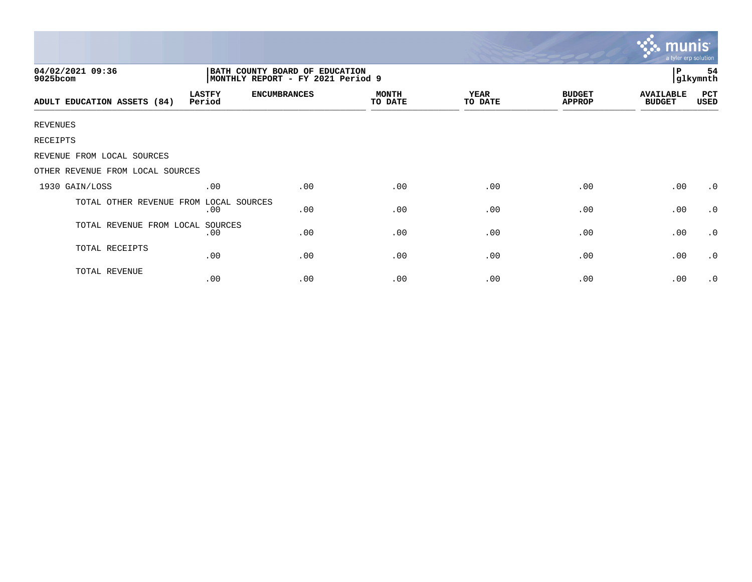|                                  |                                                                     |                     |                         |                        |                                | mu<br>a tyler erp solution        |             |
|----------------------------------|---------------------------------------------------------------------|---------------------|-------------------------|------------------------|--------------------------------|-----------------------------------|-------------|
| 04/02/2021 09:36<br>9025bcom     | BATH COUNTY BOARD OF EDUCATION<br>MONTHLY REPORT - FY 2021 Period 9 |                     | l P<br>54<br>glkymnth   |                        |                                |                                   |             |
| ADULT EDUCATION ASSETS (84)      | <b>LASTFY</b><br>Period                                             | <b>ENCUMBRANCES</b> | <b>MONTH</b><br>TO DATE | <b>YEAR</b><br>TO DATE | <b>BUDGET</b><br><b>APPROP</b> | <b>AVAILABLE</b><br><b>BUDGET</b> | PCT<br>USED |
| <b>REVENUES</b>                  |                                                                     |                     |                         |                        |                                |                                   |             |
| RECEIPTS                         |                                                                     |                     |                         |                        |                                |                                   |             |
| REVENUE FROM LOCAL SOURCES       |                                                                     |                     |                         |                        |                                |                                   |             |
| OTHER REVENUE FROM LOCAL SOURCES |                                                                     |                     |                         |                        |                                |                                   |             |
| 1930 GAIN/LOSS                   | .00                                                                 | .00                 | .00                     | .00                    | .00                            | .00                               | $\cdot$ 0   |
| TOTAL OTHER REVENUE FROM         | LOCAL SOURCES<br>.00                                                | .00                 | .00                     | .00                    | .00                            | .00                               | $\cdot$ 0   |
| TOTAL REVENUE FROM LOCAL SOURCES | .00                                                                 | .00                 | .00                     | .00                    | .00                            | .00                               | $\cdot$ 0   |
| TOTAL RECEIPTS                   | .00                                                                 | .00                 | .00                     | .00                    | .00                            | .00                               | $\cdot$ 0   |
| TOTAL REVENUE                    | .00                                                                 | .00                 | .00                     | .00                    | .00                            | .00                               | $\cdot$ 0   |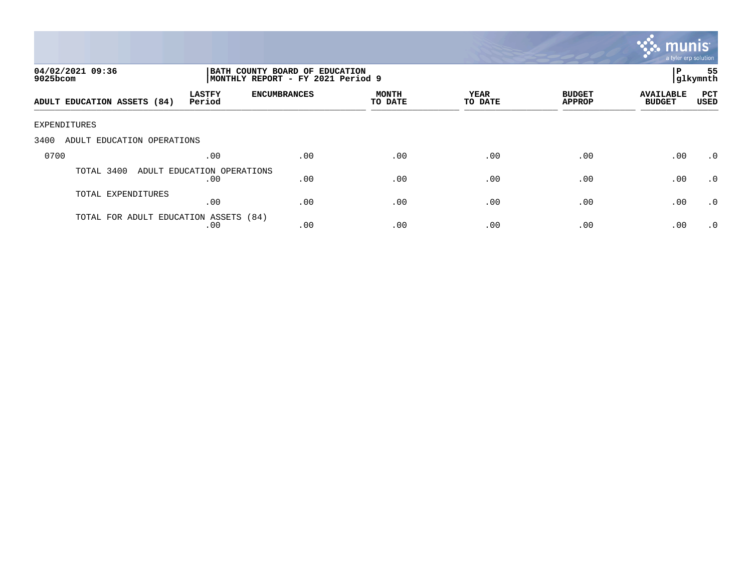

| 04/02/2021 09:36<br>$9025$ bcom       | BATH COUNTY BOARD OF EDUCATION<br>MONTHLY REPORT - FY 2021 Period 9 |                     |                         |                        |                                |                                   | 55<br>P<br> glkymnth |  |
|---------------------------------------|---------------------------------------------------------------------|---------------------|-------------------------|------------------------|--------------------------------|-----------------------------------|----------------------|--|
| ADULT EDUCATION ASSETS (84)           | <b>LASTFY</b><br>Period                                             | <b>ENCUMBRANCES</b> | <b>MONTH</b><br>TO DATE | <b>YEAR</b><br>TO DATE | <b>BUDGET</b><br><b>APPROP</b> | <b>AVAILABLE</b><br><b>BUDGET</b> | PCT<br><b>USED</b>   |  |
| EXPENDITURES                          |                                                                     |                     |                         |                        |                                |                                   |                      |  |
| 3400<br>ADULT EDUCATION OPERATIONS    |                                                                     |                     |                         |                        |                                |                                   |                      |  |
| 0700                                  | .00                                                                 | .00                 | .00                     | .00                    | .00                            | .00                               | $.0 \cdot$           |  |
| TOTAL 3400                            | ADULT EDUCATION OPERATIONS<br>.00                                   | .00                 | .00                     | .00                    | .00                            | .00                               | $\cdot$ 0            |  |
| TOTAL EXPENDITURES                    | .00                                                                 | .00                 | .00                     | .00                    | .00                            | .00                               | $\cdot$ 0            |  |
| TOTAL FOR ADULT EDUCATION ASSETS (84) | .00                                                                 | .00                 | .00                     | .00                    | .00                            | .00                               | $.0 \cdot$           |  |